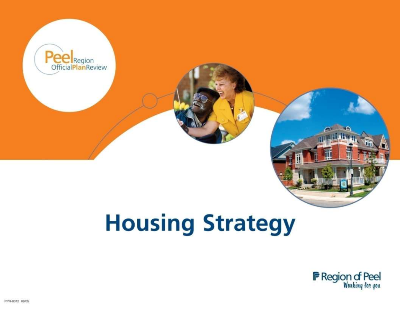

# **Housing Strategy**

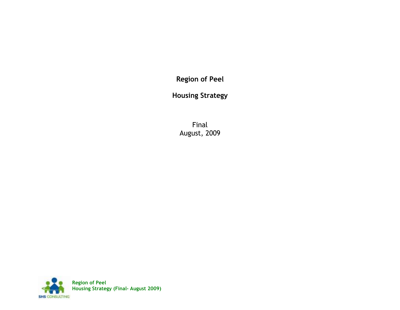**Region of Peel**

**Housing Strategy**

Final August, 2009

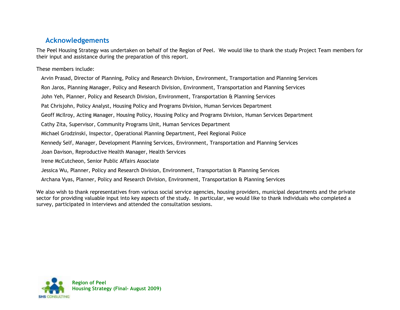# <span id="page-2-0"></span>**Acknowledgements**

The Peel Housing Strategy was undertaken on behalf of the Region of Peel. We would like to thank the study Project Team members for their input and assistance during the preparation of this report.

These members include:

Arvin Prasad, Director of Planning, Policy and Research Division, Environment, Transportation and Planning Services

Ron Jaros, Planning Manager, Policy and Research Division, Environment, Transportation and Planning Services

John Yeh, Planner, Policy and Research Division, Environment, Transportation & Planning Services

Pat Chrisjohn, Policy Analyst, Housing Policy and Programs Division, Human Services Department

Geoff McIlroy, Acting Manager, Housing Policy, Housing Policy and Programs Division, Human Services Department

Cathy Zita, Supervisor, Community Programs Unit, Human Services Department

Michael Grodzinski, Inspector, Operational Planning Department, Peel Regional Police

Kennedy Self, Manager, Development Planning Services, Environment, Transportation and Planning Services

Joan Davison, Reproductive Health Manager, Health Services

Irene McCutcheon, Senior Public Affairs Associate

Jessica Wu, Planner, Policy and Research Division, Environment, Transportation & Planning Services

Archana Vyas, Planner, Policy and Research Division, Environment, Transportation & Planning Services

We also wish to thank representatives from various social service agencies, housing providers, municipal departments and the private sector for providing valuable input into key aspects of the study. In particular, we would like to thank individuals who completed a survey, participated in interviews and attended the consultation sessions.

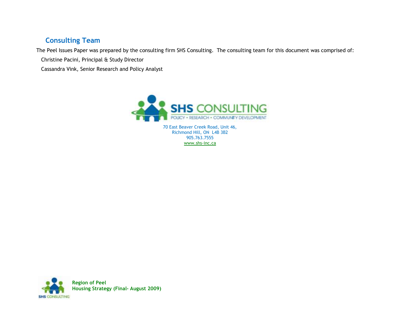# <span id="page-3-0"></span>**Consulting Team**

The Peel Issues Paper was prepared by the consulting firm SHS Consulting. The consulting team for this document was comprised of:

Christine Pacini, Principal & Study Director

Cassandra Vink, Senior Research and Policy Analyst



70 East Beaver Creek Road, Unit 46, Richmond Hill, ON L4B 3B2 905.763.7555 [www.shs-inc.ca](http://www.shs-inc.ca/) 

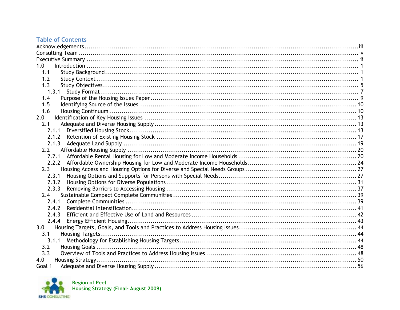## **Table of Contents**

| 1.0                     |  |
|-------------------------|--|
| 1.1                     |  |
| 1.2                     |  |
| 1.3                     |  |
| 1.3.1                   |  |
| 1.4                     |  |
| 1.5                     |  |
| 1.6                     |  |
| 2.0                     |  |
| 2.1                     |  |
| 2.1.1                   |  |
|                         |  |
|                         |  |
| 2.2                     |  |
| 2.2.1                   |  |
|                         |  |
| 2.3                     |  |
| 2.3.1                   |  |
| 2.3.2                   |  |
| 2.3.3                   |  |
| 2.4                     |  |
| 2.4.1                   |  |
| 2.4.2                   |  |
| 2.4.3                   |  |
| 2.4.4                   |  |
| 3.0                     |  |
| 3.1<br>Housing Targets. |  |
| 3.1.1                   |  |
| 3.2                     |  |
| 3.3                     |  |
| 4.0                     |  |
| Goal 1                  |  |



Region of Peel<br>Housing Strategy (Final- August 2009)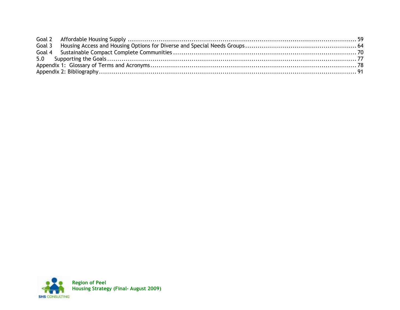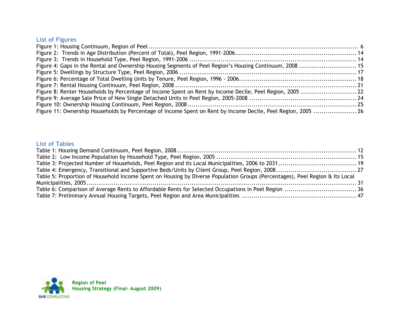# **List of Figures**

| Figure 4: Gaps in the Rental and Ownership Housing Segments of Peel Region's Housing Continuum, 2008  15      |  |
|---------------------------------------------------------------------------------------------------------------|--|
|                                                                                                               |  |
|                                                                                                               |  |
|                                                                                                               |  |
|                                                                                                               |  |
|                                                                                                               |  |
|                                                                                                               |  |
| Figure 11: Ownership Households by Percentage of Income Spent on Rent by Income Decile, Peel Region, 2005  26 |  |

## **List of Tables**

| Table 5: Proportion of Household Income Spent on Housing by Diverse Population Groups (Percentages), Peel Region & Its Local |  |
|------------------------------------------------------------------------------------------------------------------------------|--|
|                                                                                                                              |  |
|                                                                                                                              |  |
|                                                                                                                              |  |

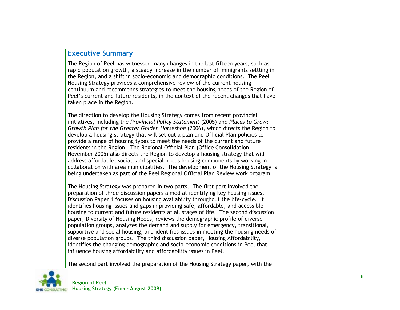# <span id="page-7-0"></span>**Executive Summary**

The Region of Peel has witnessed many changes in the last fifteen years, such as rapid population growth, a steady increase in the number of immigrants settling in the Region, and a shift in socio-economic and demographic conditions. The Peel Housing Strategy provides a comprehensive review of the current housing continuum and recommends strategies to meet the housing needs of the Region of Peel's current and future residents, in the context of the recent changes that have taken place in the Region.

The direction to develop the Housing Strategy comes from recent provincial initiatives, including the *Provincial Policy Statement* (2005) and *Places to Grow: Growth Plan for the Greater Golden Horseshoe* (2006), which directs the Region to develop a housing strategy that will set out a plan and Official Plan policies to provide a range of housing types to meet the needs of the current and future residents in the Region. The Regional Official Plan (Office Consolidation, November 2005) also directs the Region to develop a housing strategy that will address affordable, social, and special needs housing components by working in collaboration with area municipalities. The development of the Housing Strategy is being undertaken as part of the Peel Regional Official Plan Review work program.

The Housing Strategy was prepared in two parts. The first part involved the preparation of three discussion papers aimed at identifying key housing issues. Discussion Paper 1 focuses on housing availability throughout the life-cycle. It identifies housing issues and gaps in providing safe, affordable, and accessible housing to current and future residents at all stages of life. The second discussion paper, Diversity of Housing Needs, reviews the demographic profile of diverse population groups, analyzes the demand and supply for emergency, transitional, supportive and social housing, and identifies issues in meeting the housing needs of diverse population groups. The third discussion paper, Housing Affordability, identifies the changing demographic and socio-economic conditions in Peel that influence housing affordability and affordability issues in Peel.

The second part involved the preparation of the Housing Strategy paper, with the

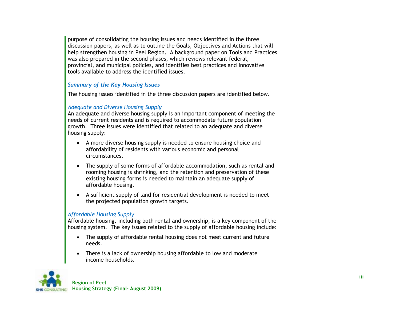purpose of consolidating the housing issues and needs identified in the three discussion papers, as well as to outline the Goals, Objectives and Actions that will help strengthen housing in Peel Region. A background paper on Tools and Practices was also prepared in the second phases, which reviews relevant federal, provincial, and municipal policies, and identifies best practices and innovative tools available to address the identified issues.

#### *Summary of the Key Housing Issues*

The housing issues identified in the three discussion papers are identified below.

#### *Adequate and Diverse Housing Supply*

An adequate and diverse housing supply is an important component of meeting the needs of current residents and is required to accommodate future population growth. Three issues were identified that related to an adequate and diverse housing supply:

- A more diverse housing supply is needed to ensure housing choice and affordability of residents with various economic and personal circumstances.
- The supply of some forms of affordable accommodation, such as rental and rooming housing is shrinking, and the retention and preservation of these existing housing forms is needed to maintain an adequate supply of affordable housing.
- A sufficient supply of land for residential development is needed to meet the projected population growth targets.

#### *Affordable Housing Supply*

Affordable housing, including both rental and ownership, is a key component of the housing system. The key issues related to the supply of affordable housing include:

- The supply of affordable rental housing does not meet current and future needs.
- There is a lack of ownership housing affordable to low and moderate income households.

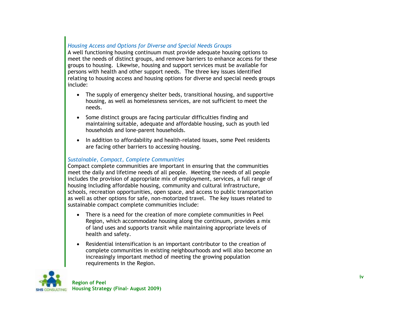## *Housing Access and Options for Diverse and Special Needs Groups*

A well functioning housing continuum must provide adequate housing options to meet the needs of distinct groups, and remove barriers to enhance access for these groups to housing. Likewise, housing and support services must be available for persons with health and other support needs. The three key issues identified relating to housing access and housing options for diverse and special needs groups include:

- The supply of emergency shelter beds, transitional housing, and supportive housing, as well as homelessness services, are not sufficient to meet the needs.
- Some distinct groups are facing particular difficulties finding and maintaining suitable, adequate and affordable housing, such as youth led households and lone-parent households.
- In addition to affordability and health-related issues, some Peel residents are facing other barriers to accessing housing.

#### *Sustainable, Compact, Complete Communities*

Compact complete communities are important in ensuring that the communities meet the daily and lifetime needs of all people. Meeting the needs of all people includes the provision of appropriate mix of employment, services, a full range of housing including affordable housing, community and cultural infrastructure, schools, recreation opportunities, open space, and access to public transportation as well as other options for safe, non-motorized travel. The key issues related to sustainable compact complete communities include:

- There is a need for the creation of more complete communities in Peel Region, which accommodate housing along the continuum, provides a mix of land uses and supports transit while maintaining appropriate levels of health and safety.
- Residential intensification is an important contributor to the creation of complete communities in existing neighbourhoods and will also become an increasingly important method of meeting the growing population requirements in the Region.

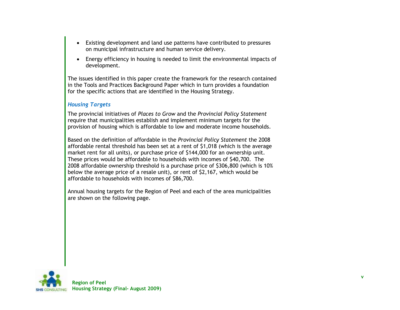- Existing development and land use patterns have contributed to pressures on municipal infrastructure and human service delivery.
- Energy efficiency in housing is needed to limit the environmental impacts of development.

The issues identified in this paper create the framework for the research contained in the Tools and Practices Background Paper which in turn provides a foundation for the specific actions that are identified in the Housing Strategy.

#### *Housing Targets*

The provincial initiatives of *Places to Grow* and the *Provincial Policy Statement* require that municipalities establish and implement minimum targets for the provision of housing which is affordable to low and moderate income households.

Based on the definition of affordable in the *Provincial Policy Statement* the 2008 affordable rental threshold has been set at a rent of \$1,018 (which is the average market rent for all units), or purchase price of \$144,000 for an ownership unit. These prices would be affordable to households with incomes of \$40,700. The 2008 affordable ownership threshold is a purchase price of \$306,800 (which is 10% below the average price of a resale unit), or rent of \$2,167, which would be affordable to households with incomes of \$86,700.

Annual housing targets for the Region of Peel and each of the area municipalities are shown on the following page.

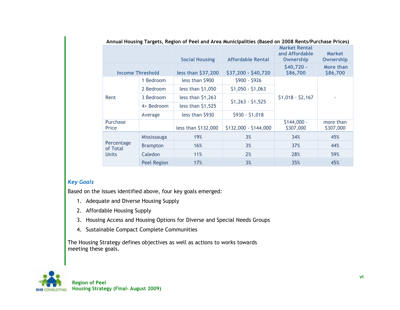| Annual Housing Targets, Region of Peel and Area Municipalities (Based on 2008 Rents/Purchase Prices) |                 |                       |                          |                           |                                   |  |  |  |  |
|------------------------------------------------------------------------------------------------------|-----------------|-----------------------|--------------------------|---------------------------|-----------------------------------|--|--|--|--|
|                                                                                                      |                 | <b>Social Housing</b> | <b>Affordable Rental</b> |                           | <b>Market</b><br><b>Ownership</b> |  |  |  |  |
| <b>Income Threshold</b>                                                                              |                 | less than \$37,200    | \$37,200 - \$40,720      |                           | More than<br>\$86,700             |  |  |  |  |
|                                                                                                      | 1 Bedroom       | less than \$900       | $$900 - $926$            |                           |                                   |  |  |  |  |
|                                                                                                      | 2 Bedroom       | less than \$1,050     | $$1,050 - $1,063$        |                           |                                   |  |  |  |  |
| Rent                                                                                                 | 3 Bedroom       | less than $$1,263$    | $$1,263 - $1,525$        | $$1,018 - $2,167$         |                                   |  |  |  |  |
|                                                                                                      | 4+ Bedroom      | less than $$1,525$    |                          |                           |                                   |  |  |  |  |
|                                                                                                      | Average         | less than \$930       | $$930 - $1,018$          |                           |                                   |  |  |  |  |
| Purchase<br>Price                                                                                    |                 | less than \$132,000   | \$132,000 - \$144,000    | $$144,000 -$<br>\$307,000 | more than<br>\$307,000            |  |  |  |  |
|                                                                                                      | Mississauga     | 19%                   | 3%                       | 34%                       | 45%                               |  |  |  |  |
| Percentage<br>of Total<br><b>Units</b>                                                               | <b>Brampton</b> | 16%                   | 3%                       | 37%                       | 44%                               |  |  |  |  |
|                                                                                                      | Caledon         | 11%                   | 2%                       | 28%                       | 59%                               |  |  |  |  |
|                                                                                                      | Peel Region     | 17%                   | 3%                       | 35%                       | 45%                               |  |  |  |  |

#### **Annual Housing Targets, Region of Peel and Area Municipalities (Based on 2008 Rents/Purchase Prices)**

#### *Key Goals*

Based on the issues identified above, four key goals emerged:

- 1. Adequate and Diverse Housing Supply
- 2. Affordable Housing Supply
- 3. Housing Access and Housing Options for Diverse and Special Needs Groups
- 4. Sustainable Compact Complete Communities

The Housing Strategy defines objectives as well as actions to works towards meeting these goals.

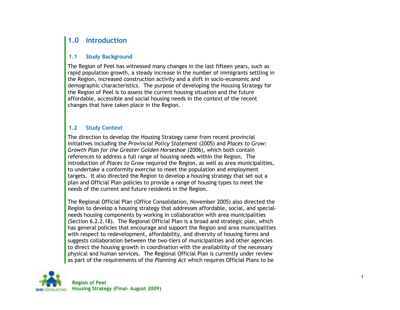# <span id="page-12-0"></span>**1.0 Introduction**

#### <span id="page-12-1"></span>**1.1 Study Background**

The Region of Peel has witnessed many changes in the last fifteen years, such as rapid population growth, a steady increase in the number of immigrants settling in the Region, increased construction activity and a shift in socio-economic and demographic characteristics. The purpose of developing the Housing Strategy for the Region of Peel is to assess the current housing situation and the future affordable, accessible and social housing needs in the context of the recent changes that have taken place in the Region.

#### <span id="page-12-2"></span>**1.2 Study Context**

The direction to develop the Housing Strategy came from recent provincial initiatives including the *Provincial Policy Statement* (2005) and *Places to Grow: Growth Plan for the Greater Golden Horseshoe* (2006), which both contain references to address a full range of housing needs within the Region. The introduction of *Places to Grow* required the Region, as well as area municipalities, to undertake a conformity exercise to meet the population and employment targets. It also directed the Region to develop a housing strategy that set out a plan and Official Plan policies to provide a range of housing types to meet the needs of the current and future residents in the Region.

The Regional Official Plan (Office Consolidation, November 2005) also directed the Region to develop a housing strategy that addresses affordable, social, and specialneeds housing components by working in collaboration with area municipalities (Section 6.2.2.18). The Regional Official Plan is a broad and strategic plan, which has general policies that encourage and support the Region and area municipalities with respect to redevelopment, affordability, and diversity of housing forms and suggests collaboration between the two-tiers of municipalities and other agencies to direct the housing growth in coordination with the availability of the necessary physical and human services. The Regional Official Plan is currently under review as part of the requirements of the *Planning Act* which requires Official Plans to be

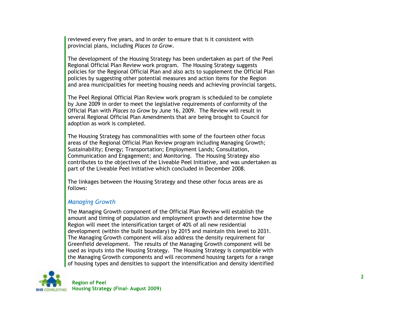reviewed every five years, and in order to ensure that is it consistent with provincial plans, including *Places to Grow*.

The development of the Housing Strategy has been undertaken as part of the Peel Regional Official Plan Review work program. The Housing Strategy suggests policies for the Regional Official Plan and also acts to supplement the Official Plan policies by suggesting other potential measures and action items for the Region and area municipalities for meeting housing needs and achieving provincial targets.

The Peel Regional Official Plan Review work program is scheduled to be complete by June 2009 in order to meet the legislative requirements of conformity of the Official Plan with *Places to Grow* by June 16, 2009. The Review will result in several Regional Official Plan Amendments that are being brought to Council for adoption as work is completed.

The Housing Strategy has commonalities with some of the fourteen other focus areas of the Regional Official Plan Review program including Managing Growth; Sustainability; Energy; Transportation; Employment Lands; Consultation, Communication and Engagement; and Monitoring. The Housing Strategy also contributes to the objectives of the Liveable Peel Initiative, and was undertaken as part of the Liveable Peel Initiative which concluded in December 2008.

The linkages between the Housing Strategy and these other focus areas are as follows:

## *Managing Growth*

The Managing Growth component of the Official Plan Review will establish the amount and timing of population and employment growth and determine how the Region will meet the intensification target of 40% of all new residential development (within the built boundary) by 2015 and maintain this level to 2031. The Managing Growth component will also address the density requirement for Greenfield development. The results of the Managing Growth component will be used as inputs into the Housing Strategy. The Housing Strategy is compatible with the Managing Growth components and will recommend housing targets for a range of housing types and densities to support the intensification and density identified

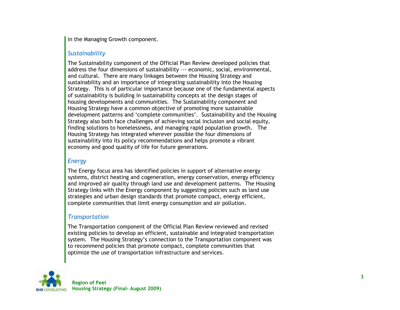in the Managing Growth component.

## *Sustainability*

The Sustainability component of the Official Plan Review developed policies that address the four dimensions of sustainability –-- economic, social, environmental, and cultural. There are many linkages between the Housing Strategy and sustainability and an importance of integrating sustainability into the Housing Strategy. This is of particular importance because one of the fundamental aspects of sustainability is building in sustainability concepts at the design stages of housing developments and communities. The Sustainability component and Housing Strategy have a common objective of promoting more sustainable development patterns and "complete communities". Sustainability and the Housing Strategy also both face challenges of achieving social inclusion and social equity, finding solutions to homelessness, and managing rapid population growth. The Housing Strategy has integrated wherever possible the four dimensions of sustainability into its policy recommendations and helps promote a vibrant economy and good quality of life for future generations.

## *Energy*

The Energy focus area has identified policies in support of alternative energy systems, district heating and cogeneration, energy conservation, energy efficiency and improved air quality through land use and development patterns. The Housing Strategy links with the Energy component by suggesting policies such as land use strategies and urban design standards that promote compact, energy efficient, complete communities that limit energy consumption and air pollution.

## *Transportation*

The Transportation component of the Official Plan Review reviewed and revised existing policies to develop an efficient, sustainable and integrated transportation system. The Housing Strategy"s connection to the Transportation component was to recommend policies that promote compact, complete communities that optimize the use of transportation infrastructure and services.

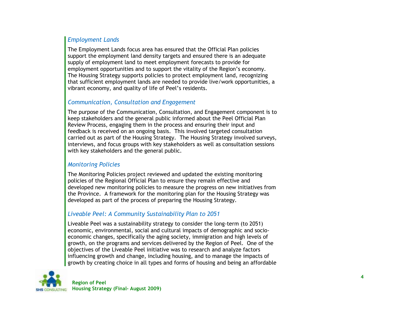## *Employment Lands*

The Employment Lands focus area has ensured that the Official Plan policies support the employment land density targets and ensured there is an adequate supply of employment land to meet employment forecasts to provide for employment opportunities and to support the vitality of the Region's economy. The Housing Strategy supports policies to protect employment land, recognizing that sufficient employment lands are needed to provide live/work opportunities, a vibrant economy, and quality of life of Peel"s residents.

## *Communication, Consultation and Engagement*

The purpose of the Communication, Consultation, and Engagement component is to keep stakeholders and the general public informed about the Peel Official Plan Review Process, engaging them in the process and ensuring their input and feedback is received on an ongoing basis. This involved targeted consultation carried out as part of the Housing Strategy. The Housing Strategy involved surveys, interviews, and focus groups with key stakeholders as well as consultation sessions with key stakeholders and the general public.

#### *Monitoring Policies*

The Monitoring Policies project reviewed and updated the existing monitoring policies of the Regional Official Plan to ensure they remain effective and developed new monitoring policies to measure the progress on new initiatives from the Province. A framework for the monitoring plan for the Housing Strategy was developed as part of the process of preparing the Housing Strategy.

## *Liveable Peel: A Community Sustainability Plan to 2051*

Liveable Peel was a sustainability strategy to consider the long-term (to 2051) economic, environmental, social and cultural impacts of demographic and socioeconomic changes, specifically the aging society, immigration and high levels of growth, on the programs and services delivered by the Region of Peel. One of the objectives of the Liveable Peel initiative was to research and analyze factors influencing growth and change, including housing, and to manage the impacts of growth by creating choice in all types and forms of housing and being an affordable

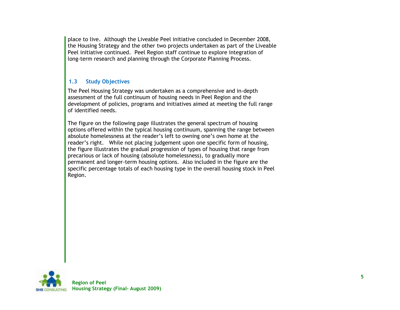place to live. Although the Liveable Peel initiative concluded in December 2008, the Housing Strategy and the other two projects undertaken as part of the Liveable Peel initiative continued. Peel Region staff continue to explore integration of long-term research and planning through the Corporate Planning Process.

## <span id="page-16-0"></span>**1.3 Study Objectives**

The Peel Housing Strategy was undertaken as a comprehensive and in-depth assessment of the full continuum of housing needs in Peel Region and the development of policies, programs and initiatives aimed at meeting the full range of identified needs.

The figure on the following page illustrates the general spectrum of housing options offered within the typical housing continuum, spanning the range between absolute homelessness at the reader"s left to owning one"s own home at the reader"s right. While not placing judgement upon one specific form of housing, the figure illustrates the gradual progression of types of housing that range from precarious or lack of housing (absolute homelessness), to gradually more permanent and longer-term housing options. Also included in the figure are the specific percentage totals of each housing type in the overall housing stock in Peel Region.

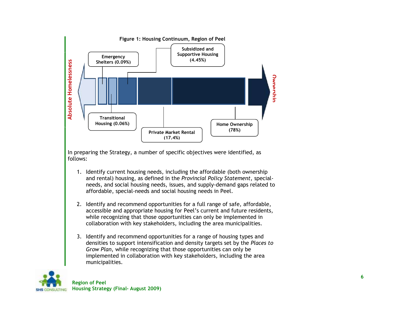<span id="page-17-0"></span>

In preparing the Strategy, a number of specific objectives were identified, as follows:

- 1. Identify current housing needs, including the affordable (both ownership and rental) housing, as defined in the *Provincial Policy Statement*, special needs, and social housing needs, issues, and supply -demand gaps related to affordable, special -needs and social housing needs in Peel.
- 2. Identify and recommend opportunities for a full range of safe, affordable, accessible and appropriate housing for Peel"s current and future residents, while recognizing that those opportunities can only be implemented in collaboration with key stakeholders, including the area municipalities.
- 3. Identify and recommend opportunities for a range of housing types and densities to support intensification and density targets set by the *Places to Grow Plan*, while recognizing that those opportunities can only be implemented in collaboration with key stakeholders, including the area municipalities.

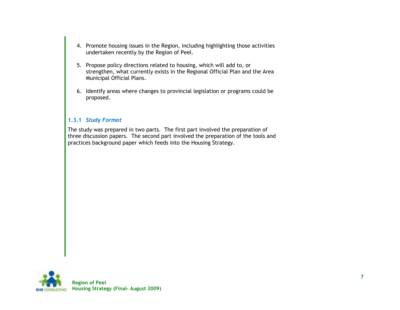- 4. Promote housing issues in the Region, including highlighting those activities undertaken recently by the Region of Peel.
- 5. Propose policy directions related to housing, which will add to, or strengthen, what currently exists in the Regional Official Plan and the Area Municipal Official Plans.
- 6. Identify areas where changes to provincial legislation or programs could be proposed.

#### <span id="page-18-0"></span>**1.3.1** *Study Format*

The study was prepared in two parts. The first part involved the preparation of three discussion papers. The second part involved the preparation of the tools and practices background paper which feeds into the Housing Strategy.

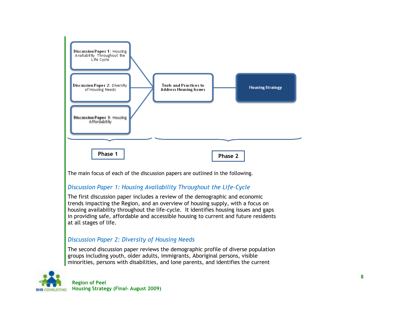

The main focus of each of the discussion papers are outlined in the following.

## *Discussion Paper 1: Housing Availability Throughout the Life-Cycle*

The first discussion paper includes a review of the demographic and economic trends impacting the Region, and an overview of housing supply, with a focus on housing availability throughout the life-cycle. It identifies housing issues and gaps in providing safe, affordable and accessible housing to current and future residents at all stages of life.

## *Discussion Paper 2: Diversity of Housing Needs*

The second discussion paper reviews the demographic profile of diverse population groups including youth, older adults, immigrants, Aboriginal persons, visible minorities, persons with disabilities, and lone parents, and identifies the current

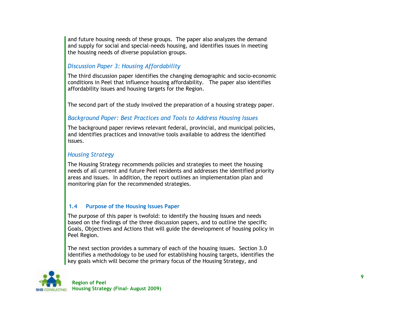and future housing needs of these groups. The paper also analyzes the demand and supply for social and special-needs housing, and identifies issues in meeting the housing needs of diverse population groups.

## *Discussion Paper 3: Housing Affordability*

The third discussion paper identifies the changing demographic and socio-economic conditions in Peel that influence housing affordability. The paper also identifies affordability issues and housing targets for the Region.

The second part of the study involved the preparation of a housing strategy paper.

## *Background Paper: Best Practices and Tools to Address Housing Issues*

The background paper reviews relevant federal, provincial, and municipal policies, and identifies practices and innovative tools available to address the identified issues.

#### *Housing Strategy*

The Housing Strategy recommends policies and strategies to meet the housing needs of all current and future Peel residents and addresses the identified priority areas and issues. In addition, the report outlines an implementation plan and monitoring plan for the recommended strategies.

#### <span id="page-20-0"></span>**1.4 Purpose of the Housing Issues Paper**

The purpose of this paper is twofold: to identify the housing issues and needs based on the findings of the three discussion papers, and to outline the specific Goals, Objectives and Actions that will guide the development of housing policy in Peel Region.

The next section provides a summary of each of the housing issues. Section 3.0 identifies a methodology to be used for establishing housing targets, identifies the key goals which will become the primary focus of the Housing Strategy, and

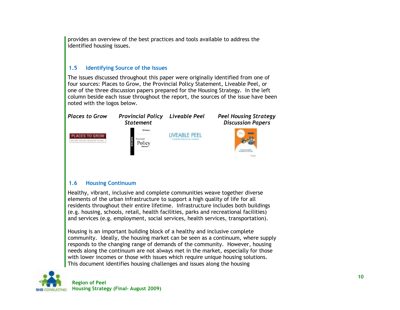provides an overview of the best practices and tools available to address the identified housing issues.

#### <span id="page-21-0"></span>**1.5 Identifying Source of the Issues**

The issues discussed throughout this paper were originally identified from one of four sources: Places to Grow, the Provincial Policy Statement, Liveable Peel, or one of the three discussion papers prepared for the Housing Strategy. In the left column beside each issue throughout the report, the sources of the issue have been noted with the logos below.



#### <span id="page-21-1"></span>**1.6 Housing Continuum**

Healthy, vibrant, inclusive and complete communities weave together diverse elements of the urban infrastructure to support a high quality of life for all residents throughout their entire lifetime. Infrastructure includes both buildings (e.g. housing, schools, retail, health facilities, parks and recreational facilities) and services (e.g. employment, social services, health services, transportation).

Housing is an important building block of a healthy and inclusive complete community. Ideally, the housing market can be seen as a continuum, where supply responds to the changing range of demands of the community. However, housing needs along the continuum are not always met in the market, especially for those with lower incomes or those with issues which require unique housing solutions. This document identifies housing challenges and issues along the housing

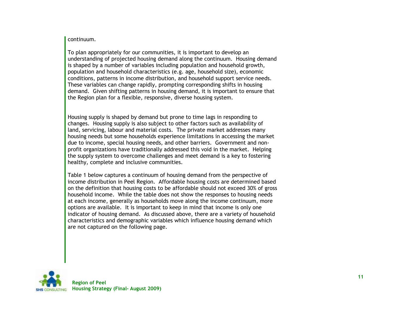#### continuum.

To plan appropriately for our communities, it is important to develop an understanding of projected housing demand along the continuum. Housing demand is shaped by a number of variables including population and household growth, population and household characteristics (e.g. age, household size), economic conditions, patterns in income distribution, and household support service needs. These variables can change rapidly, prompting corresponding shifts in housing demand. Given shifting patterns in housing demand, it is important to ensure that the Region plan for a flexible, responsive, diverse housing system.

Housing supply is shaped by demand but prone to time lags in responding to changes. Housing supply is also subject to other factors such as availability of land, servicing, labour and material costs. The private market addresses many housing needs but some households experience limitations in accessing the market due to income, special housing needs, and other barriers. Government and nonprofit organizations have traditionally addressed this void in the market. Helping the supply system to overcome challenges and meet demand is a key to fostering healthy, complete and inclusive communities.

[Table 1](#page-23-0) below captures a continuum of housing demand from the perspective of income distribution in Peel Region. Affordable housing costs are determined based on the definition that housing costs to be affordable should not exceed 30% of gross household income. While the table does not show the responses to housing needs at each income, generally as households move along the income continuum, more options are available. It is important to keep in mind that income is only one indicator of housing demand. As discussed above, there are a variety of household characteristics and demographic variables which influence housing demand which are not captured on the following page.

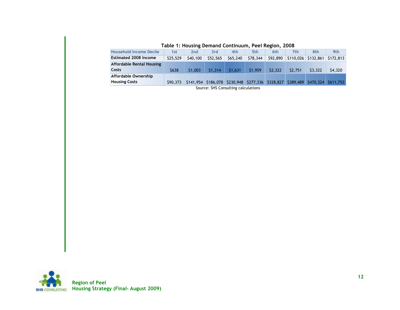<span id="page-23-0"></span>

| $1800$ $10000$ $10000$ $10000$ $10000$ $10000$ $10000$ |          |                 |          |          |          |          |                                                                                 |         |           |
|--------------------------------------------------------|----------|-----------------|----------|----------|----------|----------|---------------------------------------------------------------------------------|---------|-----------|
| <b>Household Income Decile</b>                         | 1st      | 2 <sub>nd</sub> | 3rd      | 4th      | 5th      | 6th      | 7th.                                                                            | 8th     | 9th       |
| <b>Estimated 2008 Income</b>                           | \$25,529 | \$40,100        | \$52,565 | \$65,240 | \$78,344 | \$92,890 | $$110,026$ $$132,861$                                                           |         | \$172,813 |
| <b>Affordable Rental Housing</b>                       |          |                 |          |          |          |          |                                                                                 |         |           |
| <b>Costs</b>                                           | \$638    | \$1,003         | \$1,314  | \$1.631  | \$1,959  | \$2,322  | \$2,751                                                                         | \$3,322 | \$4,320   |
| Affordable Ownership                                   |          |                 |          |          |          |          |                                                                                 |         |           |
| <b>Housing Costs</b>                                   | \$90,373 |                 |          |          |          |          | \$141,954 \$186,078 \$230,948 \$277,336 \$328,827 \$389,489 \$470,324 \$611,753 |         |           |
|                                                        |          |                 |          |          |          |          |                                                                                 |         |           |

**Table 1: Housing Demand Continuum, Peel Region, 2008**



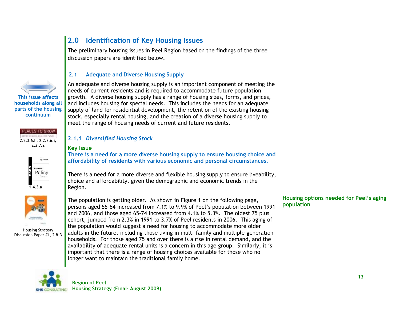# **This issue affects households along all parts of the housing continuum**





 $\overline{1.4.3.}a$ 



Housing Strategy Discussion Paper #1, 2 & 3

# <span id="page-24-0"></span>**2.0 Identification of Key Housing Issues**

The preliminary housing issues in Peel Region based on the findings of the three discussion papers are identified below.

#### <span id="page-24-1"></span>**2.1 Adequate and Diverse Housing Supply**

An adequate and diverse housing supply is an important component of meeting the needs of current residents and is required to accommodate future population growth. A diverse housing supply has a range of housing sizes, forms, and prices, and includes housing for special needs. This includes the needs for an adequate supply of land for residential development, the retention of the existing housing stock, especially rental housing, and the creation of a diverse housing supply to meet the range of housing needs of current and future residents.

## <span id="page-24-2"></span>**2.1.1** *Diversified Housing Stock*

#### **Key Issue**

**There is a need for a more diverse housing supply to ensure housing choice and affordability of residents with various economic and personal circumstances.**

There is a need for a more diverse and flexible housing supply to ensure liveability, choice and affordability, given the demographic and economic trends in the Region.

The population is getting older. As shown in Figure 1 on the following page, persons aged 55-64 increased from 7.1% to 9.9% of Peel"s population between 1991 and 2006, and those aged 65-74 increased from 4.1% to 5.3%. The oldest 75 plus cohort, jumped from 2.3% in 1991 to 3.7% of Peel residents in 2006. This aging of the population would suggest a need for housing to accommodate more older adults in the future, including those living in multi-family and multiple-generation households. For those aged 75 and over there is a rise in rental demand, and the availability of adequate rental units is a concern in this age group. Similarly, it is important that there is a range of housing choices available for those who no longer want to maintain the traditional family home.

**Housing options needed for Peel's aging population**

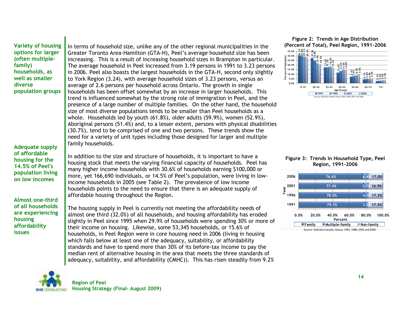**Variety of housing options for larger (often multiplefamily) households, as well as smaller diverse population groups**

**Adequate supply of affordable housing for the 14.5% of Peel's population living on low incomes**

**Almost one-third of all households are experiencing housing affordability issues**

In terms of household size, unlike any of the other regional municipalities in the Greater Toronto Area-Hamilton (GTA-H), Peel"s average household size has been increasing. This is a result of increasing household sizes in Brampton in particular. The average household in Peel increased from 3.19 persons in 1991 to 3.23 persons in 2006. Peel also boasts the largest households in the GTA-H, second only slightly to York Region (3.24), with average household sizes of 3.23 persons, versus an average of 2.6 persons per household across Ontario. The growth in single households has been offset somewhat by an increase in larger households. This trend is influenced somewhat by the strong role of immigration in Peel, and the presence of a large number of multiple families. On the other hand, the household size of most diverse populations tends to be smaller than Peel households as a whole. Households led by youth (61.8%), older adults (59.9%), women (52.9%), Aboriginal persons (51.4%) and, to a lesser extent, persons with physical disabilities (30.7%), tend to be comprised of one and two persons. These trends show the need for a variety of unit types including those designed for larger and multiple family households.

In addition to the size and structure of households, it is important to have a housing stock that meets the varying financial capacity of households. Peel has many higher income households with 30.6% of households earning \$100,000 or more, yet 166,690 individuals, or 14.5% of Peel"s population, were living in lowincome households in 2005 (see [Table 2\)](#page-26-1). The prevalence of low income households points to the need to ensure that there is an adequate supply of affordable housing throughout the Region.

The housing supply in Peel is currently not meeting the affordability needs of almost one third (32.0%) of all households, and housing affordability has eroded slightly in Peel since 1995 when 29.9% of households were spending 30% or more of their income on housing. Likewise, some 53,345 households, or 15.6% of households, in Peel Region were in core housing need in 2006 (living in housing which falls below at least one of the adequacy, suitability, or affordability standards and have to spend more than 30% of its before-tax income to pay the median rent of alternative housing in the area that meets the three standards of adequacy, suitability, and affordability (CMHC)). This has risen steadily from 9.2%

<span id="page-25-0"></span>**Figure 2: Trends in Age Distribution (Percent of Total), Peel Region, 1991-2006**



<span id="page-25-1"></span>



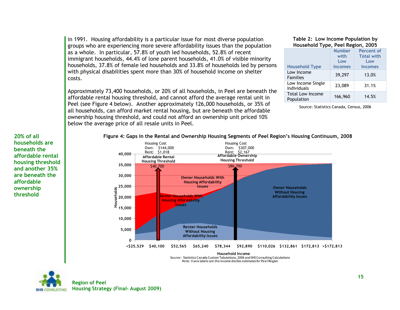in 1991. Housing affordability is a particular issue for most diverse population groups who are experiencing more severe affordability issues than the population as a whole. In particular, 57.8% of youth led households, 52.8% of recent immigrant households, 44.4% of lone parent households, 41.0% of visible minority households, 37.8% of female led households and 33.8% of households led by persons with physical disabilities spent more than 30% of household income on shelter costs.

Approximately 73,400 households, or 20% of all households, in Peel are beneath the affordable rental housing threshold, and cannot afford the average rental unit in Peel (see [Figure 4](#page-26-0) below). Another approximately 126,000 households, or 35% of all households, can afford market rental housing, but are beneath the affordable ownership housing threshold, and could not afford an ownership unit priced 10% below the average price of all resale units in Peel.

#### <span id="page-26-1"></span>**Table 2: Low Income Population by Household Type, Peel Region, 2005**

|                                       | <b>Number</b><br>with<br>Low | <b>Percent of</b><br><b>Total with</b><br>Low |
|---------------------------------------|------------------------------|-----------------------------------------------|
| <b>Household Type</b>                 | <b>Incomes</b>               | <b>Incomes</b>                                |
| Low Income<br><b>Families</b>         | 39,297                       | 13.0%                                         |
| Low Income Single<br>Individuals      | 23,089                       | 31.1%                                         |
| <b>Total Low Income</b><br>Population | 166,960                      | 14.5%                                         |

Source: Statistics Canada, Census, 2006

#### **20% of all households are beneath the affordable rental housing threshold and another 35% are beneath the affordable ownership threshold**

#### <span id="page-26-0"></span>**Figure 4: Gaps in the Rental and Ownership Housing Segments of Peel Region's Housing Continuum, 2008**



Source: Statistics Canada Custom Tabulations, 2006 and SHS Consulting Calculations Note: X axis labels are the income deciles estimates for Peel Region

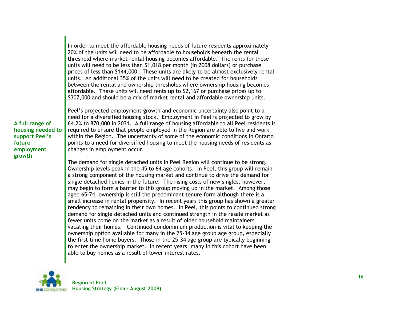In order to meet the affordable housing needs of future residents approximately 20% of the units will need to be affordable to households beneath the rental threshold where market rental housing becomes affordable. The rents for these units will need to be less than \$1,018 per month (in 2008 dollars) or purchase prices of less than \$144,000. These units are likely to be almost exclusively rental units. An additional 35% of the units will need to be created for households between the rental and ownership thresholds where ownership housing becomes affordable. These units will need rents up to \$2,167 or purchase prices up to \$307,000 and should be a mix of market rental and affordable ownership units.

**A full range of housing needed to support Peel's future employment growth**

Peel"s projected employment growth and economic uncertainty also point to a need for a diversified housing stock. Employment in Peel is projected to grow by 64.2% to 870,000 in 2031. A full range of housing affordable to all Peel residents is required to ensure that people employed in the Region are able to live and work within the Region. The uncertainty of some of the economic conditions in Ontario points to a need for diversified housing to meet the housing needs of residents as changes in employment occur.

The demand for single detached units in Peel Region will continue to be strong. Ownership levels peak in the 45 to 64 age cohorts. In Peel, this group will remain a strong component of the housing market and continue to drive the demand for single detached homes in the future. The rising costs of new singles, however, may begin to form a barrier to this group moving up in the market. Among those aged 65-74, ownership is still the predominant tenure form although there is a small increase in rental propensity. In recent years this group has shown a greater tendency to remaining in their own homes. In Peel, this points to continued strong demand for single detached units and continued strength in the resale market as fewer units come on the market as a result of older household maintainers vacating their homes. Continued condominium production is vital to keeping the ownership option available for many in the 25-34 age group age group, especially the first time home buyers. Those in the 25-34 age group are typically beginning to enter the ownership market. In recent years, many in this cohort have been able to buy homes as a result of lower interest rates.

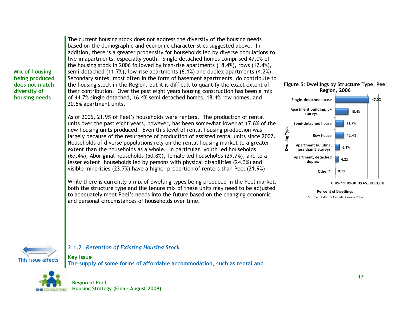**Mix of housing being produced does not match diversity of housing needs**

The current housing stock does not address the diversity of the housing needs based on the demographic and economic characteristics suggested above. In addition, there is a greater propensity for households led by diverse populations to live in apartments, especially youth. Single detached homes comprised 47.0% of the housing stock in 2006 followed by high-rise apartments (18.4%), rows (12.4%), semi-detached (11.7%), low-rise apartments (6.1%) and duplex apartments (4.2%). Secondary suites, most often in the form of basement apartments, do contribute to the housing stock in the Region, but it is difficult to quantify the exact extent of their contribution. Over the past eight years housing construction has been a mix of 44.7% single detached, 16.4% semi detached homes, 18.4% row homes, and 20.5% apartment units.

As of 2006, 21.9% of Peel"s households were renters. The production of rental units over the past eight years, however, has been somewhat lower at 17.6% of the new housing units produced. Even this level of rental housing production was largely because of the resurgence of production of assisted rental units since 2002. Households of diverse populations rely on the rental housing market to a greater extent than the households as a whole. In particular, youth led households (67.4%), Aboriginal households (50.8%), female led households (29.7%), and to a lesser extent, households led by persons with physical disabilities (24.3%) and visible minorities (23.7%) have a higher proportion of renters than Peel (21.9%).

While there is currently a mix of dwelling types being produced in the Peel market, both the structure type and the tenure mix of these units may need to be adjusted to adequately meet Peel"s needs into the future based on the changing economic and personal circumstances of households over time.

<span id="page-28-1"></span>





#### <span id="page-28-0"></span>**2.1.2** *Retention of Existing Housing Stock*

**Key Issue The supply of some forms of affordable accommodation, such as rental and** 

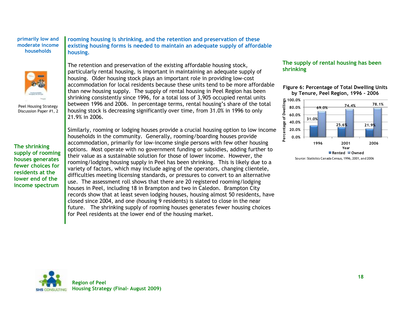#### **primarily low and moderate income households**



Peel Housing Strategy Discussion Paper #1, 2

**The shrinking supply of rooming houses generates fewer choices for residents at the lower end of the income spectrum**

**rooming housing is shrinking, and the retention and preservation of these existing housing forms is needed to maintain an adequate supply of affordable housing.**

The retention and preservation of the existing affordable housing stock, particularly rental housing, is important in maintaining an adequate supply of housing. Older housing stock plays an important role in providing low-cost accommodation for local residents because these units tend to be more affordable than new housing supply. The supply of rental housing in Peel Region has been shrinking consistently since 1996, for a total loss of 3,905 occupied rental units between 1996 and 2006. In percentage terms, rental housing"s share of the total housing stock is decreasing significantly over time, from 31.0% in 1996 to only 21.9% in 2006.

Similarly, rooming or lodging houses provide a crucial housing option to low income households in the community. Generally, rooming/boarding houses provide accommodation, primarily for low-income single persons with few other housing options. Most operate with no government funding or subsidies, adding further to their value as a sustainable solution for those of lower income. However, the rooming/lodging housing supply in Peel has been shrinking. This is likely due to a variety of factors, which may include aging of the operators, changing clientele, difficulties meeting licensing standards, or pressures to convert to an alternative use. The assessment roll shows that there are 20 registered rooming/lodging houses in Peel, including 18 in Brampton and two in Caledon. Brampton City records show that at least seven lodging houses, housing almost 50 residents, have closed since 2004, and one (housing 9 residents) is slated to close in the near future. The shrinking supply of rooming houses generates fewer housing choices for Peel residents at the lower end of the housing market.

#### **The supply of rental housing has been shrinking**

#### <span id="page-29-0"></span>**Figure 6: Percentage of Total Dwelling Units by Tenure, Peel Region, 1996 - 2006**



Source: Statistics Canada Census, 1996, 2001, and 2006

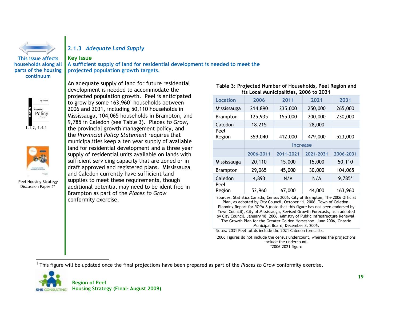

**households along all parts of the housing continuum**

#### <span id="page-30-0"></span>**2.1.3** *Adequate Land Supply*

#### **Key Issue**

**A sufficient supply of land for residential development is needed to meet the projected population growth targets.**



1.1.2, 1.4.1



Peel Housing Strategy Discussion Paper #1

An adequate supply of land for future residential development is needed to accommodate the projected population growth. Peel is anticipated to grow by some  $163,960<sup>1</sup>$  households between 2006 and 2031, including 50,110 households in Mississauga, 104,065 households in Brampton, and 9,785 in Caledon (see [Table 3\)](#page-30-1). Places *to Grow,*  the provincial growth management policy, and the *Provincial Policy Statement* requires that municipalities keep a ten year supply of available land for residential development and a three year supply of residential units available on lands with sufficient servicing capacity that are zoned or in draft approved and registered plans. Mississauga and Caledon currently have sufficient land supplies to meet these requirements, though additional potential may need to be identified in Brampton as part of the *Places to Grow* conformity exercise.

#### <span id="page-30-1"></span>**Table 3: Projected Number of Households, Peel Region and its Local Municipalities, 2006 to 2031**

| Location        | 2006            | 2011      | 2021      | 2031      |  |  |  |
|-----------------|-----------------|-----------|-----------|-----------|--|--|--|
| Mississauga     | 214,890         | 235,000   | 250,000   | 265,000   |  |  |  |
| <b>Brampton</b> | 125,935         | 155,000   | 200,000   | 230,000   |  |  |  |
| Caledon         | 18,215          |           | 28,000    |           |  |  |  |
| Peel<br>Region  | 359,040         | 412,000   | 479,000   | 523,000   |  |  |  |
|                 | <b>Increase</b> |           |           |           |  |  |  |
|                 | 2006-2011       | 2011-2021 | 2021-2031 | 2006-2031 |  |  |  |
| Mississauga     | 20,110          | 15,000    | 15,000    | 50,110    |  |  |  |
| <b>Brampton</b> | 29,065          | 45,000    | 30,000    | 104,065   |  |  |  |
| Caledon         | 4,893           | N/A       | N/A       | 9,785*    |  |  |  |
| Peel<br>Region  | 52,960          | 67,000    | 44,000    | 163,960   |  |  |  |

Sources: Statistics Canada, Census 2006, City of Brampton, The 2006 Official Plan, as adopted by City Council, October 11, 2006, Town of Caledon, Planning Report for ROPA 8 (note that this figure has not been endorsed by Town Council), City of Mississauga, Revised Growth Forecasts, as a adopted by City Council, January 18, 2006, Ministry of Public Infrastructure Renewal, The Growth Plan for the Greater Golden Horseshoe, June 2006, Ontario Municipal Board, December 8, 2006.

Notes: 2031 Peel totals include the 2021 Caledon forecasts.

2006 Figures do not include the census undercount, whereas the projections include the undercount. \*2006-2021 figure

 $\overline{a}$ 1 This figure will be updated once the final projections have been prepared as part of the *Places to Grow* conformity exercise.

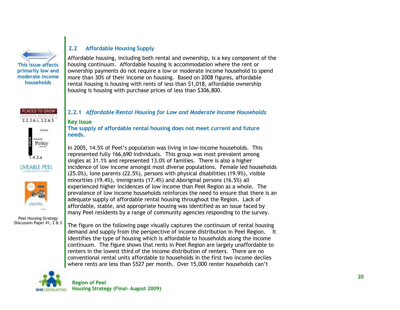

#### <span id="page-31-0"></span>**2.2 Affordable Housing Supply**

Affordable housing, including both rental and ownership, is a key component of the housing continuum. Affordable housing is accommodation where the rent or ownership payments do not require a low or moderate income household to spend more than 30% of their income on housing. Based on 2008 figures, affordable rental housing is housing with rents of less than \$1,018, affordable ownership housing is housing with purchase prices of less than \$306,800.

#### LACES TO GROW ATTEN DISTOR ANOTHE FITTER 2.2.3.6.i, 3.2.6.5

Policy  $\overline{1.4.3.a}$ 





Peel Housing Strategy Discussion Paper #1, 2 & 3 <span id="page-31-1"></span>**2.2.1** *Affordable Rental Housing for Low and Moderate Income Households*

#### **Key Issue**

**The supply of affordable rental housing does not meet current and future needs.**

In 2005, 14.5% of Peel"s population was living in low-income households. This represented fully 166,690 individuals. This group was most prevalent among singles at 31.1% and represented 13.0% of families. There is also a higher incidence of low income amongst most diverse populations. Female led households (25.0%), lone parents (22.5%), persons with physical disabilities (19.9%), visible minorities (19.4%), immigrants (17.4%) and Aboriginal persons (16.5%) all experienced higher incidences of low income than Peel Region as a whole. The prevalence of low income households reinforces the need to ensure that there is an adequate supply of affordable rental housing throughout the Region. Lack of affordable, stable, and appropriate housing was identified as an issue faced by many Peel residents by a range of community agencies responding to the survey.

The figure on the following page visually captures the continuum of rental housing demand and supply from the perspective of income distribution in Peel Region. It identifies the type of housing which is affordable to households along the income continuum. The figure shows that rents in Peel Region are largely unaffordable to renters in the lowest third of the income distribution of renters. There are no conventional rental units affordable to households in the first two income deciles where rents are less than \$527 per month. Over 15,000 renter households can"t

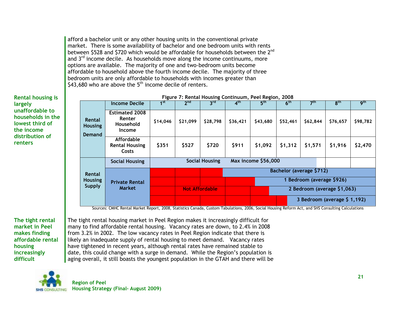afford a bachelor unit or any other housing units in the conventional private market. There is some availability of bachelor and one bedroom units with rents between \$528 and \$720 which would be affordable for households between the 2<sup>nd</sup> and  $3<sup>rd</sup>$  income decile. As households move along the income continuums, more options are available. The majority of one and two-bedroom units become affordable to household above the fourth income decile. The majority of three bedroom units are only affordable to households with incomes greater than \$43,680 who are above the  $5<sup>th</sup>$  income decile of renters.

**Rental housing is largely unaffordable to households in the lowest third of the income distribution of renters**

<span id="page-32-0"></span>

| rigure 7: Rental Housing Continuum, Peel Region, 2006 |                                                        |                 |                 |                       |                             |                            |                 |                           |                              |                 |
|-------------------------------------------------------|--------------------------------------------------------|-----------------|-----------------|-----------------------|-----------------------------|----------------------------|-----------------|---------------------------|------------------------------|-----------------|
|                                                       | <b>Income Decile</b>                                   | 1 <sup>st</sup> | 2 <sup>nd</sup> | $3^{\text{rd}}$       | 4 <sup>th</sup>             | 5 <sup>th</sup>            | 6 <sup>th</sup> | 7 <sup>th</sup>           | 8 <sup>th</sup>              | 9 <sup>th</sup> |
| Rental<br><b>Housing</b><br><b>Demand</b>             | <b>Estimated 2008</b><br>Renter<br>Household<br>Income | \$14,046        | \$21,099        | \$28,798              | \$36,421                    | \$43,680                   | \$52,461        | \$62,844                  | \$76,657                     | \$98,782        |
|                                                       | Affordable<br><b>Rental Housing</b><br>Costs           | \$351           | \$527           | \$720                 | \$911                       | \$1,092                    | \$1,312         | \$1,571                   | \$1,916                      | \$2,470         |
|                                                       | <b>Social Housing</b>                                  |                 |                 | <b>Social Housing</b> |                             | <b>Max income \$56,000</b> |                 |                           |                              |                 |
| Rental                                                |                                                        |                 |                 |                       |                             |                            |                 | Bachelor (average \$712)  |                              |                 |
| <b>Housing</b><br><b>Supply</b>                       | <b>Private Rental</b>                                  |                 |                 |                       |                             |                            |                 | 1 Bedroom (average \$926) |                              |                 |
|                                                       | <b>Market</b>                                          |                 |                 | <b>Not Affordable</b> | 2 Bedroom (average \$1,063) |                            |                 |                           |                              |                 |
|                                                       |                                                        |                 |                 |                       |                             |                            |                 |                           | 3 Bedroom (average \$ 1,192) |                 |

**Figure 7: Rental Housing Continuum, Peel Region, 2008**

Sources: CMHC Rental Market Report, 2008, Statistics Canada, Custom Tabulations, 2006, Social Housing Reform Act, and SHS Consulting Calculations

**The tight rental market in Peel makes finding affordable rental housing increasingly difficult**

The tight rental housing market in Peel Region makes it increasingly difficult for many to find affordable rental housing. Vacancy rates are down, to 2.4% in 2008 from 3.2% in 2002. The low vacancy rates in Peel Region indicate that there is likely an inadequate supply of rental housing to meet demand. Vacancy rates have tightened in recent years, although rental rates have remained stable to date, this could change with a surge in demand. While the Region"s population is aging overall, it still boasts the youngest population in the GTAH and there will be

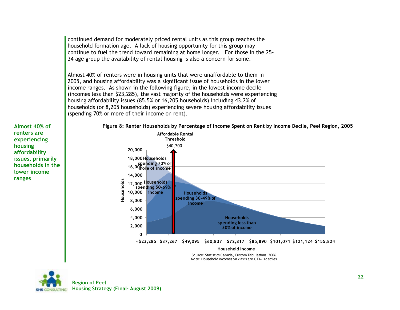continued demand for moderately priced rental units as this group reaches the household formation age. A lack of housing opportunity for this group may continue to fuel the trend toward remaining at home longer. For those in the 25- 34 age group the availability of rental housing is also a concern for some.

Almost 40% of renters were in housing units that were unaffordable to them in 2005, and housing affordability was a significant issue of households in the lower income ranges. As shown in the following figure, in the lowest income decile (incomes less than \$23,285), the vast majority of the households were experiencing housing affordability issues (85.5% or 16,205 households) including 43.2% of households (or 8,205 households) experiencing severe housing affordability issues (spending 70% or more of their income on rent).

**Almost 40% of renters are experiencing housing affordability issues, primarily households in the lower income ranges**

<span id="page-33-0"></span>

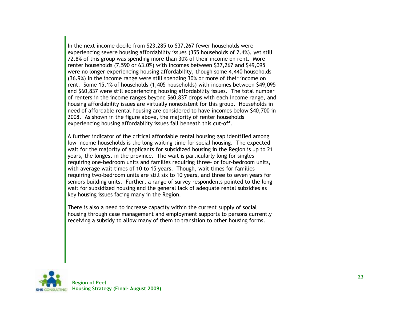In the next income decile from \$23,285 to \$37,267 fewer households were experiencing severe housing affordability issues (355 households of 2.4%), yet still 72.8% of this group was spending more than 30% of their income on rent. More renter households (7,590 or 63.0%) with incomes between \$37,267 and \$49,095 were no longer experiencing housing affordability, though some 4,440 households (36.9%) in the income range were still spending 30% or more of their income on rent. Some 15.1% of households (1,405 households) with incomes between \$49,095 and \$60,837 were still experiencing housing affordability issues. The total number of renters in the income ranges beyond \$60,837 drops with each income range, and housing affordability issues are virtually nonexistent for this group. Households in need of affordable rental housing are considered to have incomes below \$40,700 in 2008. As shown in the figure above, the majority of renter households experiencing housing affordability issues fall beneath this cut-off.

A further indicator of the critical affordable rental housing gap identified among low income households is the long waiting time for social housing. The expected wait for the majority of applicants for subsidized housing in the Region is up to 21 years, the longest in the province. The wait is particularly long for singles requiring one-bedroom units and families requiring three- or four-bedroom units, with average wait times of 10 to 15 years. Though, wait times for families requiring two-bedroom units are still six to 10 years, and three to seven years for seniors building units. Further, a range of survey respondents pointed to the long wait for subsidized housing and the general lack of adequate rental subsidies as key housing issues facing many in the Region.

There is also a need to increase capacity within the current supply of social housing through case management and employment supports to persons currently receiving a subsidy to allow many of them to transition to other housing forms.

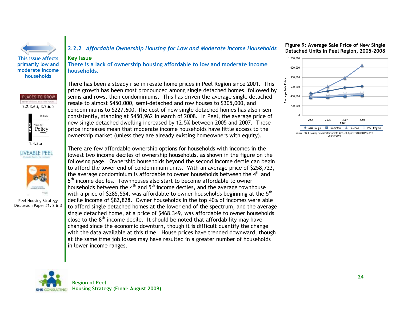

**primarily low and moderate income households** 

#### <span id="page-35-0"></span>**2.2.2** *Affordable Ownership Housing for Low and Moderate Income Households*

#### **Key Issue**

**There is a lack of ownership housing affordable to low and moderate income households.**

PLACES TO GROW 2.2.3.6.i, 3.2.6.5 Policy 1.4.3.a LIVEABLE PEEL



Peel Housing Strategy Discussion Paper #1, 2 & 3 There has been a steady rise in resale home prices in Peel Region since 2001. This price growth has been most pronounced among single detached homes, followed by semis and rows, then condominiums. This has driven the average single detached resale to almost \$450,000, semi-detached and row houses to \$305,000, and condominiums to \$227,600. The cost of new single detached homes has also risen consistently, standing at \$450,962 in March of 2008. In Peel, the average price of new single detached dwelling increased by 12.5% between 2005 and 2007. These price increases mean that moderate income households have little access to the ownership market (unless they are already existing homeowners with equity).

There are few affordable ownership options for households with incomes in the lowest two income deciles of ownership households, as shown in the figure on the following page. Ownership households beyond the second income decile can begin to afford the lower end of condominium units. With an average price of \$258,723, the average condominium is affordable to owner households between the  $4<sup>th</sup>$  and 5<sup>th</sup> income deciles. Townhouses also start to become affordable to owner households between the  $4<sup>th</sup>$  and  $5<sup>th</sup>$  income deciles, and the average townhouse with a price of \$285,554, was affordable to owner households beginning at the  $5<sup>th</sup>$ decile income of \$82,828. Owner households in the top 40% of incomes were able to afford single detached homes at the lower end of the spectrum, and the average single detached home, at a price of \$468,349, was affordable to owner households close to the  $8<sup>th</sup>$  income decile. It should be noted that affordability may have changed since the economic downturn, though it is difficult quantify the change with the data available at this time. House prices have trended downward, though at the same time job losses may have resulted in a greater number of households in lower income ranges.

<span id="page-35-1"></span>**Figure 9: Average Sale Price of New Single Detached Units in Peel Region, 2005-2008**



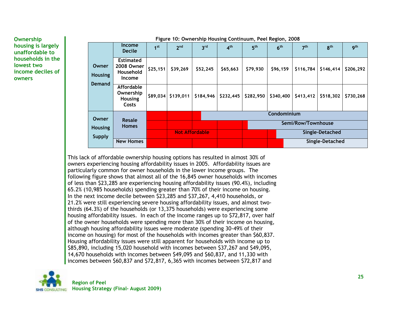**Ownership housing is largely unaffordable to households in the lowest two income deciles of owners**

| Figure 10: Ownership Housing Continuum, Peel Region, 2008 |                                                           |                 |                 |                       |                    |                 |                 |                 |                 |            |
|-----------------------------------------------------------|-----------------------------------------------------------|-----------------|-----------------|-----------------------|--------------------|-----------------|-----------------|-----------------|-----------------|------------|
|                                                           | <b>Income</b><br><b>Decile</b>                            | 1 <sup>st</sup> | 2 <sup>nd</sup> | 3 <sup>rd</sup>       | 4 <sup>th</sup>    | 5 <sup>th</sup> | 6 <sup>th</sup> | 7 <sup>th</sup> | 8 <sup>th</sup> | <b>gth</b> |
| Owner<br><b>Housing</b>                                   | <b>Estimated</b><br>2008 Owner<br>Household<br>Income     | \$25,151        | \$39,269        | \$52,245              | \$65,663           | \$79,930        | \$96,159        | \$116,784       | \$146,414       | \$206,292  |
| <b>Demand</b>                                             | <b>Affordable</b><br>Ownership<br><b>Housing</b><br>Costs | \$89,034        | \$139,011       | \$184,946             | \$232,445          | \$282,950       | \$340,400       | \$413,412       | \$518,302       | \$730,268  |
| Owner                                                     | <b>Resale</b>                                             |                 |                 |                       | Condominium        |                 |                 |                 |                 |            |
| <b>Housing</b><br><b>Supply</b>                           | <b>Homes</b>                                              |                 |                 |                       | Semi/Row/Townhouse |                 |                 |                 |                 |            |
|                                                           |                                                           |                 |                 | <b>Not Affordable</b> |                    |                 | Single-Detached |                 |                 |            |
|                                                           | <b>New Homes</b>                                          |                 |                 |                       |                    | Single-Detached |                 |                 |                 |            |

This lack of affordable ownership housing options has resulted in almost 30% of owners experiencing housing affordability issues in 2005. Affordability issues are particularly common for owner households in the lower income groups. The following figure shows that almost all of the 16,845 owner households with incomes of less than \$23,285 are experiencing housing affordability issues (90.4%), including 65.2% (10,985 households) spending greater than 70% of their income on housing. In the next income decile between \$23,285 and \$37,267, 4,410 households, or 21.2% were still experiencing severe housing affordability issues, and almost twothirds (64.3%) of the households (or 13,375 households) were experiencing some housing affordability issues. In each of the income ranges up to \$72,817, over half of the owner households were spending more than 30% of their income on housing, although housing affordability issues were moderate (spending 30-49% of their income on housing) for most of the households with incomes greater than \$60,837. Housing affordability issues were still apparent for households with income up to \$85,890, including 15,020 household with incomes between \$37,267 and \$49,095, 14,670 households with incomes between \$49,095 and \$60,837, and 11,330 with incomes between \$60,837 and \$72,817, 6,365 with incomes between \$72,817 and

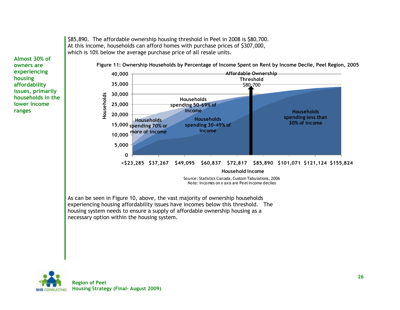

experiencing housing affordability issues have incomes below this threshold. The housing system needs to ensure a supply of affordable ownership housing as a necessary option within the housing system.

\$85,890. The affordable ownership housing threshold in Peel in 2008 is \$80,700.

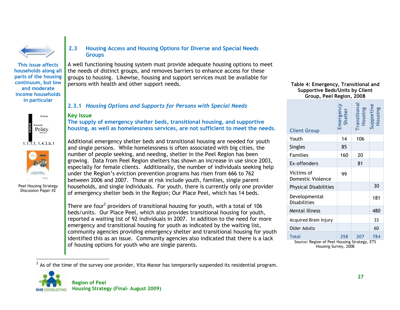

**This issue affects households along all parts of the housing continuum, but low and moderate income households in particular** 





Peel Housing Strategy Discussion Paper #2

 $\overline{a}$ 

### **2.3 Housing Access and Housing Options for Diverse and Special Needs Groups**

A well functioning housing system must provide adequate housing options to meet the needs of distinct groups, and removes barriers to enhance access for these groups to housing. Likewise, housing and support services must be available for persons with health and other support needs.

# **2.3.1** *Housing Options and Supports for Persons with Special Needs*

#### **Key Issue**

**The supply of emergency shelter beds, transitional housing, and supportive housing, as well as homelessness services, are not sufficient to meet the needs***.*

Additional emergency shelter beds and transitional housing are needed for youth and single persons. While homelessness is often associated with big cities, the number of people seeking, and needing, shelter in the Peel Region has been growing. Data from Peel Region shelters has shown an increase in use since 2003, especially for female clients. Additionally, the number of individuals seeking help under the Region"s eviction prevention programs has risen from 666 to 762 between 2006 and 2007. Those at risk include youth, families, single parent households, and single individuals. For youth, there is currently only one provider of emergency shelter beds in the Region; Our Place Peel, which has 14 beds.

There are four<sup>2</sup> providers of transitional housing for youth, with a total of 106 beds/units. Our Place Peel, which also provides transitional housing for youth, reported a waiting list of 92 individuals in 2007. In addition to the need for more emergency and transitional housing for youth as indicated by the waiting list, community agencies providing emergency shelter and transitional housing for youth identified this as an issue. Community agencies also indicated that there is a lack of housing options for youth who are single parents.

#### **Table 4: Emergency, Transitional and Supportive Beds/Units by Client Group, Peel Region, 2008**

| .,,                                    |                      |                         |                       |  |  |  |  |  |
|----------------------------------------|----------------------|-------------------------|-----------------------|--|--|--|--|--|
| <b>Client Group</b>                    | Emergency<br>Shelter | Transitional<br>Housing | Supportive<br>Housing |  |  |  |  |  |
| Youth                                  | 14                   | 106                     |                       |  |  |  |  |  |
| <b>Singles</b>                         | 85                   |                         |                       |  |  |  |  |  |
| <b>Families</b>                        | 160                  | 20                      |                       |  |  |  |  |  |
| Ex-offenders                           |                      | 81                      |                       |  |  |  |  |  |
| Victims of<br><b>Domestic Violence</b> | 99                   |                         |                       |  |  |  |  |  |
| <b>Physical Disabilities</b>           |                      |                         | 30                    |  |  |  |  |  |
| Developmental<br><b>Disabilities</b>   |                      |                         | 181                   |  |  |  |  |  |
| <b>Mental Illness</b>                  |                      |                         | 480                   |  |  |  |  |  |
| Acquired Brain Injury                  |                      |                         | 33                    |  |  |  |  |  |
| <b>Older Adults</b>                    |                      |                         | 60                    |  |  |  |  |  |
| <b>Total</b>                           | 358                  | 207                     | 784                   |  |  |  |  |  |

Source: Region of Peel Housing Strategy, ETS Housing Survey, 2008

 $^2$  As of the time of the survey one provider, Vita Manor has temporarily suspended its residential program.

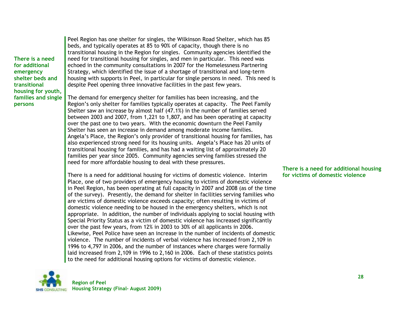**There is a need for additional emergency shelter beds and transitional housing for youth, families and single persons**

Peel Region has one shelter for singles, the Wilkinson Road Shelter, which has 85 beds, and typically operates at 85 to 90% of capacity, though there is no transitional housing in the Region for singles. Community agencies identified the need for transitional housing for singles, and men in particular. This need was echoed in the community consultations in 2007 for the Homelessness Partnering Strategy, which identified the issue of a shortage of transitional and long-term housing with supports in Peel, in particular for single persons in need. This need is despite Peel opening three innovative facilities in the past few years.

The demand for emergency shelter for families has been increasing, and the Region"s only shelter for families typically operates at capacity. The Peel Family Shelter saw an increase by almost half (47.1%) in the number of families served between 2003 and 2007, from 1,221 to 1,807, and has been operating at capacity over the past one to two years. With the economic downturn the Peel Family Shelter has seen an increase in demand among moderate income families. Angela's Place, the Region's only provider of transitional housing for families, has also experienced strong need for its housing units. Angela"s Place has 20 units of transitional housing for families, and has had a waiting list of approximately 20 families per year since 2005. Community agencies serving families stressed the need for more affordable housing to deal with these pressures.

There is a need for additional housing for victims of domestic violence. Interim Place, one of two providers of emergency housing to victims of domestic violence in Peel Region, has been operating at full capacity in 2007 and 2008 (as of the time of the survey). Presently, the demand for shelter in facilities serving families who are victims of domestic violence exceeds capacity; often resulting in victims of domestic violence needing to be housed in the emergency shelters, which is not appropriate. In addition, the number of individuals applying to social housing with Special Priority Status as a victim of domestic violence has increased significantly over the past few years, from 12% in 2003 to 30% of all applicants in 2006. Likewise, Peel Police have seen an increase in the number of incidents of domestic violence. The number of incidents of verbal violence has increased from 2,109 in 1996 to 4,797 in 2006, and the number of instances where charges were formally laid increased from 2,109 in 1996 to 2,160 in 2006. Each of these statistics points to the need for additional housing options for victims of domestic violence.

### **There is a need for additional housing for victims of domestic violence**

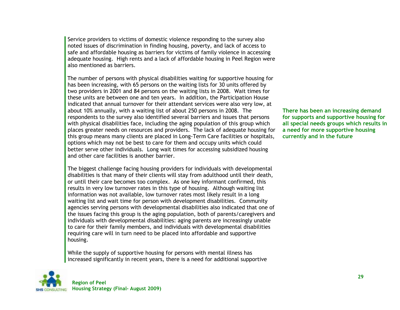Service providers to victims of domestic violence responding to the survey also noted issues of discrimination in finding housing, poverty, and lack of access to safe and affordable housing as barriers for victims of family violence in accessing adequate housing. High rents and a lack of affordable housing in Peel Region were also mentioned as barriers.

The number of persons with physical disabilities waiting for supportive housing for has been increasing, with 65 persons on the waiting lists for 30 units offered by two providers in 2001 and 84 persons on the waiting lists in 2008. Wait times for these units are between one and ten years. In addition, the Participation House indicated that annual turnover for their attendant services were also very low, at about 10% annually, with a waiting list of about 250 persons in 2008. The respondents to the survey also identified several barriers and issues that persons with physical disabilities face, including the aging population of this group which places greater needs on resources and providers. The lack of adequate housing for this group means many clients are placed in Long-Term Care facilities or hospitals, options which may not be best to care for them and occupy units which could better serve other individuals. Long wait times for accessing subsidized housing and other care facilities is another barrier.

The biggest challenge facing housing providers for individuals with developmental disabilities is that many of their clients will stay from adulthood until their death, or until their care becomes too complex. As one key informant confirmed, this results in very low turnover rates in this type of housing. Although waiting list information was not available, low turnover rates most likely result in a long waiting list and wait time for person with development disabilities. Community agencies serving persons with developmental disabilities also indicated that one of the issues facing this group is the aging population, both of parents/caregivers and individuals with developmental disabilities: aging parents are increasingly unable to care for their family members, and individuals with developmental disabilities requiring care will in turn need to be placed into affordable and supportive housing.

While the supply of supportive housing for persons with mental illness has increased significantly in recent years, there is a need for additional supportive



**There has been an increasing demand for supports and supportive housing for all special needs groups which results in a need for more supportive housing currently and in the future**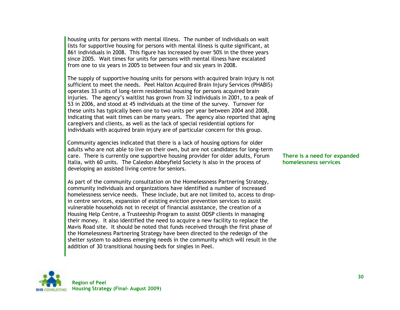housing units for persons with mental illness. The number of individuals on wait lists for supportive housing for persons with mental illness is quite significant, at 861 individuals in 2008. This figure has increased by over 50% in the three years since 2005. Wait times for units for persons with mental illness have escalated from one to six years in 2005 to between four and six years in 2008.

The supply of supportive housing units for persons with acquired brain injury is not sufficient to meet the needs. Peel Halton Acquired Brain Injury Services (PHABIS) operates 33 units of long-term residential housing for persons acquired brain injuries. The agency"s waitlist has grown from 32 individuals in 2001, to a peak of 53 in 2006, and stood at 45 individuals at the time of the survey. Turnover for these units has typically been one to two units per year between 2004 and 2008, indicating that wait times can be many years. The agency also reported that aging caregivers and clients, as well as the lack of special residential options for individuals with acquired brain injury are of particular concern for this group.

Community agencies indicated that there is a lack of housing options for older adults who are not able to live on their own, but are not candidates for long-term care. There is currently one supportive housing provider for older adults, Forum Italia, with 60 units. The Caledon Abbeyfield Society is also in the process of developing an assisted living centre for seniors.

As part of the community consultation on the Homelessness Partnering Strategy, community individuals and organizations have identified a number of increased homelessness service needs. These include, but are not limited to, access to dropin centre services, expansion of existing eviction prevention services to assist vulnerable households not in receipt of financial assistance, the creation of a Housing Help Centre, a Trusteeship Program to assist ODSP clients in managing their money. It also identified the need to acquire a new facility to replace the Mavis Road site. It should be noted that funds received through the first phase of the Homelessness Partnering Strategy have been directed to the redesign of the shelter system to address emerging needs in the community which will result in the addition of 30 transitional housing beds for singles in Peel.



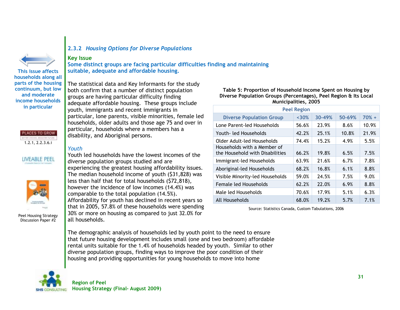

**This issue affects households along all parts of the housing continuum, but low and moderate income households in particular** 



# LIVEABLE PEEL



Peel Housing Strategy Discussion Paper #2

### **2.3.2** *Housing Options for Diverse Populations*

#### **Key Issue**

**Some distinct groups are facing particular difficulties finding and maintaining suitable, adequate and affordable housing.**

The statistical data and Key Informants for the study both confirm that a number of distinct population groups are having particular difficulty finding adequate affordable housing. These groups include youth, immigrants and recent immigrants in particular, lone parents, visible minorities, female led households, older adults and those age 75 and over in particular, households where a members has a disability, and Aboriginal persons.

#### *Youth*

Youth led households have the lowest incomes of the diverse population groups studied and are experiencing the greatest housing affordability issues. The median household income of youth (\$31,828) was less than half that for total households (\$72,818), however the incidence of low incomes (14.4%) was comparable to the total population (14.5%). Affordability for youth has declined in recent years so that in 2005, 57.8% of these households were spending 30% or more on housing as compared to just 32.0% for all households.

**Table 5: Proportion of Household Income Spent on Housing by Diverse Population Groups (Percentages), Peel Region & Its Local Municipalities, 2005**

| <b>Peel Region</b>                                             |       |        |        |         |  |  |  |  |
|----------------------------------------------------------------|-------|--------|--------|---------|--|--|--|--|
| <b>Diverse Population Group</b>                                | ~130% | 30-49% | 50-69% | $70% +$ |  |  |  |  |
| Lone Parent-led Households                                     | 56.6% | 23.9%  | 8.6%   | 10.9%   |  |  |  |  |
| Youth- led Households                                          | 42.2% | 25.1%  | 10.8%  | 21.9%   |  |  |  |  |
| Older Adult-led Households                                     | 74.4% | 15.2%  | 4.9%   | 5.5%    |  |  |  |  |
| Households with a Member of<br>the Household with Disabilities | 66.2% | 19.8%  | 6.5%   | 7.5%    |  |  |  |  |
| Immigrant-led Households                                       | 63.9% | 21.6%  | 6.7%   | 7.8%    |  |  |  |  |
| Aboriginal-led Households                                      | 68.2% | 16.8%  | 6.1%   | 8.8%    |  |  |  |  |
| Visible Minority-led Households                                | 59.0% | 24.5%  | 7.5%   | 9.0%    |  |  |  |  |
| Female led Households                                          | 62.2% | 22.0%  | 6.9%   | 8.8%    |  |  |  |  |
| Male led Households                                            | 70.6% | 17.9%  | 5.1%   | 6.3%    |  |  |  |  |
| All Households                                                 | 68.0% | 19.2%  | 5.7%   | 7.1%    |  |  |  |  |

Source: Statistics Canada, Custom Tabulations, 2006

The demographic analysis of households led by youth point to the need to ensure that future housing development includes small (one and two bedroom) affordable rental units suitable for the 1.4% of households headed by youth. Similar to other diverse population groups, finding ways to improve the poor condition of their housing and providing opportunities for young households to move into home

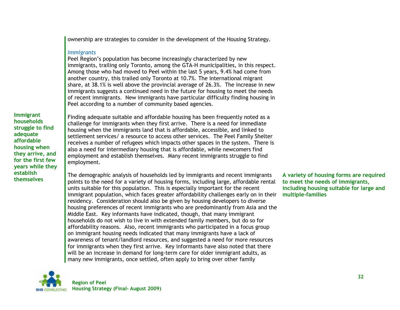ownership are strategies to consider in the development of the Housing Strategy.

#### *Immigrants*

Peel Region's population has become increasingly characterized by new immigrants, trailing only Toronto, among the GTA-H municipalities, in this respect. Among those who had moved to Peel within the last 5 years, 9.4% had come from another country, this trailed only Toronto at 10.7%. The international migrant share, at 38.1% is well above the provincial average of 26.3%. The increase in new immigrants suggests a continued need in the future for housing to meet the needs of recent immigrants. New immigrants have particular difficulty finding housing in Peel according to a number of community based agencies.

**Immigrant households struggle to find adequate affordable housing when they arrive, and for the first few years while they establish themselves**

Finding adequate suitable and affordable housing has been frequently noted as a challenge for immigrants when they first arrive. There is a need for immediate housing when the immigrants land that is affordable, accessible, and linked to settlement services/ a resource to access other services. The Peel Family Shelter receives a number of refugees which impacts other spaces in the system. There is also a need for intermediary housing that is affordable, while newcomers find employment and establish themselves. Many recent immigrants struggle to find employment.

The demographic analysis of households led by immigrants and recent immigrants points to the need for a variety of housing forms, including large, affordable rental units suitable for this population. This is especially important for the recent immigrant population, which faces greater affordability challenges early on in their residency. Consideration should also be given by housing developers to diverse housing preferences of recent immigrants who are predominantly from Asia and the Middle East. Key informants have indicated, though, that many immigrant households do not wish to live in with extended family members, but do so for affordability reasons. Also, recent immigrants who participated in a focus group on immigrant housing needs indicated that many immigrants have a lack of awareness of tenant/landlord resources, and suggested a need for more resources for immigrants when they first arrive. Key informants have also noted that there will be an increase in demand for long-term care for older immigrant adults, as many new immigrants, once settled, often apply to bring over other family

**A variety of housing forms are required to meet the needs of immigrants, including housing suitable for large and multiple-families**

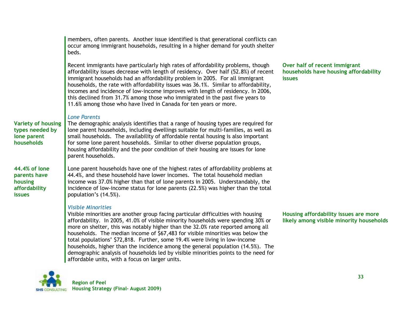|                                                                            | members, often parents. Another issue identified is that generational conflicts can<br>occur among immigrant households, resulting in a higher demand for youth shelter<br>beds.                                                                                                                                                                                                                                                                                                                                                                                                                                                                                                   |                                                                                         |
|----------------------------------------------------------------------------|------------------------------------------------------------------------------------------------------------------------------------------------------------------------------------------------------------------------------------------------------------------------------------------------------------------------------------------------------------------------------------------------------------------------------------------------------------------------------------------------------------------------------------------------------------------------------------------------------------------------------------------------------------------------------------|-----------------------------------------------------------------------------------------|
|                                                                            | Recent immigrants have particularly high rates of affordability problems, though<br>affordability issues decrease with length of residency. Over half (52.8%) of recent<br>immigrant households had an affordability problem in 2005. For all immigrant<br>households, the rate with affordability issues was 36.1%. Similar to affordability,<br>incomes and incidence of low-income improves with length of residency. In 2006,<br>this declined from 31.7% among those who immigrated in the past five years to<br>11.6% among those who have lived in Canada for ten years or more.                                                                                            | Over half of recent immigrant<br>households have housing affordability<br><b>issues</b> |
| <b>Variety of housing</b><br>types needed by<br>lone parent<br>households  | <b>Lone Parents</b><br>The demographic analysis identifies that a range of housing types are required for<br>lone parent households, including dwellings suitable for multi-families, as well as<br>small households. The availability of affordable rental housing is also important<br>for some lone parent households. Similar to other diverse population groups,<br>housing affordability and the poor condition of their housing are issues for lone<br>parent households.                                                                                                                                                                                                   |                                                                                         |
| 44.4% of lone<br>parents have<br>housing<br>affordability<br><b>issues</b> | Lone parent households have one of the highest rates of affordability problems at<br>44.4%, and these household have lower incomes. The total household median<br>income was 37.0% higher than that of lone parents in 2005. Understandably, the<br>incidence of low-income status for lone parents (22.5%) was higher than the total<br>population's (14.5%).                                                                                                                                                                                                                                                                                                                     |                                                                                         |
|                                                                            | <b>Visible Minorities</b><br>Visible minorities are another group facing particular difficulties with housing<br>affordability. In 2005, 41.0% of visible minority households were spending 30% or<br>more on shelter, this was notably higher than the 32.0% rate reported among all<br>households. The median income of \$67,483 for visible minorities was below the<br>total populations' \$72,818. Further, some 19.4% were living in low-income<br>households, higher than the incidence among the general population (14.5%). The<br>demographic analysis of households led by visible minorities points to the need for<br>affordable units, with a focus on larger units. | Housing affordability issues are more<br>likely among visible minority households       |
|                                                                            |                                                                                                                                                                                                                                                                                                                                                                                                                                                                                                                                                                                                                                                                                    |                                                                                         |

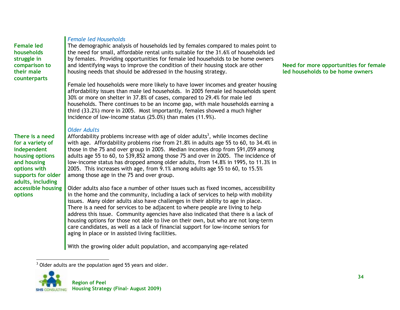**Female led households struggle in comparison to their male counterparts**

#### *Female led Households*

The demographic analysis of households led by females compared to males point to the need for small, affordable rental units suitable for the 31.6% of households led by females. Providing opportunities for female led households to be home owners and identifying ways to improve the condition of their housing stock are other housing needs that should be addressed in the housing strategy.

Female led households were more likely to have lower incomes and greater housing affordability issues than male led households. In 2005 female led households spent 30% or more on shelter in 37.8% of cases, compared to 29.4% for male led households. There continues to be an income gap, with male households earning a third (33.2%) more in 2005. Most importantly, females showed a much higher incidence of low-income status (25.0%) than males (11.9%).

#### *Older Adults*

**There is a need for a variety of independent housing options and housing options with supports for older adults, including accessible housing options**

Affordability problems increase with age of older adults<sup>3</sup>, while incomes decline with age. Affordability problems rise from 21.8% in adults age 55 to 60, to 34.4% in those in the 75 and over group in 2005. Median incomes drop from \$91,059 among adults age 55 to 60, to \$39,852 among those 75 and over in 2005. The incidence of low-income status has dropped among older adults, from 14.8% in 1995, to 11.3% in 2005. This increases with age, from 9.1% among adults age 55 to 60, to 15.5% among those age in the 75 and over group.

Older adults also face a number of other issues such as fixed incomes, accessibility in the home and the community, including a lack of services to help with mobility issues. Many older adults also have challenges in their ability to age in place. There is a need for services to be adjacent to where people are living to help address this issue. Community agencies have also indicated that there is a lack of housing options for those not able to live on their own, but who are not long-term care candidates, as well as a lack of financial support for low-income seniors for aging in place or in assisted living facilities.

With the growing older adult population, and accompanying age-related

 $\overline{a}$  $3$  Older adults are the population aged 55 years and older.



#### **Need for more opportunities for female led households to be home owners**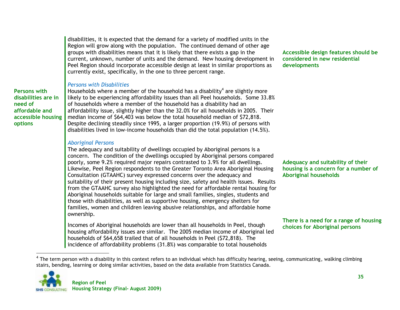disabilities, it is expected that the demand for a variety of modified units in the Region will grow along with the population. The continued demand of other age groups with disabilities means that it is likely that there exists a gap in the current, unknown, number of units and the demand. New housing development in Peel Region should incorporate accessible design at least in similar proportions as currently exist, specifically, in the one to three percent range.

#### *Persons with Disabilities*

**accessible housing**  Households where a member of the household has a disability<sup>4</sup> are slightly more likely to be experiencing affordability issues than all Peel households. Some 33.8% of households where a member of the household has a disability had an affordability issue, slightly higher than the 32.0% for all households in 2005. Their median income of \$64,403 was below the total household median of \$72,818. Despite declining steadily since 1995, a larger proportion (19.9%) of persons with disabilities lived in low-income households than did the total population (14.5%).

#### *Aboriginal Persons*

The adequacy and suitability of dwellings occupied by Aboriginal persons is a concern. The condition of the dwellings occupied by Aboriginal persons compared poorly, some 9.2% required major repairs contrasted to 3.9% for all dwellings. Likewise, Peel Region respondents to the Greater Toronto Area Aboriginal Housing Consultation (GTAAHC) survey expressed concerns over the adequacy and suitability of their present housing including size, safety and health issues. Results from the GTAAHC survey also highlighted the need for affordable rental housing for Aboriginal households suitable for large and small families, singles, students and those with disabilities, as well as supportive housing, emergency shelters for families, women and children leaving abusive relationships, and affordable home ownership.

Incomes of Aboriginal households are lower than all households in Peel, though housing affordability issues are similar. The 2005 median income of Aboriginal led households of \$64,658 trailed that of all households in Peel (\$72,818). The incidence of affordability problems (31.8%) was comparable to total households

#### **Accessible design features should be considered in new residential developments**

**Adequacy and suitability of their housing is a concern for a number of Aboriginal households**

#### **There is a need for a range of housing choices for Aboriginal persons**

 $^4$  The term person with a disability in this context refers to an individual which has difficulty hearing, seeing, communicating, walking climbing stairs, bending, learning or doing similar activities, based on the data available from Statistics Canada.



 $\overline{a}$ 

**Persons with disabilities are in** 

**affordable and** 

**need of** 

**options**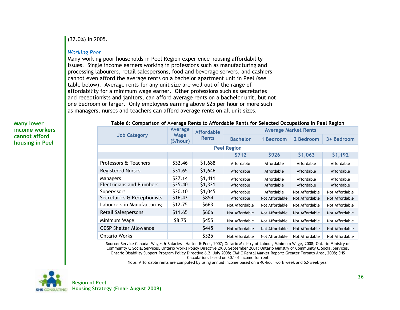(32.0%) in 2005.

#### *Working Poor*

Many working poor households in Peel Region experience housing affordability issues. Single income earners working in professions such as manufacturing and processing labourers, retail salespersons, food and beverage servers, and cashiers cannot even afford the average rents on a bachelor apartment unit in Peel (see table below). Average rents for any unit size are well out of the range of affordability for a minimum wage earner. Other professions such as secretaries and receptionists and janitors, can afford average rents on a bachelor unit, but not one bedroom or larger. Only employees earning above \$25 per hour or more such as managers, nurses and teachers can afford average rents on all unit sizes.

**Many lower income workers cannot afford housing in Peel**

**Table 6: Comparison of Average Rents to Affordable Rents for Selected Occupations in Peel Region**

|                                  | <b>Average</b><br>Wage<br>(S/hour) | <b>Affordable</b><br><b>Rents</b> | <b>Average Market Rents</b> |                |                |                |  |  |
|----------------------------------|------------------------------------|-----------------------------------|-----------------------------|----------------|----------------|----------------|--|--|
| <b>Job Category</b>              |                                    |                                   | <b>Bachelor</b>             | 1 Bedroom      | 2 Bedroom      | 3+ Bedroom     |  |  |
| <b>Peel Region</b>               |                                    |                                   |                             |                |                |                |  |  |
|                                  |                                    |                                   | \$712                       | <b>\$926</b>   | \$1,063        | \$1,192        |  |  |
| Professors & Teachers            | \$32.46                            | \$1,688                           | Affordable                  | Affordable     | Affordable     | Affordable     |  |  |
| <b>Registered Nurses</b>         | \$31.65                            | \$1,646                           | Affordable                  | Affordable     | Affordable     | Affordable     |  |  |
| Managers                         | \$27.14                            | \$1,411                           | Affordable                  | Affordable     | Affordable     | Affordable     |  |  |
| <b>Electricians and Plumbers</b> | \$25.40                            | \$1,321                           | Affordable                  | Affordable     | Affordable     | Affordable     |  |  |
| Supervisors                      | \$20.10                            | \$1,045                           | Affordable                  | Affordable     | Not Affordable | Not Affordable |  |  |
| Secretaries & Receptionists      | \$16.43                            | \$854                             | Affordable                  | Not Affordable | Not Affordable | Not Affordable |  |  |
| Labourers in Manufacturing       | \$12.75                            | \$663                             | Not Affordable              | Not Affordable | Not Affordable | Not Affordable |  |  |
| Retail Salespersons              | \$11.65                            | \$606                             | Not Affordable              | Not Affordable | Not Affordable | Not Affordable |  |  |
| Minimum Wage                     | \$8.75                             | \$455                             | Not Affordable              | Not Affordable | Not Affordable | Not Affordable |  |  |
| <b>ODSP Shelter Allowance</b>    |                                    | \$445                             | Not Affordable              | Not Affordable | Not Affordable | Not Affordable |  |  |
| <b>Ontario Works</b>             |                                    | \$325                             | Not Affordable              | Not Affordable | Not Affordable | Not Affordable |  |  |

Source: Service Canada, Wages & Salaries - Halton & Peel, 2007; Ontario Ministry of Labour, Minimum Wage, 2008; Ontario Ministry of Community & Social Services, Ontario Works Policy Directive 29.0, September 2001; Ontario Ministry of Community & Social Services, Ontario Disability Support Program Policy Directive 6.2, July 2008; CMHC Rental Market Report: Greater Toronto Area, 2008; SHS Calculations based on 30% of income for rent

Note: Affordable rents are computed by using annual income based on a 40-hour work week and 52-week year

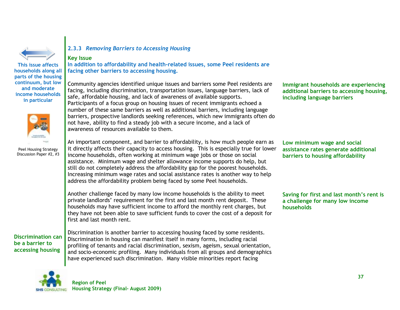

**This issue affects households along all parts of the housing continuum, but low and moderate** 

**income households in particular** 



Peel Housing Strategy Discussion Paper #2, #3

# **2.3.3** *Removing Barriers to Accessing Housing*

#### **Key Issue**

**In addition to affordability and health-related issues, some Peel residents are facing other barriers to accessing housing.**

Community agencies identified unique issues and barriers some Peel residents are facing, including discrimination, transportation issues, language barriers, lack of safe, affordable housing, and lack of awareness of available supports. Participants of a focus group on housing issues of recent immigrants echoed a number of these same barriers as well as additional barriers, including language barriers, prospective landlords seeking references, which new immigrants often do not have, ability to find a steady job with a secure income, and a lack of awareness of resources available to them.

An important component, and barrier to affordability, is how much people earn as it directly affects their capacity to access housing. This is especially true for lower income households, often working at minimum wage jobs or those on social assistance. Minimum wage and shelter allowance income supports do help, but still do not completely address the affordability gap for the poorest households. Increasing minimum wage rates and social assistance rates is another way to help address the affordability problem being faced by some Peel households.

Another challenge faced by many low income households is the ability to meet private landlords" requirement for the first and last month rent deposit. These households may have sufficient income to afford the monthly rent charges, but they have not been able to save sufficient funds to cover the cost of a deposit for first and last month rent.

**Discrimination can be a barrier to accessing housing**

Discrimination is another barrier to accessing housing faced by some residents. Discrimination in housing can manifest itself in many forms, including racial profiling of tenants and racial discrimination, sexism, ageism, sexual orientation, and socio-economic profiling. Many individuals from all groups and demographics have experienced such discrimination. Many visible minorities report facing

**Immigrant households are experiencing additional barriers to accessing housing, including language barriers**

**Low minimum wage and social assistance rates generate additional barriers to housing affordability**

**Saving for first and last month's rent is a challenge for many low income households**

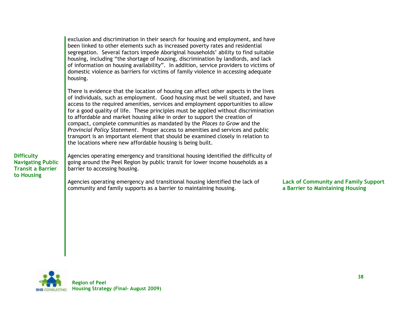|                                                                                         | exclusion and discrimination in their search for housing and employment, and have<br>been linked to other elements such as increased poverty rates and residential<br>segregation. Several factors impede Aboriginal households' ability to find suitable<br>housing, including "the shortage of housing, discrimination by landlords, and lack<br>of information on housing availability". In addition, service providers to victims of<br>domestic violence as barriers for victims of family violence in accessing adequate<br>housing.                                                                                                                                                                                                        |                                                                                 |
|-----------------------------------------------------------------------------------------|---------------------------------------------------------------------------------------------------------------------------------------------------------------------------------------------------------------------------------------------------------------------------------------------------------------------------------------------------------------------------------------------------------------------------------------------------------------------------------------------------------------------------------------------------------------------------------------------------------------------------------------------------------------------------------------------------------------------------------------------------|---------------------------------------------------------------------------------|
|                                                                                         | There is evidence that the location of housing can affect other aspects in the lives<br>of individuals, such as employment. Good housing must be well situated, and have<br>access to the required amenities, services and employment opportunities to allow<br>for a good quality of life. These principles must be applied without discrimination<br>to affordable and market housing alike in order to support the creation of<br>compact, complete communities as mandated by the Places to Grow and the<br>Provincial Policy Statement. Proper access to amenities and services and public<br>transport is an important element that should be examined closely in relation to<br>the locations where new affordable housing is being built. |                                                                                 |
| <b>Difficulty</b><br><b>Navigating Public</b><br><b>Transit a Barrier</b><br>to Housing | Agencies operating emergency and transitional housing identified the difficulty of<br>going around the Peel Region by public transit for lower income households as a<br>barrier to accessing housing.                                                                                                                                                                                                                                                                                                                                                                                                                                                                                                                                            |                                                                                 |
|                                                                                         | Agencies operating emergency and transitional housing identified the lack of<br>community and family supports as a barrier to maintaining housing.                                                                                                                                                                                                                                                                                                                                                                                                                                                                                                                                                                                                | <b>Lack of Community and Family Support</b><br>a Barrier to Maintaining Housing |



**to Housing**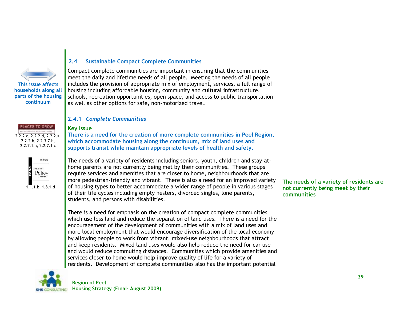

### **2.4 Sustainable Compact Complete Communities**

Compact complete communities are important in ensuring that the communities meet the daily and lifetime needs of all people. Meeting the needs of all people includes the provision of appropriate mix of employment, services, a full range of housing including affordable housing, community and cultural infrastructure, schools, recreation opportunities, open space, and access to public transportation as well as other options for safe, non-motorized travel.

#### **2.4.1** *Complete Communities*

#### **Key Issue**

**There is a need for the creation of more complete communities in Peel Region, which accommodate housing along the continuum, mix of land uses and supports transit while maintain appropriate levels of health and safety.**

Policy

2.2.2.c, 2.2.2.d, 2.2.2.g, 2.2.2.h, 2.2.3.7.b, 2.2.7.1.a, 2.2.7.1.c

PLACES TO GROW

 $1.\overline{1}.1.b$ , 1.8.1.d

The needs of a variety of residents including seniors, youth, children and stay-athome parents are not currently being met by their communities. These groups require services and amenities that are closer to home, neighbourhoods that are more pedestrian-friendly and vibrant. There is also a need for an improved variety of housing types to better accommodate a wider range of people in various stages of their life cycles including empty nesters, divorced singles, lone parents, students, and persons with disabilities.

There is a need for emphasis on the creation of compact complete communities which use less land and reduce the separation of land uses. There is a need for the encouragement of the development of communities with a mix of land uses and more local employment that would encourage diversification of the local economy by allowing people to work from vibrant, mixed-use neighbourhoods that attract and keep residents. Mixed land uses would also help reduce the need for car use and would reduce commuting distances. Communities which provide amenities and services closer to home would help improve quality of life for a variety of residents. Development of complete communities also has the important potential



**The needs of a variety of residents are not currently being meet by their communities**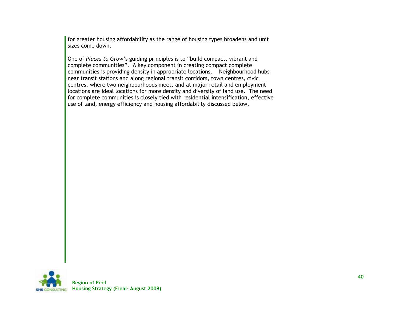for greater housing affordability as the range of housing types broadens and unit sizes come down.

One of *Places to Grow*"s guiding principles is to "build compact, vibrant and complete communities". A key component in creating compact complete communities is providing density in appropriate locations. Neighbourhood hubs near transit stations and along regional transit corridors, town centres, civic centres, where two neighbourhoods meet, and at major retail and employment locations are ideal locations for more density and diversity of land use. The need for complete communities is closely tied with residential intensification, effective use of land, energy efficiency and housing affordability discussed below.

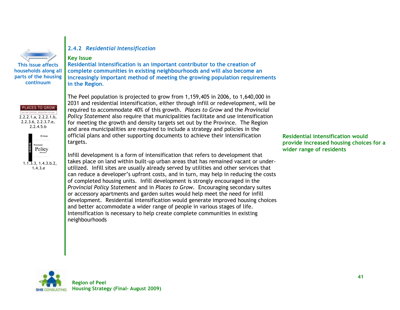

**parts of the housing continuum**

# **ACES TO GROW** 2.2.2.1.a, 2.2.2.1.b, 2.2.3.6, 2.2.3.7.e,  $2.2.4.5.b$



### **2.4.2** *Residential Intensification*

#### **Key Issue**

**Residential intensification is an important contributor to the creation of complete communities in existing neighbourhoods and will also become an increasingly important method of meeting the growing population requirements in the Region***.*

The Peel population is projected to grow from 1,159,405 in 2006, to 1,640,000 in 2031 and residential intensification, either through infill or redevelopment, will be required to accommodate 40% of this growth. *Places to Grow* and the *Provincial Policy Statement* also require that municipalities facilitate and use intensification for meeting the growth and density targets set out by the Province. The Region and area municipalities are required to include a strategy and policies in the official plans and other supporting documents to achieve their intensification targets.

Infill development is a form of intensification that refers to development that takes place on land within built-up urban areas that has remained vacant or underutilized. Infill sites are usually already served by utilities and other services that can reduce a developer"s upfront costs, and in turn, may help in reducing the costs of completed housing units. Infill development is strongly encouraged in the *Provincial Policy Statement* and in *Places to Grow*. Encouraging secondary suites or accessory apartments and garden suites would help meet the need for infill development. Residential intensification would generate improved housing choices and better accommodate a wider range of people in various stages of life. Intensification is necessary to help create complete communities in existing neighbourhoods

**Residential intensification would provide increased housing choices for a wider range of residents**

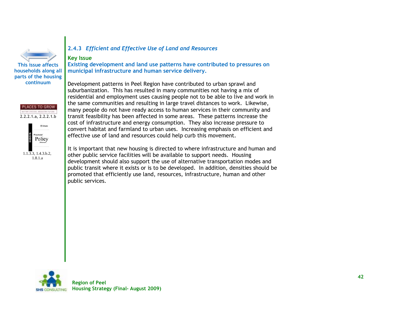





#### **2.4.3** *Efficient and Effective Use of Land and Resources*

#### **Key Issue**

**Existing development and land use patterns have contributed to pressures on municipal infrastructure and human service delivery.**

Development patterns in Peel Region have contributed to urban sprawl and suburbanization. This has resulted in many communities not having a mix of residential and employment uses causing people not to be able to live and work in the same communities and resulting in large travel distances to work. Likewise, many people do not have ready access to human services in their community and transit feasibility has been affected in some areas. These patterns increase the cost of infrastructure and energy consumption. They also increase pressure to convert habitat and farmland to urban uses. Increasing emphasis on efficient and effective use of land and resources could help curb this movement.

It is important that new housing is directed to where infrastructure and human and other public service facilities will be available to support needs. Housing development should also support the use of alternative transportation modes and public transit where it exists or is to be developed. In addition, densities should be promoted that efficiently use land, resources, infrastructure, human and other public services.

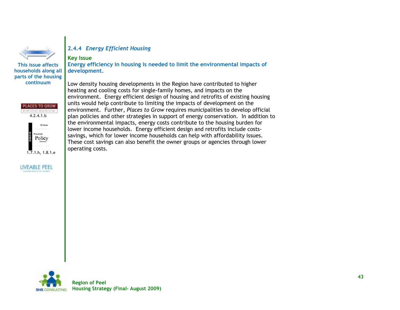

**This issue affects households along all parts of the housing continuum**

4.2.4.1.b

PLACES TO GROW ATTER CHESSE BASETER FATERS

1.7.1.h, 1.8.1.e

LIVEABLE PEEL

Policy

### **2.4.4** *Energy Efficient Housing*

#### **Key Issue**

**Energy efficiency in housing is needed to limit the environmental impacts of development.**

Low density housing developments in the Region have contributed to higher heating and cooling costs for single-family homes, and impacts on the environment. Energy efficient design of housing and retrofits of existing housing units would help contribute to limiting the impacts of development on the environment. Further, *Places to Grow* requires municipalities to develop official plan policies and other strategies in support of energy conservation. In addition to the environmental impacts, energy costs contribute to the housing burden for lower income households. Energy efficient design and retrofits include costssavings, which for lower income households can help with affordability issues. These cost savings can also benefit the owner groups or agencies through lower operating costs.

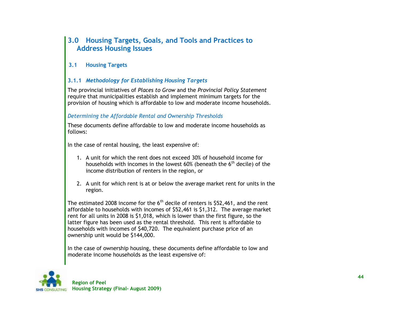# **3.0 Housing Targets, Goals, and Tools and Practices to Address Housing Issues**

# **3.1 Housing Targets**

# **3.1.1** *Methodology for Establishing Housing Targets*

The provincial initiatives of *Places to Grow* and the *Provincial Policy Statement* require that municipalities establish and implement minimum targets for the provision of housing which is affordable to low and moderate income households.

### *Determining the Affordable Rental and Ownership Thresholds*

These documents define affordable to low and moderate income households as follows:

In the case of rental housing, the least expensive of:

- 1. A unit for which the rent does not exceed 30% of household income for households with incomes in the lowest  $60%$  (beneath the  $6<sup>th</sup>$  decile) of the income distribution of renters in the region, or
- 2. A unit for which rent is at or below the average market rent for units in the region.

The estimated 2008 income for the  $6<sup>th</sup>$  decile of renters is \$52,461, and the rent affordable to households with incomes of \$52,461 is \$1,312. The average market rent for all units in 2008 is \$1,018, which is lower than the first figure, so the latter figure has been used as the rental threshold. This rent is affordable to households with incomes of \$40,720. The equivalent purchase price of an ownership unit would be \$144,000.

In the case of ownership housing, these documents define affordable to low and moderate income households as the least expensive of:

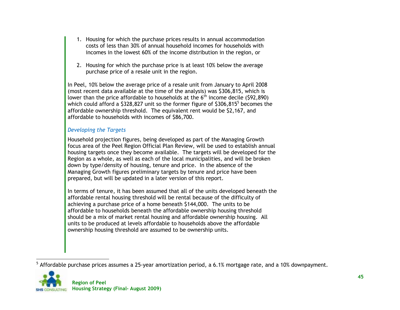- 1. Housing for which the purchase prices results in annual accommodation costs of less than 30% of annual household incomes for households with incomes in the lowest 60% of the income distribution in the region, or
- 2. Housing for which the purchase price is at least 10% below the average purchase price of a resale unit in the region.

In Peel, 10% below the average price of a resale unit from January to April 2008 (most recent data available at the time of the analysis) was \$306,815, which is lower than the price affordable to households at the  $6<sup>th</sup>$  income decile (\$92,890) which could afford a \$328,827 unit so the former figure of \$306,815 $^5$  becomes the affordable ownership threshold. The equivalent rent would be \$2,167, and affordable to households with incomes of \$86,700.

### *Developing the Targets*

Household projection figures, being developed as part of the Managing Growth focus area of the Peel Region Official Plan Review, will be used to establish annual housing targets once they become available. The targets will be developed for the Region as a whole, as well as each of the local municipalities, and will be broken down by type/density of housing, tenure and price. In the absence of the Managing Growth figures preliminary targets by tenure and price have been prepared, but will be updated in a later version of this report.

In terms of tenure, it has been assumed that all of the units developed beneath the affordable rental housing threshold will be rental because of the difficulty of achieving a purchase price of a home beneath \$144,000. The units to be affordable to households beneath the affordable ownership housing threshold should be a mix of market rental housing and affordable ownership housing. All units to be produced at levels affordable to households above the affordable ownership housing threshold are assumed to be ownership units.

 $\overline{a}$  $^5$  Affordable purchase prices assumes a 25-year amortization period, a 6.1% mortgage rate, and a 10% downpayment.

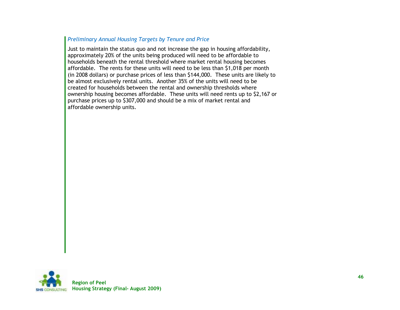#### *Preliminary Annual Housing Targets by Tenure and Price*

Just to maintain the status quo and not increase the gap in housing affordability, approximately 20% of the units being produced will need to be affordable to households beneath the rental threshold where market rental housing becomes affordable. The rents for these units will need to be less than \$1,018 per month (in 2008 dollars) or purchase prices of less than \$144,000. These units are likely to be almost exclusively rental units. Another 35% of the units will need to be created for households between the rental and ownership thresholds where ownership housing becomes affordable. These units will need rents up to \$2,167 or purchase prices up to \$307,000 and should be a mix of market rental and affordable ownership units.

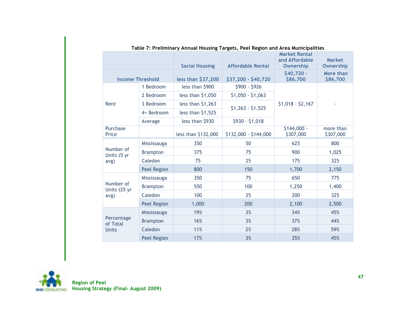|                           |                 | <b>Social Housing</b> | <b>Affordable Rental</b> | <b>Market Rental</b><br>and Affordable<br><b>Ownership</b> | <b>Market</b><br><b>Ownership</b> |
|---------------------------|-----------------|-----------------------|--------------------------|------------------------------------------------------------|-----------------------------------|
| <b>Income Threshold</b>   |                 | less than \$37,200    | \$37,200 - \$40,720      | \$40,720 -<br>\$86,700                                     | More than<br>\$86,700             |
|                           | 1 Bedroom       | less than \$900       | $$900 - $926$            |                                                            |                                   |
|                           | 2 Bedroom       | less than $$1,050$    | $$1,050 - $1,063$        |                                                            |                                   |
| Rent                      | 3 Bedroom       | less than $$1,263$    |                          | $$1,018 - $2,167$                                          |                                   |
|                           | 4+ Bedroom      | less than \$1,525     | $$1,263 - $1,525$        |                                                            |                                   |
|                           | Average         | less than \$930       | $$930 - $1,018$          |                                                            |                                   |
| Purchase<br>Price         |                 | less than \$132,000   | \$132,000 - \$144,000    | $$144,000 -$<br>\$307,000                                  | more than<br>\$307,000            |
|                           | Mississauga     | 350                   | 50                       | 625                                                        | 800                               |
| Number of<br>Units (5 yr  | <b>Brampton</b> | 375                   | 75                       | 900                                                        | 1,025                             |
| avg)                      | Caledon         | 75                    | 25                       | 175                                                        | 325                               |
|                           | Peel Region     | 800                   | 150                      | 1,700                                                      | 2,150                             |
|                           | Mississauga     | 350                   | 75                       | 650                                                        | 775                               |
| Number of<br>Units (25 yr | <b>Brampton</b> | 550                   | 100                      | 1,250                                                      | 1,400                             |
| avg)                      | Caledon         | 100                   | 25                       | 200                                                        | 325                               |
|                           | Peel Region     | 1,000                 | 200                      | 2,100                                                      | 2,500                             |
|                           | Mississauga     | 19%                   | 3%                       | 34%                                                        | 45%                               |
| Percentage<br>of Total    | <b>Brampton</b> | 16%                   | 3%                       | 37%                                                        | 44%                               |
| <b>Units</b>              | Caledon         | 11%                   | 2%                       | 28%                                                        | 59%                               |
|                           | Peel Region     | 17%                   | 3%                       | 35%                                                        | 45%                               |

**Table 7: Preliminary Annual Housing Targets, Peel Region and Area Municipalities**

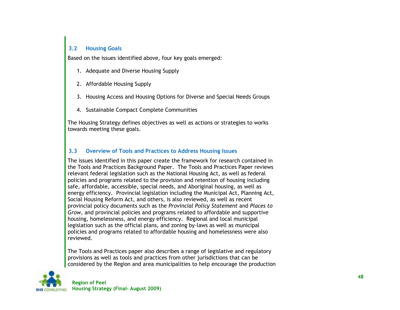### **3.2 Housing Goals**

Based on the issues identified above, four key goals emerged:

- 1. Adequate and Diverse Housing Supply
- 2. Affordable Housing Supply
- 3. Housing Access and Housing Options for Diverse and Special Needs Groups
- 4. Sustainable Compact Complete Communities

The Housing Strategy defines objectives as well as actions or strategies to works towards meeting these goals.

#### **3.3 Overview of Tools and Practices to Address Housing Issues**

The issues identified in this paper create the framework for research contained in the Tools and Practices Background Paper. The Tools and Practices Paper reviews relevant federal legislation such as the National Housing Act, as well as federal policies and programs related to the provision and retention of housing including safe, affordable, accessible, special needs, and Aboriginal housing, as well as energy efficiency. Provincial legislation including the Municipal Act, Planning Act, Social Housing Reform Act, and others, is also reviewed, as well as recent provincial policy documents such as the *Provincial Policy Statement* and *Places to Grow*, and provincial policies and programs related to affordable and supportive housing, homelessness, and energy efficiency. Regional and local municipal legislation such as the official plans, and zoning by-laws as well as municipal policies and programs related to affordable housing and homelessness were also reviewed.

The Tools and Practices paper also describes a range of legislative and regulatory provisions as well as tools and practices from other jurisdictions that can be considered by the Region and area municipalities to help encourage the production

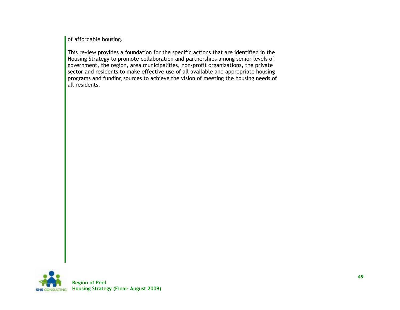of affordable housing.

This review provides a foundation for the specific actions that are identified in the Housing Strategy to promote collaboration and partnerships among senior levels of government, the region, area municipalities, non-profit organizations, the private sector and residents to make effective use of all available and appropriate housing programs and funding sources to achieve the vision of meeting the housing needs of all residents.

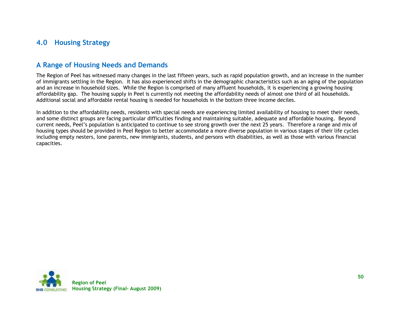# **4.0 Housing Strategy**

# **A Range of Housing Needs and Demands**

The Region of Peel has witnessed many changes in the last fifteen years, such as rapid population growth, and an increase in the number of immigrants settling in the Region. It has also experienced shifts in the demographic characteristics such as an aging of the population and an increase in household sizes. While the Region is comprised of many affluent households, it is experiencing a growing housing affordability gap. The housing supply in Peel is currently not meeting the affordability needs of almost one third of all households. Additional social and affordable rental housing is needed for households in the bottom three income deciles.

In addition to the affordability needs, residents with special needs are experiencing limited availability of housing to meet their needs, and some distinct groups are facing particular difficulties finding and maintaining suitable, adequate and affordable housing. Beyond current needs, Peel"s population is anticipated to continue to see strong growth over the next 25 years. Therefore a range and mix of housing types should be provided in Peel Region to better accommodate a more diverse population in various stages of their life cycles including empty nesters, lone parents, new immigrants, students, and persons with disabilities, as well as those with various financial capacities.

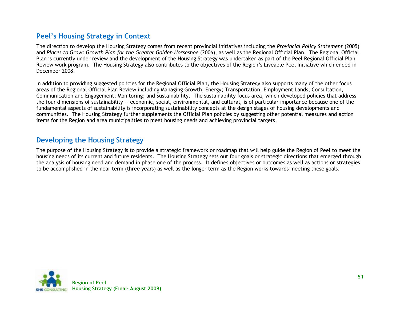# **Peel's Housing Strategy in Context**

The direction to develop the Housing Strategy comes from recent provincial initiatives including the *Provincial Policy Statement* (2005) and *Places to Grow: Growth Plan for the Greater Golden Horseshoe* (2006), as well as the Regional Official Plan. The Regional Official Plan is currently under review and the development of the Housing Strategy was undertaken as part of the Peel Regional Official Plan Review work program. The Housing Strategy also contributes to the objectives of the Region"s Liveable Peel Initiative which ended in December 2008.

In addition to providing suggested policies for the Regional Official Plan, the Housing Strategy also supports many of the other focus areas of the Regional Official Plan Review including Managing Growth; Energy; Transportation; Employment Lands; Consultation, Communication and Engagement; Monitoring; and Sustainability. The sustainability focus area, which developed policies that address the four dimensions of sustainability -- economic, social, environmental, and cultural, is of particular importance because one of the fundamental aspects of sustainability is incorporating sustainability concepts at the design stages of housing developments and communities. The Housing Strategy further supplements the Official Plan policies by suggesting other potential measures and action items for the Region and area municipalities to meet housing needs and achieving provincial targets.

# **Developing the Housing Strategy**

The purpose of the Housing Strategy is to provide a strategic framework or roadmap that will help guide the Region of Peel to meet the housing needs of its current and future residents. The Housing Strategy sets out four goals or strategic directions that emerged through the analysis of housing need and demand in phase one of the process. It defines objectives or outcomes as well as actions or strategies to be accomplished in the near term (three years) as well as the longer term as the Region works towards meeting these goals.

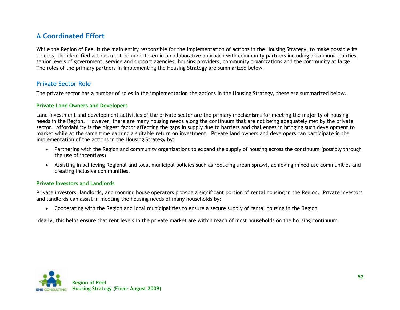# **A Coordinated Effort**

While the Region of Peel is the main entity responsible for the implementation of actions in the Housing Strategy, to make possible its success, the identified actions must be undertaken in a collaborative approach with community partners including area municipalities, senior levels of government, service and support agencies, housing providers, community organizations and the community at large. The roles of the primary partners in implementing the Housing Strategy are summarized below.

# **Private Sector Role**

The private sector has a number of roles in the implementation the actions in the Housing Strategy, these are summarized below.

#### **Private Land Owners and Developers**

Land investment and development activities of the private sector are the primary mechanisms for meeting the majority of housing needs in the Region. However, there are many housing needs along the continuum that are not being adequately met by the private sector. Affordability is the biggest factor affecting the gaps in supply due to barriers and challenges in bringing such development to market while at the same time earning a suitable return on investment. Private land owners and developers can participate in the implementation of the actions in the Housing Strategy by:

- Partnering with the Region and community organizations to expand the supply of housing across the continuum (possibly through the use of incentives)
- Assisting in achieving Regional and local municipal policies such as reducing urban sprawl, achieving mixed use communities and creating inclusive communities.

#### **Private Investors and Landlords**

Private investors, landlords, and rooming house operators provide a significant portion of rental housing in the Region. Private investors and landlords can assist in meeting the housing needs of many households by:

Cooperating with the Region and local municipalities to ensure a secure supply of rental housing in the Region

Ideally, this helps ensure that rent levels in the private market are within reach of most households on the housing continuum.

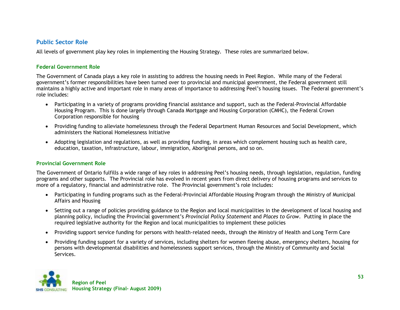### **Public Sector Role**

All levels of government play key roles in implementing the Housing Strategy. These roles are summarized below.

#### **Federal Government Role**

The Government of Canada plays a key role in assisting to address the housing needs in Peel Region. While many of the Federal government"s former responsibilities have been turned over to provincial and municipal government, the Federal government still maintains a highly active and important role in many areas of importance to addressing Peel"s housing issues. The Federal government"s role includes:

- Participating in a variety of programs providing financial assistance and support, such as the Federal-Provincial Affordable Housing Program. This is done largely through Canada Mortgage and Housing Corporation (CMHC), the Federal Crown Corporation responsible for housing
- Providing funding to alleviate homelessness through the Federal Department Human Resources and Social Development, which administers the National Homelessness Initiative
- Adopting legislation and regulations, as well as providing funding, in areas which complement housing such as health care, education, taxation, infrastructure, labour, immigration, Aboriginal persons, and so on.

#### **Provincial Government Role**

The Government of Ontario fulfills a wide range of key roles in addressing Peel"s housing needs, through legislation, regulation, funding programs and other supports. The Provincial role has evolved in recent years from direct delivery of housing programs and services to more of a regulatory, financial and administrative role. The Provincial government's role includes:

- Participating in funding programs such as the Federal-Provincial Affordable Housing Program through the Ministry of Municipal Affairs and Housing
- Setting out a range of policies providing guidance to the Region and local municipalities in the development of local housing and planning policy, including the Provincial government"s *Provincial Policy Statement* and *Places to Grow*. Putting in place the required legislative authority for the Region and local municipalities to implement these policies
- Providing support service funding for persons with health-related needs, through the Ministry of Health and Long Term Care
- Providing funding support for a variety of services, including shelters for women fleeing abuse, emergency shelters, housing for persons with developmental disabilities and homelessness support services, through the Ministry of Community and Social Services.

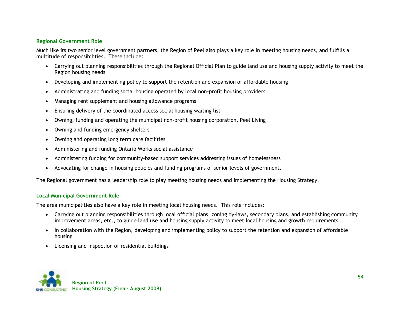#### **Regional Government Role**

Much like its two senior level government partners, the Region of Peel also plays a key role in meeting housing needs, and fulfills a multitude of responsibilities. These include:

- Carrying out planning responsibilities through the Regional Official Plan to guide land use and housing supply activity to meet the Region housing needs
- Developing and implementing policy to support the retention and expansion of affordable housing
- Administrating and funding social housing operated by local non-profit housing providers
- Managing rent supplement and housing allowance programs
- Ensuring delivery of the coordinated access social housing waiting list
- Owning, funding and operating the municipal non-profit housing corporation, Peel Living
- Owning and funding emergency shelters
- Owning and operating long term care facilities
- Administering and funding Ontario Works social assistance
- Administering funding for community-based support services addressing issues of homelessness
- Advocating for change in housing policies and funding programs of senior levels of government.

The Regional government has a leadership role to play meeting housing needs and implementing the Housing Strategy.

#### **Local Municipal Government Role**

The area municipalities also have a key role in meeting local housing needs. This role includes:

- Carrying out planning responsibilities through local official plans, zoning by-laws, secondary plans, and establishing community improvement areas, etc., to guide land use and housing supply activity to meet local housing and growth requirements
- In collaboration with the Region, developing and implementing policy to support the retention and expansion of affordable housing
- Licensing and inspection of residential buildings

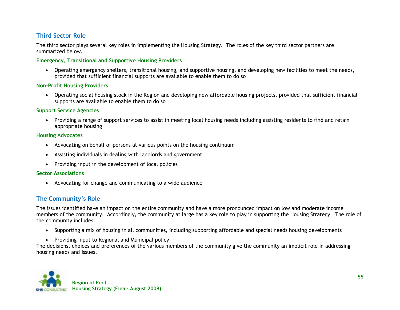# **Third Sector Role**

The third sector plays several key roles in implementing the Housing Strategy. The roles of the key third sector partners are summarized below.

#### **Emergency, Transitional and Supportive Housing Providers**

 Operating emergency shelters, transitional housing, and supportive housing, and developing new facilities to meet the needs, provided that sufficient financial supports are available to enable them to do so

#### **Non-Profit Housing Providers**

 Operating social housing stock in the Region and developing new affordable housing projects, provided that sufficient financial supports are available to enable them to do so

#### **Support Service Agencies**

 Providing a range of support services to assist in meeting local housing needs including assisting residents to find and retain appropriate housing

#### **Housing Advocates**

- Advocating on behalf of persons at various points on the housing continuum
- Assisting individuals in dealing with landlords and government
- Providing input in the development of local policies

#### **Sector Associations**

Advocating for change and communicating to a wide audience

# **The Community's Role**

The issues identified have an impact on the entire community and have a more pronounced impact on low and moderate income members of the community. Accordingly, the community at large has a key role to play in supporting the Housing Strategy. The role of the community includes:

- Supporting a mix of housing in all communities, including supporting affordable and special needs housing developments
- Providing input to Regional and Municipal policy

The decisions, choices and preferences of the various members of the community give the community an implicit role in addressing housing needs and issues.

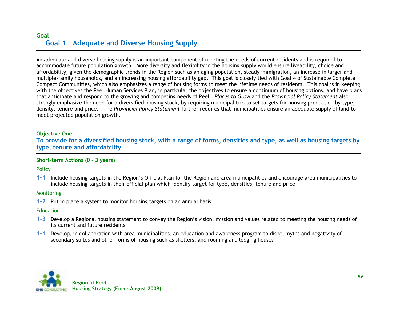# **Goal Goal 1 Adequate and Diverse Housing Supply**

An adequate and diverse housing supply is an important component of meeting the needs of current residents and is required to accommodate future population growth. More diversity and flexibility in the housing supply would ensure liveability, choice and affordability, given the demographic trends in the Region such as an aging population, steady immigration, an increase in larger and multiple-family households, and an increasing housing affordability gap. This goal is closely tied with Goal 4 of Sustainable Complete Compact Communities, which also emphasizes a range of housing forms to meet the lifetime needs of residents*.* This goal is in keeping with the objectives the Peel Human Services Plan, in particular the objectives to ensure a continuum of housing options, and have plans that anticipate and respond to the growing and competing needs of Peel. *Places to Grow* and the *Provincial Policy Statement* also strongly emphasize the need for a diversified housing stock, by requiring municipalities to set targets for housing production by type, density, tenure and price. The *Provincial Policy Statement* further requires that municipalities ensure an adequate supply of land to meet projected population growth.

#### **Objective One**

**To provide for a diversified housing stock, with a range of forms, densities and type, as well as housing targets by type, tenure and affordability**

#### **Short-term Actions (0 – 3 years)**

#### **Policy**

**1-1** Include housing targets in the Region"s Official Plan for the Region and area municipalities and encourage area municipalities to include housing targets in their official plan which identify target for type, densities, tenure and price

#### **Monitoring**

**1-2** Put in place a system to monitor housing targets on an annual basis

#### **Education**

- **1-3** Develop a Regional housing statement to convey the Region"s vision, mission and values related to meeting the housing needs of its current and future residents
- **1-4** Develop, in collaboration with area municipalities, an education and awareness program to dispel myths and negativity of secondary suites and other forms of housing such as shelters, and rooming and lodging houses

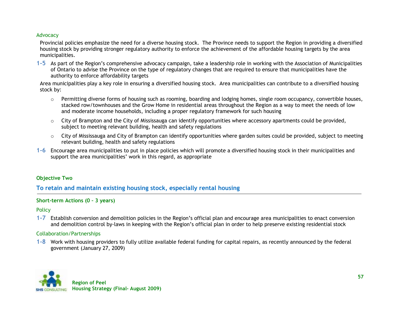#### Advocacy

Provincial policies emphasize the need for a diverse housing stock. The Province needs to support the Region in providing a diversified housing stock by providing stronger regulatory authority to enforce the achievement of the affordable housing targets by the area municipalities.

**1-5** As part of the Region"s comprehensive advocacy campaign, take a leadership role in working with the Association of Municipalities of Ontario to advise the Province on the type of regulatory changes that are required to ensure that municipalities have the authority to enforce affordability targets

Area municipalities play a key role in ensuring a diversified housing stock. Area municipalities can contribute to a diversified housing stock by:

- o Permitting diverse forms of housing such as rooming, boarding and lodging homes, single room occupancy, convertible houses, stacked row/townhouses and the Grow Home in residential areas throughout the Region as a way to meet the needs of low and moderate income households, including a proper regulatory framework for such housing
- $\circ$  City of Brampton and the City of Mississauga can identify opportunities where accessory apartments could be provided, subject to meeting relevant building, health and safety regulations
- o City of Mississauga and City of Brampton can identify opportunities where garden suites could be provided, subject to meeting relevant building, health and safety regulations
- **1-6** Encourage area municipalities to put in place policies which will promote a diversified housing stock in their municipalities and support the area municipalities' work in this regard, as appropriate

#### **Objective Two**

### **To retain and maintain existing housing stock, especially rental housing**

#### **Short-term Actions (0 – 3 years)**

#### **Policy**

**1-7** Establish conversion and demolition policies in the Region"s official plan and encourage area municipalities to enact conversion and demolition control by-laws in keeping with the Region"s official plan in order to help preserve existing residential stock

#### Collaboration/Partnerships

**1-8** Work with housing providers to fully utilize available federal funding for capital repairs, as recently announced by the federal government (January 27, 2009)

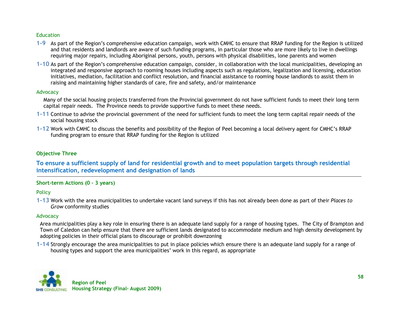#### **Education**

- **1-9** As part of the Region"s comprehensive education campaign, work with CMHC to ensure that RRAP funding for the Region is utilized and that residents and landlords are aware of such funding programs, in particular those who are more likely to live in dwellings requiring major repairs, including Aboriginal persons, youth, persons with physical disabilities, lone parents and women
- **1-10** As part of the Region"s comprehensive education campaign, consider, in collaboration with the local municipalities, developing an integrated and responsive approach to rooming houses including aspects such as regulations, legalization and licensing, education initiatives, mediation, facilitation and conflict resolution, and financial assistance to rooming house landlords to assist them in raising and maintaining higher standards of care, fire and safety, and/or maintenance

#### Advocacy

Many of the social housing projects transferred from the Provincial government do not have sufficient funds to meet their long term capital repair needs. The Province needs to provide supportive funds to meet these needs.

- **1-11** Continue to advise the provincial government of the need for sufficient funds to meet the long term capital repair needs of the social housing stock
- **1-12** Work with CMHC to discuss the benefits and possibility of the Region of Peel becoming a local delivery agent for CMHC"s RRAP funding program to ensure that RRAP funding for the Region is utilized

### **Objective Three**

**To ensure a sufficient supply of land for residential growth and to meet population targets through residential intensification, redevelopment and designation of lands**

#### **Short-term Actions (0 – 3 years)**

**Policy** 

**1-13** Work with the area municipalities to undertake vacant land surveys if this has not already been done as part of their *Places to Grow* conformity studies

#### Advocacy

Area municipalities play a key role in ensuring there is an adequate land supply for a range of housing types. The City of Brampton and Town of Caledon can help ensure that there are sufficient lands designated to accommodate medium and high density development by adopting policies in their official plans to discourage or prohibit downzoning

**1-14** Strongly encourage the area municipalities to put in place policies which ensure there is an adequate land supply for a range of housing types and support the area municipalities' work in this regard, as appropriate

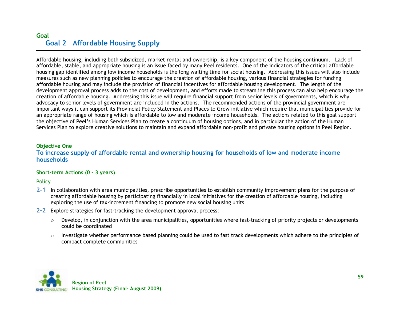# **Goal Goal 2 Affordable Housing Supply**

Affordable housing, including both subsidized, market rental and ownership, is a key component of the housing continuum. Lack of affordable, stable, and appropriate housing is an issue faced by many Peel residents. One of the indicators of the critical affordable housing gap identified among low income households is the long waiting time for social housing. Addressing this issues will also include measures such as new planning policies to encourage the creation of affordable housing, various financial strategies for funding affordable housing and may include the provision of financial incentives for affordable housing development. The length of the development approval process adds to the cost of development, and efforts made to streamline this process can also help encourage the creation of affordable housing. Addressing this issue will require financial support from senior levels of governments, which is why advocacy to senior levels of government are included in the actions. The recommended actions of the provincial government are important ways it can support its Provincial Policy Statement and Places to Grow initiative which require that municipalities provide for an appropriate range of housing which is affordable to low and moderate income households. The actions related to this goal support the objective of Peel"s Human Services Plan to create a continuum of housing options, and in particular the action of the Human Services Plan to explore creative solutions to maintain and expand affordable non-profit and private housing options in Peel Region.

#### **Objective One**

**To increase supply of affordable rental and ownership housing for households of low and moderate income households**

#### **Short-term Actions (0 – 3 years)**

**Policy** 

- **2-1** In collaboration with area municipalities, prescribe opportunities to establish community improvement plans for the purpose of creating affordable housing by participating financially in local initiatives for the creation of affordable housing, including exploring the use of tax-increment financing to promote new social housing units
- **2-2** Explore strategies for fast-tracking the development approval process:
	- $\circ$  Develop, in conjunction with the area municipalities, opportunities where fast-tracking of priority projects or developments could be coordinated
	- $\circ$  Investigate whether performance based planning could be used to fast track developments which adhere to the principles of compact complete communities

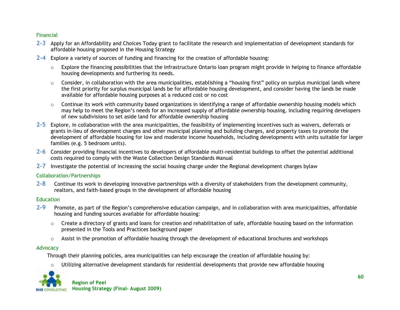#### Financial

- **2-3** Apply for an Affordability and Choices Today grant to facilitate the research and implementation of development standards for affordable housing proposed in the Housing Strategy
- **2-4** Explore a variety of sources of funding and financing for the creation of affordable housing:
	- $\circ$  Explore the financing possibilities that the Infrastructure Ontario loan program might provide in helping to finance affordable housing developments and furthering its needs.
	- o Consider, in collaboration with the area municipalities, establishing a "housing first" policy on surplus municipal lands where the first priority for surplus municipal lands be for affordable housing development, and consider having the lands be made available for affordable housing purposes at a reduced cost or no cost
	- $\circ$  Continue its work with community based organizations in identifying a range of affordable ownership housing models which may help to meet the Region"s needs for an increased supply of affordable ownership housing, including requiring developers of new subdivisions to set aside land for affordable ownership housing
- **2-5** Explore, in collaboration with the area municipalities, the feasibility of implementing incentives such as waivers, deferrals or grants in-lieu of development charges and other municipal planning and building charges, and property taxes to promote the development of affordable housing for low and moderate income households, including developments with units suitable for larger families (e.g. 5 bedroom units).
- **2-6** Consider providing financial incentives to developers of affordable multi-residential buildings to offset the potential additional costs required to comply with the Waste Collection Design Standards Manual
- **2-7** Investigate the potential of increasing the social housing charge under the Regional development charges bylaw

#### Collaboration/Partnerships

**2-8** Continue its work in developing innovative partnerships with a diversity of stakeholders from the development community, realtors, and faith-based groups in the development of affordable housing

#### Education

- **2-9** Promote, as part of the Region"s comprehensive education campaign, and in collaboration with area municipalities, affordable housing and funding sources available for affordable housing:
	- $\circ$  Create a directory of grants and loans for creation and rehabilitation of safe, affordable housing based on the information presented in the Tools and Practices background paper
	- $\circ$  Assist in the promotion of affordable housing through the development of educational brochures and workshops

#### Advocacy

Through their planning policies, area municipalities can help encourage the creation of affordable housing by:

 $\circ$  Utilizing alternative development standards for residential developments that provide new affordable housing

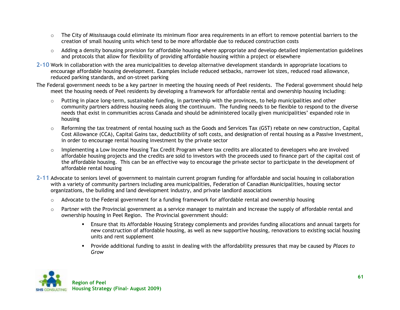- o The City of Mississauga could eliminate its minimum floor area requirements in an effort to remove potential barriers to the creation of small housing units which tend to be more affordable due to reduced construction costs
- $\circ$  Adding a density bonusing provision for affordable housing where appropriate and develop detailed implementation guidelines and protocols that allow for flexibility of providing affordable housing within a project or elsewhere
- **2-10** Work in collaboration with the area municipalities to develop alternative development standards in appropriate locations to encourage affordable housing development. Examples include reduced setbacks, narrower lot sizes, reduced road allowance, reduced parking standards, and on-street parking
- The Federal government needs to be a key partner in meeting the housing needs of Peel residents. The Federal government should help meet the housing needs of Peel residents by developing a framework for affordable rental and ownership housing including:
	- $\circ$  Putting in place long-term, sustainable funding, in partnership with the provinces, to help municipalities and other community partners address housing needs along the continuum. The funding needs to be flexible to respond to the diverse needs that exist in communities across Canada and should be administered locally given municipalities" expanded role in housing
	- o Reforming the tax treatment of rental housing such as the Goods and Services Tax (GST) rebate on new construction, Capital Cost Allowance (CCA), Capital Gains tax, deductibility of soft costs, and designation of rental housing as a Passive Investment, in order to encourage rental housing investment by the private sector
	- $\circ$  Implementing a Low Income Housing Tax Credit Program where tax credits are allocated to developers who are involved affordable housing projects and the credits are sold to investors with the proceeds used to finance part of the capital cost of the affordable housing. This can be an effective way to encourage the private sector to participate in the development of affordable rental housing
- **2-11** Advocate to seniors level of government to maintain current program funding for affordable and social housing in collaboration with a variety of community partners including area municipalities, Federation of Canadian Municipalities, housing sector organizations, the building and land development industry, and private landlord associations
	- $\circ$  Advocate to the Federal government for a funding framework for affordable rental and ownership housing
	- $\circ$  Partner with the Provincial government as a service manager to maintain and increase the supply of affordable rental and ownership housing in Peel Region. The Provincial government should:
		- Ensure that its Affordable Housing Strategy complements and provides funding allocations and annual targets for new construction of affordable housing, as well as new supportive housing, renovations to existing social housing units and rent supplement
		- Provide additional funding to assist in dealing with the affordability pressures that may be caused by *Places to Grow*

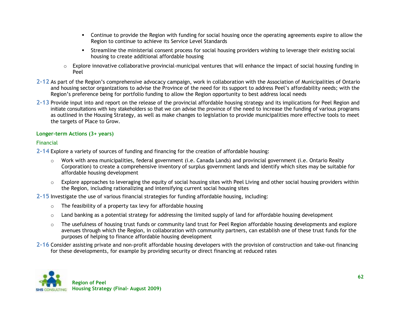- Continue to provide the Region with funding for social housing once the operating agreements expire to allow the Region to continue to achieve its Service Level Standards
- Streamline the ministerial consent process for social housing providers wishing to leverage their existing social housing to create additional affordable housing
- $\circ$  Explore innovative collaborative provincial-municipal ventures that will enhance the impact of social housing funding in Peel
- **2-12** As part of the Region"s comprehensive advocacy campaign, work in collaboration with the Association of Municipalities of Ontario and housing sector organizations to advise the Province of the need for its support to address Peel"s affordability needs; with the Region"s preference being for portfolio funding to allow the Region opportunity to best address local needs
- **2-13** Provide input into and report on the release of the provincial affordable housing strategy and its implications for Peel Region and initiate consultations with key stakeholders so that we can advise the province of the need to increase the funding of various programs as outlined in the Housing Strategy, as well as make changes to legislation to provide municipalities more effective tools to meet the targets of Place to Grow.

### **Longer-term Actions (3+ years)**

#### Financial

**2-14** Explore a variety of sources of funding and financing for the creation of affordable housing:

- $\circ$  Work with area municipalities, federal government (i.e. Canada Lands) and provincial government (i.e. Ontario Realty Corporation) to create a comprehensive inventory of surplus government lands and identify which sites may be suitable for affordable housing development
- o Explore approaches to leveraging the equity of social housing sites with Peel Living and other social housing providers within the Region, including rationalizing and intensifying current social housing sites

**2-15** Investigate the use of various financial strategies for funding affordable housing, including:

- o The feasibility of a property tax levy for affordable housing
- $\circ$  Land banking as a potential strategy for addressing the limited supply of land for affordable housing development
- $\circ$  The usefulness of housing trust funds or community land trust for Peel Region affordable housing developments and explore avenues through which the Region, in collaboration with community partners, can establish one of these trust funds for the purposes of helping to finance affordable housing development
- **2-16** Consider assisting private and non-profit affordable housing developers with the provision of construction and take-out financing for these developments, for example by providing security or direct financing at reduced rates

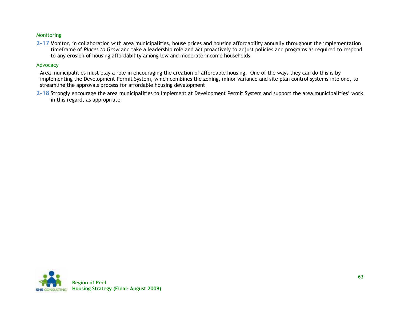#### Monitoring

**2-17** Monitor, in collaboration with area municipalities, house prices and housing affordability annually throughout the implementation timeframe of *Places to Grow* and take a leadership role and act proactively to adjust policies and programs as required to respond to any erosion of housing affordability among low and moderate-income households

#### Advocacy

Area municipalities must play a role in encouraging the creation of affordable housing. One of the ways they can do this is by implementing the Development Permit System, which combines the zoning, minor variance and site plan control systems into one, to streamline the approvals process for affordable housing development

**2-18** Strongly encourage the area municipalities to implement at Development Permit System and support the area municipalities" work in this regard, as appropriate

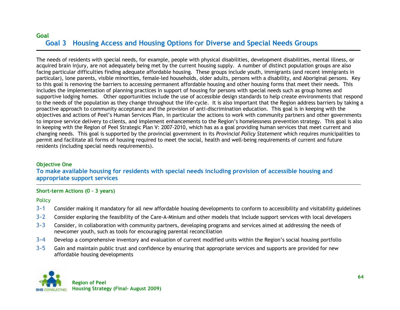# **Goal Goal 3 Housing Access and Housing Options for Diverse and Special Needs Groups**

The needs of residents with special needs, for example, people with physical disabilities, development disabilities, mental illness, or acquired brain injury, are not adequately being met by the current housing supply. A number of distinct population groups are also facing particular difficulties finding adequate affordable housing. These groups include youth, immigrants (and recent immigrants in particular), lone parents, visible minorities, female-led households, older adults, persons with a disability, and Aboriginal persons. Key to this goal is removing the barriers to accessing permanent affordable housing and other housing forms that meet their needs. This includes the implementation of planning practices in support of housing for persons with special needs such as group homes and supportive lodging homes. Other opportunities include the use of accessible design standards to help create environments that respond to the needs of the population as they change throughout the life-cycle. It is also important that the Region address barriers by taking a proactive approach to community acceptance and the provision of anti-discrimination education. This goal is in keeping with the objectives and actions of Peel"s Human Services Plan, in particular the actions to work with community partners and other governments to improve service delivery to clients, and implement enhancements to the Region"s homelessness prevention strategy. This goal is also in keeping with the Region of Peel Strategic Plan V: 2007-2010, which has as a goal providing human services that meet current and changing needs. This goal is supported by the provincial government in its *Provincial Policy Statement* which requires municipalities to permit and facilitate all forms of housing required to meet the social, health and well-being requirements of current and future residents (including special needs requirements).

### **Objective One**

**To make available housing for residents with special needs including provision of accessible housing and appropriate support services**

#### **Short-term Actions (0 – 3 years)**

**Policy** 

- **3-1** Consider making it mandatory for all new affordable housing developments to conform to accessibility and visitability guidelines
- **3-2** Consider exploring the feasibility of the Care-A-Minium and other models that include support services with local developers
- **3-3** Consider, in collaboration with community partners, developing programs and services aimed at addressing the needs of newcomer youth, such as tools for encouraging parental reconciliation
- **3-4** Develop a comprehensive inventory and evaluation of current modified units within the Region"s social housing portfolio
- **3-5** Gain and maintain public trust and confidence by ensuring that appropriate services and supports are provided for new affordable housing developments

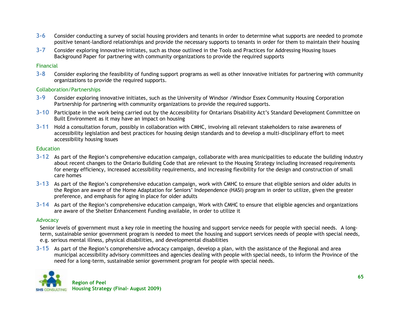- **3-6** Consider conducting a survey of social housing providers and tenants in order to determine what supports are needed to promote positive tenant-landlord relationships and provide the necessary supports to tenants in order for them to maintain their housing
- **3-7** Consider exploring innovative initiates, such as those outlined in the Tools and Practices for Addressing Housing Issues Background Paper for partnering with community organizations to provide the required supports

#### Financial

**3-8** Consider exploring the feasibility of funding support programs as well as other innovative initiates for partnering with community organizations to provide the required supports.

### Collaboration/Partnerships

- **3-9** Consider exploring innovative initiates, such as the University of Windsor /Windsor Essex Community Housing Corporation Partnership for partnering with community organizations to provide the required supports.
- **3-10** Participate in the work being carried out by the Accessibility for Ontarians Disability Act"s Standard Development Committee on Built Environment as it may have an impact on housing
- **3-11** Hold a consultation forum, possibly in collaboration with CMHC, involving all relevant stakeholders to raise awareness of accessibility legislation and best practices for housing design standards and to develop a multi-disciplinary effort to meet accessibility housing issues

#### **Education**

- **3-12** As part of the Region"s comprehensive education campaign, collaborate with area municipalities to educate the building industry about recent changes to the Ontario Building Code that are relevant to the Housing Strategy including increased requirements for energy efficiency, increased accessibility requirements, and increasing flexibility for the design and construction of small care homes
- **3-13** As part of the Region"s comprehensive education campaign, work with CMHC to ensure that eligible seniors and older adults in the Region are aware of the Home Adaptation for Seniors" Independence (HASI) program in order to utilize, given the greater preference, and emphasis for aging in place for older adults
- **3-14** As part of the Region"s comprehensive education campaign, Work with CMHC to ensure that eligible agencies and organizations are aware of the Shelter Enhancement Funding available, in order to utilize it

#### Advocacy

Senior levels of government must a key role in meeting the housing and support service needs for people with special needs. A longterm, sustainable senior government program is needed to meet the housing and support services needs of people with special needs, e.g. serious mental illness, physical disabilities, and developmental disabilities

**3-15** As part of the Region"s comprehensive advocacy campaign, develop a plan, with the assistance of the Regional and area municipal accessibility advisory committees and agencies dealing with people with special needs, to inform the Province of the need for a long-term, sustainable senior government program for people with special needs.

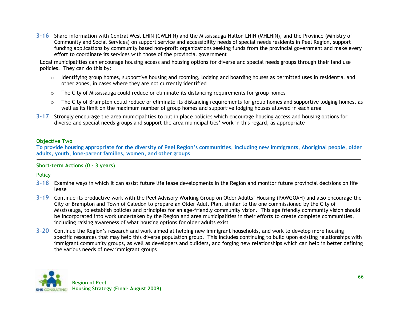**3-16** Share information with Central West LHIN (CWLHIN) and the Mississauga-Halton LHIN (MHLHIN), and the Province (Ministry of Community and Social Services) on support service and accessibility needs of special needs residents in Peel Region, support funding applications by community based non-profit organizations seeking funds from the provincial government and make every effort to coordinate its services with those of the provincial government

Local municipalities can encourage housing access and housing options for diverse and special needs groups through their land use policies. They can do this by:

- $\circ$  Identifying group homes, supportive housing and rooming, lodging and boarding houses as permitted uses in residential and other zones, in cases where they are not currently identified
- $\circ$  The City of Mississauga could reduce or eliminate its distancing requirements for group homes
- $\circ$  The City of Brampton could reduce or eliminate its distancing requirements for group homes and supportive lodging homes, as well as its limit on the maximum number of group homes and supportive lodging houses allowed in each area
- **3-17** Strongly encourage the area municipalities to put in place policies which encourage housing access and housing options for diverse and special needs groups and support the area municipalities' work in this regard, as appropriate

#### **Objective Two**

**To provide housing appropriate for the diversity of Peel Region's communities, including new immigrants, Aboriginal people, older adults, youth, lone-parent families, women, and other groups**

### **Short-term Actions (0 – 3 years)**

Policy

- **3-18** Examine ways in which it can assist future life lease developments in the Region and monitor future provincial decisions on life lease
- **3-19** Continue its productive work with the Peel Advisory Working Group on Older Adults" Housing (PAWGOAH) and also encourage the City of Brampton and Town of Caledon to prepare an Older Adult Plan, similar to the one commissioned by the City of Mississauga, to establish policies and principles for an age-friendly community vision. This age friendly community vision should be incorporated into work undertaken by the Region and area municipalities in their efforts to create complete communities, including raising awareness of what housing options for older adults exist
- **3-20** Continue the Region"s research and work aimed at helping new immigrant households, and work to develop more housing specific resources that may help this diverse population group. This includes continuing to build upon existing relationships with immigrant community groups, as well as developers and builders, and forging new relationships which can help in better defining the various needs of new immigrant groups

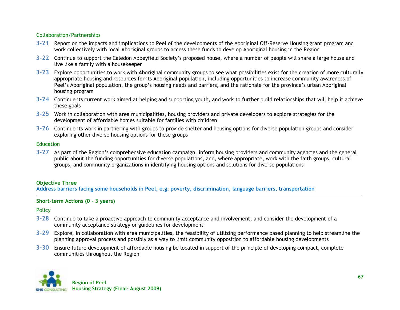### Collaboration/Partnerships

- **3-21** Report on the impacts and implications to Peel of the developments of the Aboriginal Off-Reserve Housing grant program and work collectively with local Aboriginal groups to access these funds to develop Aboriginal housing in the Region
- **3-22** Continue to support the Caledon Abbeyfield Society"s proposed house, where a number of people will share a large house and live like a family with a housekeeper
- **3-23** Explore opportunities to work with Aboriginal community groups to see what possibilities exist for the creation of more culturally appropriate housing and resources for its Aboriginal population, including opportunities to increase community awareness of Peel's Aboriginal population, the group's housing needs and barriers, and the rationale for the province's urban Aboriginal housing program
- **3-24** Continue its current work aimed at helping and supporting youth, and work to further build relationships that will help it achieve these goals
- **3-25** Work in collaboration with area municipalities, housing providers and private developers to explore strategies for the development of affordable homes suitable for families with children
- **3-26** Continue its work in partnering with groups to provide shelter and housing options for diverse population groups and consider exploring other diverse housing options for these groups

#### **Education**

**3-27** As part of the Region"s comprehensive education campaign, inform housing providers and community agencies and the general public about the funding opportunities for diverse populations, and, where appropriate, work with the faith groups, cultural groups, and community organizations in identifying housing options and solutions for diverse populations

### **Objective Three**

**Address barriers facing some households in Peel, e.g. poverty, discrimination, language barriers, transportation**

#### **Short-term Actions (0 – 3 years)**

#### **Policy**

- **3-28** Continue to take a proactive approach to community acceptance and involvement, and consider the development of a community acceptance strategy or guidelines for development
- **3-29** Explore, in collaboration with area municipalities, the feasibility of utilizing performance based planning to help streamline the planning approval process and possibly as a way to limit community opposition to affordable housing developments
- **3-30** Ensure future development of affordable housing be located in support of the principle of developing compact, complete communities throughout the Region

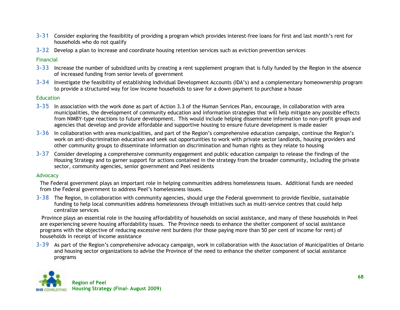- **3-31** Consider exploring the feasibility of providing a program which provides interest-free loans for first and last month"s rent for households who do not qualify
- **3-32** Develop a plan to increase and coordinate housing retention services such as eviction prevention services

#### Financial

- **3-33** Increase the number of subsidized units by creating a rent supplement program that is fully funded by the Region in the absence of increased funding from senior levels of government
- **3-34** Investigate the feasibility of establishing Individual Development Accounts (IDA"s) and a complementary homeownership program to provide a structured way for low income households to save for a down payment to purchase a house

#### **Education**

- **3-35** In association with the work done as part of Action 3.3 of the Human Services Plan, encourage, in collaboration with area municipalities, the development of community education and information strategies that will help mitigate any possible effects from NIMBY-type reactions to future development. This would include helping disseminate information to non-profit groups and agencies that develop and provide affordable and supportive housing to ensure future development is made easier
- **3-36** In collaboration with area municipalities, and part of the Region"s comprehensive education campaign, continue the Region"s work on anti-discrimination education and seek out opportunities to work with private sector landlords, housing providers and other community groups to disseminate information on discrimination and human rights as they relate to housing
- **3-37** Consider developing a comprehensive community engagement and public education campaign to release the findings of the Housing Strategy and to garner support for actions contained in the strategy from the broader community, including the private sector, community agencies, senior government and Peel residents

#### Advocacy

The Federal government plays an important role in helping communities address homelessness issues. Additional funds are needed from the Federal government to address Peel"s homelessness issues.

**3-38** The Region, in collaboration with community agencies, should urge the Federal government to provide flexible, sustainable funding to help local communities address homelessness through initiatives such as multi-service centres that could help centralize services

Province plays an essential role in the housing affordability of households on social assistance, and many of these households in Peel are experiencing severe housing affordability issues. The Province needs to enhance the shelter component of social assistance programs with the objective of reducing excessive rent burdens (for those paying more than 50 per cent of income for rent) of households in receipt of income assistance

**3-39** As part of the Region"s comprehensive advocacy campaign, work in collaboration with the Association of Municipalities of Ontario and housing sector organizations to advise the Province of the need to enhance the shelter component of social assistance programs

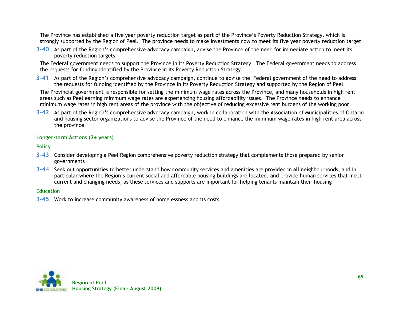The Province has established a five year poverty reduction target as part of the Province"s Poverty Reduction Strategy, which is strongly supported by the Region of Peel. The province needs to make investments now to meet its five year poverty reduction target

**3-40** As part of the Region"s comprehensive advocacy campaign, advise the Province of the need for immediate action to meet its poverty reduction targets

The Federal government needs to support the Province in its Poverty Reduction Strategy. The Federal government needs to address the requests for funding identified by the Province in its Poverty Reduction Strategy

**3-41** As part of the Region"s comprehensive advocacy campaign, continue to advise the Federal government of the need to address the requests for funding identified by the Province in its Poverty Reduction Strategy and supported by the Region of Peel

The Provincial government is responsible for setting the minimum wage rates across the Province, and many households in high rent areas such as Peel earning minimum wage rates are experiencing housing affordability issues. The Province needs to enhance minimum wage rates in high rent areas of the province with the objective of reducing excessive rent burdens of the working poor

**3-42** As part of the Region"s comprehensive advocacy campaign, work in collaboration with the Association of Municipalities of Ontario and housing sector organizations to advise the Province of the need to enhance the minimum wage rates in high rent area across the province

#### **Longer-term Actions (3+ years)**

**Policy** 

- **3-43** Consider developing a Peel Region comprehensive poverty reduction strategy that complements those prepared by senior governments
- **3-44** Seek out opportunities to better understand how community services and amenities are provided in all neighbourhoods, and in particular where the Region"s current social and affordable housing buildings are located, and provide human services that meet current and changing needs, as these services and supports are important for helping tenants maintain their housing

#### **Education**

**3-45** Work to increase community awareness of homelessness and its costs

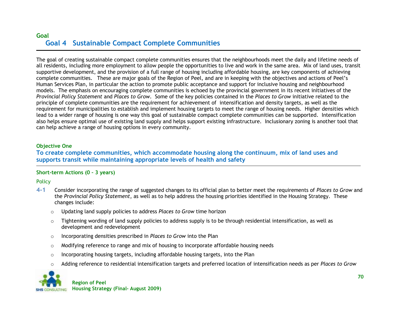# **Goal Goal 4 Sustainable Compact Complete Communities**

The goal of creating sustainable compact complete communities ensures that the neighbourhoods meet the daily and lifetime needs of all residents, including more employment to allow people the opportunities to live and work in the same area. Mix of land uses, transit supportive development, and the provision of a full range of housing including affordable housing, are key components of achieving complete communities. These are major goals of the Region of Peel, and are in keeping with the objectives and actions of Peel"s Human Services Plan, in particular the action to promote public acceptance and support for inclusive housing and neighbourhood models. The emphasis on encouraging complete communities is echoed by the provincial government in its recent initiatives of the *Provincial Policy Statement* and *Places to Grow*. Some of the key policies contained in the *Places to Grow* initiative related to the principle of complete communities are the requirement for achievement of intensification and density targets, as well as the requirement for municipalities to establish and implement housing targets to meet the range of housing needs. Higher densities which lead to a wider range of housing is one way this goal of sustainable compact complete communities can be supported. Intensification also helps ensure optimal use of existing land supply and helps support existing infrastructure. Inclusionary zoning is another tool that can help achieve a range of housing options in every community.

#### **Objective One**

## **To create complete communities, which accommodate housing along the continuum, mix of land uses and supports transit while maintaining appropriate levels of health and safety**

### **Short-term Actions (0 – 3 years)**

**Policy** 

- **4-1** Consider incorporating the range of suggested changes to its official plan to better meet the requirements of *Places to Grow* and the *Provincial Policy Statement*, as well as to help address the housing priorities identified in the Housing Strategy. These changes include:
	- o Updating land supply policies to address *Places to Grow* time horizon
	- $\circ$  Tightening wording of land supply policies to address supply is to be through residential intensification, as well as development and redevelopment
	- o Incorporating densities prescribed in *Places to Grow* into the Plan
	- $\circ$  Modifying reference to range and mix of housing to incorporate affordable housing needs
	- $\circ$  Incorporating housing targets, including affordable housing targets, into the Plan
	- o Adding reference to residential intensification targets and preferred location of intensification needs as per *Places to Grow*

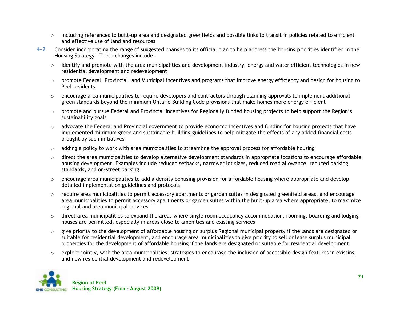- $\circ$  Including references to built-up area and designated greenfields and possible links to transit in policies related to efficient and effective use of land and resources
- **4-2** Consider incorporating the range of suggested changes to its official plan to help address the housing priorities identified in the Housing Strategy. These changes include:
	- $\circ$  identify and promote with the area municipalities and development industry, energy and water efficient technologies in new residential development and redevelopment
	- $\circ$  promote Federal, Provincial, and Municipal incentives and programs that improve energy efficiency and design for housing to Peel residents
	- $\circ$  encourage area municipalities to require developers and contractors through planning approvals to implement additional green standards beyond the minimum Ontario Building Code provisions that make homes more energy efficient
	- $\circ$  promote and pursue Federal and Provincial incentives for Regionally funded housing projects to help support the Region's sustainability goals
	- $\circ$  advocate the Federal and Provincial government to provide economic incentives and funding for housing projects that have implemented minimum green and sustainable building guidelines to help mitigate the effects of any added financial costs brought by such initiatives
	- $\circ$  adding a policy to work with area municipalities to streamline the approval process for affordable housing
	- $\circ$  direct the area municipalities to develop alternative development standards in appropriate locations to encourage affordable housing development. Examples include reduced setbacks, narrower lot sizes, reduced road allowance, reduced parking standards, and on-street parking
	- $\circ$  encourage area municipalities to add a density bonusing provision for affordable housing where appropriate and develop detailed implementation guidelines and protocols
	- $\circ$  require area municipalities to permit accessory apartments or garden suites in designated greenfield areas, and encourage area municipalities to permit accessory apartments or garden suites within the built-up area where appropriate, to maximize regional and area municipal services
	- $\circ$  direct area municipalities to expand the areas where single room occupancy accommodation, rooming, boarding and lodging houses are permitted, especially in areas close to amenities and existing services
	- $\circ$  give priority to the development of affordable housing on surplus Regional municipal property if the lands are designated or suitable for residential development, and encourage area municipalities to give priority to sell or lease surplus municipal properties for the development of affordable housing if the lands are designated or suitable for residential development
	- $\circ$  explore jointly, with the area municipalities, strategies to encourage the inclusion of accessible design features in existing and new residential development and redevelopment

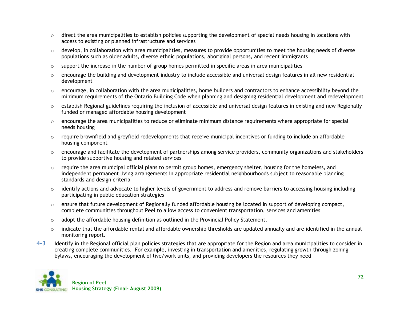- $\circ$  direct the area municipalities to establish policies supporting the development of special needs housing in locations with access to existing or planned infrastructure and services
- $\circ$  develop, in collaboration with area municipalities, measures to provide opportunities to meet the housing needs of diverse populations such as older adults, diverse ethnic populations, aboriginal persons, and recent immigrants
- $\circ$  support the increase in the number of group homes permitted in specific areas in area municipalities
- $\circ$  encourage the building and development industry to include accessible and universal design features in all new residential development
- $\circ$  encourage, in collaboration with the area municipalities, home builders and contractors to enhance accessibility beyond the minimum requirements of the Ontario Building Code when planning and designing residential development and redevelopment
- $\circ$  establish Regional guidelines requiring the inclusion of accessible and universal design features in existing and new Regionally funded or managed affordable housing development
- $\circ$  encourage the area municipalities to reduce or eliminate minimum distance requirements where appropriate for special needs housing
- $\circ$  require brownfield and greyfield redevelopments that receive municipal incentives or funding to include an affordable housing component
- $\circ$  encourage and facilitate the development of partnerships among service providers, community organizations and stakeholders to provide supportive housing and related services
- $\circ$  require the area municipal official plans to permit group homes, emergency shelter, housing for the homeless, and independent permanent living arrangements in appropriate residential neighbourhoods subject to reasonable planning standards and design criteria
- $\circ$  identify actions and advocate to higher levels of government to address and remove barriers to accessing housing including participating in public education strategies
- $\circ$  ensure that future development of Regionally funded affordable housing be located in support of developing compact, complete communities throughout Peel to allow access to convenient transportation, services and amenities
- $\circ$  adopt the affordable housing definition as outlined in the Provincial Policy Statement.
- $\circ$  indicate that the affordable rental and affordable ownership thresholds are updated annually and are identified in the annual monitoring report.
- **4-3** Identify in the Regional official plan policies strategies that are appropriate for the Region and area municipalities to consider in creating complete communities. For example, investing in transportation and amenities, regulating growth through zoning bylaws, encouraging the development of live/work units, and providing developers the resources they need

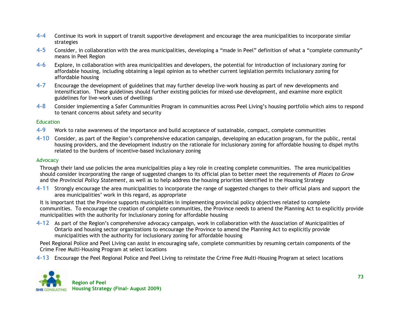- **4-4** Continue its work in support of transit supportive development and encourage the area municipalities to incorporate similar strategies
- **4-5** Consider, in collaboration with the area municipalities, developing a "made in Peel" definition of what a "complete community" means in Peel Region
- **4-6** Explore, in collaboration with area municipalities and developers, the potential for introduction of inclusionary zoning for affordable housing, including obtaining a legal opinion as to whether current legislation permits inclusionary zoning for affordable housing
- **4-7** Encourage the development of guidelines that may further develop live-work housing as part of new developments and intensification. These guidelines should further existing policies for mixed-use development, and examine more explicit guidelines for live-work uses of dwellings
- **4-8** Consider implementing a Safer Communities Program in communities across Peel Living"s housing portfolio which aims to respond to tenant concerns about safety and security

### **Education**

- **4-9** Work to raise awareness of the importance and build acceptance of sustainable, compact, complete communities
- **4-10** Consider, as part of the Region"s comprehensive education campaign, developing an education program, for the public, rental housing providers, and the development industry on the rationale for inclusionary zoning for affordable housing to dispel myths related to the burdens of incentive-based inclusionary zoning

### Advocacy

Through their land use policies the area municipalities play a key role in creating complete communities. The area municipalities should consider incorporating the range of suggested changes to its official plan to better meet the requirements of *Places to Grow* and the *Provincial Policy Statement*, as well as to help address the housing priorities identified in the Housing Strategy

**4-11** Strongly encourage the area municipalities to incorporate the range of suggested changes to their official plans and support the area municipalities' work in this regard, as appropriate

It is important that the Province supports municipalities in implementing provincial policy objectives related to complete communities. To encourage the creation of complete communities, the Province needs to amend the Planning Act to explicitly provide municipalities with the authority for inclusionary zoning for affordable housing

**4-12** As part of the Region"s comprehensive advocacy campaign, work in collaboration with the Association of Municipalities of Ontario and housing sector organizations to encourage the Province to amend the Planning Act to explicitly provide municipalities with the authority for inclusionary zoning for affordable housing

Peel Regional Police and Peel Living can assist in encouraging safe, complete communities by resuming certain components of the Crime Free Multi-Housing Program at select locations

**4-13** Encourage the Peel Regional Police and Peel Living to reinstate the Crime Free Multi-Housing Program at select locations

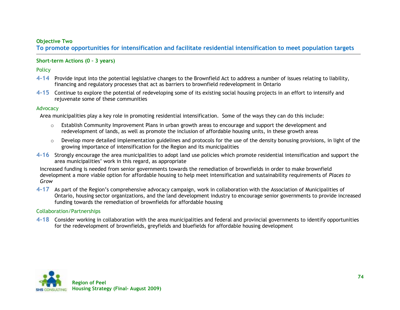### **Objective Two**

**To promote opportunities for intensification and facilitate residential intensification to meet population targets**

### **Short-term Actions (0 – 3 years)**

**Policy** 

- **4-14** Provide input into the potential legislative changes to the Brownfield Act to address a number of issues relating to liability, financing and regulatory processes that act as barriers to brownfield redevelopment in Ontario
- **4-15** Continue to explore the potential of redeveloping some of its existing social housing projects in an effort to intensify and rejuvenate some of these communities

#### Advocacy

Area municipalities play a key role in promoting residential intensification. Some of the ways they can do this include:

- $\circ$  Establish Community Improvement Plans in urban growth areas to encourage and support the development and redevelopment of lands, as well as promote the inclusion of affordable housing units, in these growth areas
- $\circ$  Develop more detailed implementation guidelines and protocols for the use of the density bonusing provisions, in light of the growing importance of intensification for the Region and its municipalities
- **4-16** Strongly encourage the area municipalities to adopt land use policies which promote residential intensification and support the area municipalities' work in this regard, as appropriate

Increased funding is needed from senior governments towards the remediation of brownfields in order to make brownfield development a more viable option for affordable housing to help meet intensification and sustainability requirements of *Places to Grow*

**4-17** As part of the Region"s comprehensive advocacy campaign, work in collaboration with the Association of Municipalities of Ontario, housing sector organizations, and the land development industry to encourage senior governments to provide increased funding towards the remediation of brownfields for affordable housing

### Collaboration/Partnerships

**4-18** Consider working in collaboration with the area municipalities and federal and provincial governments to identify opportunities for the redevelopment of brownfields, greyfields and bluefields for affordable housing development

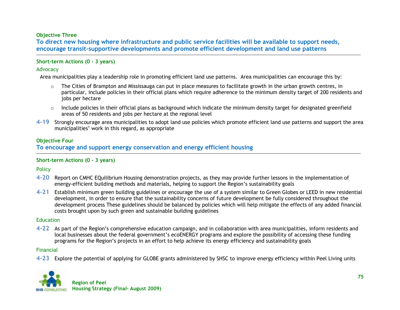# **Objective Three**

**To direct new housing where infrastructure and public service facilities will be available to support needs, encourage transit-supportive developments and promote efficient development and land use patterns**

## **Short-term Actions (0 – 3 years)**

#### Advocacy

Area municipalities play a leadership role in promoting efficient land use patterns. Area municipalities can encourage this by:

- $\circ$  The Cities of Brampton and Mississauga can put in place measures to facilitate growth in the urban growth centres, in particular, include policies in their official plans which require adherence to the minimum density target of 200 residents and jobs per hectare
- $\circ$  Include policies in their official plans as background which indicate the minimum density target for designated greenfield areas of 50 residents and jobs per hectare at the regional level
- **4-19** Strongly encourage area municipalities to adopt land use policies which promote efficient land use patterns and support the area municipalities" work in this regard, as appropriate

## **Objective Four**

**To encourage and support energy conservation and energy efficient housing**

### **Short-term Actions (0 – 3 years)**

**Policy** 

- **4-20** Report on CMHC EQuilibrium Housing demonstration projects, as they may provide further lessons in the implementation of energy-efficient building methods and materials, helping to support the Region"s sustainability goals
- **4-21** Establish minimum green building guidelines or encourage the use of a system similar to Green Globes or LEED in new residential development, in order to ensure that the sustainability concerns of future development be fully considered throughout the development process These guidelines should be balanced by policies which will help mitigate the effects of any added financial costs brought upon by such green and sustainable building guidelines

#### **Education**

**4-22** As part of the Region"s comprehensive education campaign, and in collaboration with area municipalities, inform residents and local businesses about the federal government's ecoENERGY programs and explore the possibility of accessing these funding programs for the Region"s projects in an effort to help achieve its energy efficiency and sustainability goals

### Financial

**4-23** Explore the potential of applying for GLOBE grants administered by SHSC to improve energy efficiency within Peel Living units

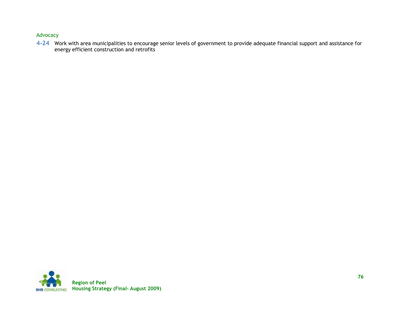## Advocacy

**4-24** Work with area municipalities to encourage senior levels of government to provide adequate financial support and assistance for energy efficient construction and retrofits

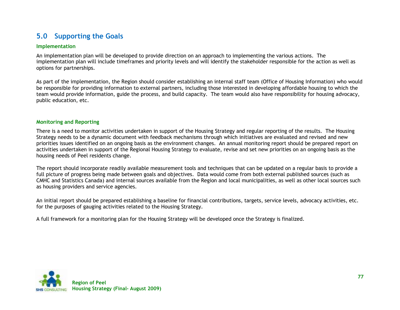# **5.0 Supporting the Goals**

#### **Implementation**

An implementation plan will be developed to provide direction on an approach to implementing the various actions. The implementation plan will include timeframes and priority levels and will identify the stakeholder responsible for the action as well as options for partnerships.

As part of the implementation, the Region should consider establishing an internal staff team (Office of Housing Information) who would be responsible for providing information to external partners, including those interested in developing affordable housing to which the team would provide information, guide the process, and build capacity. The team would also have responsibility for housing advocacy, public education, etc.

#### **Monitoring and Reporting**

There is a need to monitor activities undertaken in support of the Housing Strategy and regular reporting of the results. The Housing Strategy needs to be a dynamic document with feedback mechanisms through which initiatives are evaluated and revised and new priorities issues identified on an ongoing basis as the environment changes. An annual monitoring report should be prepared report on activities undertaken in support of the Regional Housing Strategy to evaluate, revise and set new priorities on an ongoing basis as the housing needs of Peel residents change.

The report should incorporate readily available measurement tools and techniques that can be updated on a regular basis to provide a full picture of progress being made between goals and objectives. Data would come from both external published sources (such as CMHC and Statistics Canada) and internal sources available from the Region and local municipalities, as well as other local sources such as housing providers and service agencies.

An initial report should be prepared establishing a baseline for financial contributions, targets, service levels, advocacy activities, etc. for the purposes of gauging activities related to the Housing Strategy.

A full framework for a monitoring plan for the Housing Strategy will be developed once the Strategy is finalized.

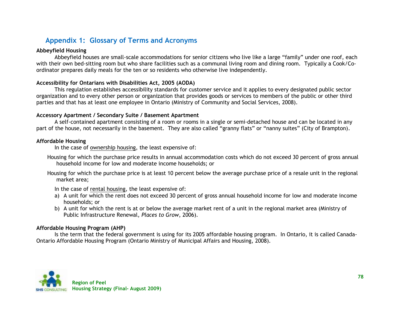# **Appendix 1: Glossary of Terms and Acronyms**

## **Abbeyfield Housing**

Abbeyfield houses are small-scale accommodations for senior citizens who live like a large "family" under one roof, each with their own bed-sitting room but who share facilities such as a communal living room and dining room. Typically a Cook/Coordinator prepares daily meals for the ten or so residents who otherwise live independently.

## **Accessibility for Ontarians with Disabilities Act, 2005 (AODA)**

This regulation establishes accessibility standards for customer service and it applies to every designated public sector organization and to every other person or organization that provides goods or services to members of the public or other third parties and that has at least one employee in Ontario (Ministry of Community and Social Services, 2008).

### **Accessory Apartment / Secondary Suite / Basement Apartment**

A self-contained apartment consisting of a room or rooms in a single or semi-detached house and can be located in any part of the house, not necessarily in the basement. They are also called "granny flats" or "nanny suites" (City of Brampton).

### **Affordable Housing**

In the case of ownership housing, the least expensive of:

Housing for which the purchase price results in annual accommodation costs which do not exceed 30 percent of gross annual household income for low and moderate income households; or

Housing for which the purchase price is at least 10 percent below the average purchase price of a resale unit in the regional market area;

In the case of rental housing, the least expensive of:

- a) A unit for which the rent does not exceed 30 percent of gross annual household income for low and moderate income households; or
- b) A unit for which the rent is at or below the average market rent of a unit in the regional market area (Ministry of Public Infrastructure Renewal, *Places to Grow*, 2006).

### **Affordable Housing Program (AHP)**

Is the term that the federal government is using for its 2005 affordable housing program. In Ontario, it is called Canada-Ontario Affordable Housing Program (Ontario Ministry of Municipal Affairs and Housing, 2008).

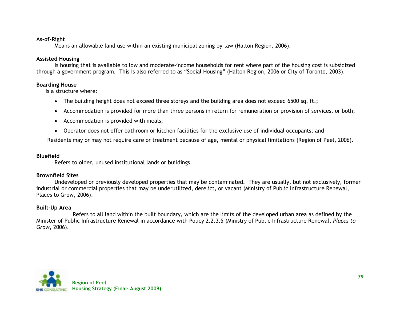## **As-of-Right**

Means an allowable land use within an existing municipal zoning by-law (Halton Region, 2006).

## **Assisted Housing**

Is housing that is available to low and moderate-income households for rent where part of the housing cost is subsidized through a government program. This is also referred to as "Social Housing" (Halton Region, 2006 or City of Toronto, 2003).

## **Boarding House**

Is a structure where:

- The building height does not exceed three storeys and the building area does not exceed 6500 sq. ft.;
- Accommodation is provided for more than three persons in return for remuneration or provision of services, or both;
- Accommodation is provided with meals;
- Operator does not offer bathroom or kitchen facilities for the exclusive use of individual occupants; and

Residents may or may not require care or treatment because of age, mental or physical limitations (Region of Peel, 2006).

## **Bluefield**

Refers to older, unused institutional lands or buildings.

# **Brownfield Sites**

Undeveloped or previously developed properties that may be contaminated. They are usually, but not exclusively, former industrial or commercial properties that may be underutilized, derelict, or vacant (Ministry of Public Infrastructure Renewal, Places to Grow, 2006).

# **Built-Up Area**

Refers to all land within the built boundary, which are the limits of the developed urban area as defined by the Minister of Public Infrastructure Renewal in accordance with Policy 2.2.3.5 (Ministry of Public Infrastructure Renewal, *Places to Grow*, 2006).

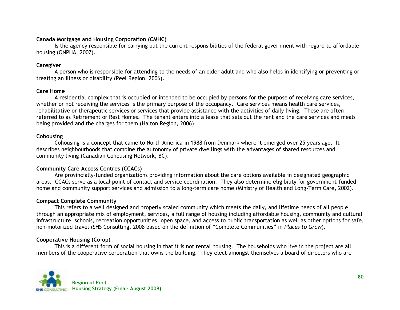# **Canada Mortgage and Housing Corporation (CMHC)**

Is the agency responsible for carrying out the current responsibilities of the federal government with regard to affordable housing (ONPHA, 2007).

# **Caregiver**

A person who is responsible for attending to the needs of an older adult and who also helps in identifying or preventing or treating an illness or disability (Peel Region, 2006).

# **Care Home**

A residential complex that is occupied or intended to be occupied by persons for the purpose of receiving care services, whether or not receiving the services is the primary purpose of the occupancy. Care services means health care services, rehabilitative or therapeutic services or services that provide assistance with the activities of daily living. These are often referred to as Retirement or Rest Homes. The tenant enters into a lease that sets out the rent and the care services and meals being provided and the charges for them (Halton Region, 2006).

# **Cohousing**

Cohousing is a concept that came to North America in 1988 from Denmark where it emerged over 25 years ago. It describes neighbourhoods that combine the autonomy of private dwellings with the advantages of shared resources and community living (Canadian Cohousing Network, BC).

# **Community Care Access Centres (CCACs)**

Are provincially-funded organizations providing information about the care options available in designated geographic areas. CCACs serve as a local point of contact and service coordination. They also determine eligibility for government-funded home and community support services and admission to a long-term care home (Ministry of Health and Long-Term Care, 2002).

# **Compact Complete Community**

This refers to a well designed and properly scaled community which meets the daily, and lifetime needs of all people through an appropriate mix of employment, services, a full range of housing including affordable housing, community and cultural infrastructure, schools, recreation opportunities, open space, and access to public transportation as well as other options for safe, non-motorized travel (SHS Consulting, 2008 based on the definition of "Complete Communities" in *Places to Grow*).

# **Cooperative Housing (Co-op)**

This is a different form of social housing in that it is not rental housing. The households who live in the project are all members of the cooperative corporation that owns the building. They elect amongst themselves a board of directors who are

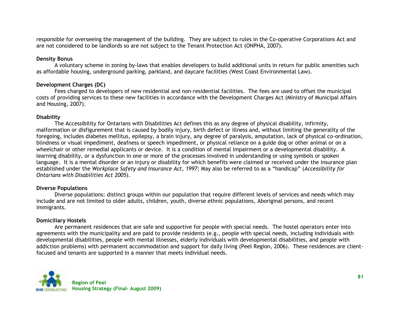responsible for overseeing the management of the building. They are subject to rules in the Co-operative Corporations Act and are not considered to be landlords so are not subject to the Tenant Protection Act (ONPHA, 2007).

# **Density Bonus**

A voluntary scheme in zoning by-laws that enables developers to build additional units in return for public amenities such as affordable housing, underground parking, parkland, and daycare facilities (West Coast Environmental Law).

# **Development Charges (DC)**

Fees charged to developers of new residential and non-residential facilities. The fees are used to offset the municipal costs of providing services to these new facilities in accordance with the Development Charges Act (Ministry of Municipal Affairs and Housing, 2007).

## **Disability**

The Accessibility for Ontarians with Disabilities Act defines this as any degree of physical disability, infirmity, malformation or disfigurement that is caused by bodily injury, birth defect or illness and, without limiting the generality of the foregoing, includes diabetes mellitus, epilepsy, a brain injury, any degree of paralysis, amputation, lack of physical co-ordination, blindness or visual impediment, deafness or speech impediment, or physical reliance on a guide dog or other animal or on a wheelchair or other remedial applicants or device. It is a condition of mental impairment or a developmental disability. A learning disability, or a dysfunction in one or more of the processes involved in understanding or using symbols or spoken language. It is a mental disorder or an injury or disability for which benefits were claimed or received under the insurance plan established under the *Workplace Safety and Insurance Act, 1997;* May also be referred to as a "handicap" (*Accessibility for Ontarians with Disabilities Act 2005*).

### **Diverse Populations**

Diverse populations: distinct groups within our population that require different levels of services and needs which may include and are not limited to older adults, children, youth, diverse ethnic populations, Aboriginal persons, and recent immigrants.

### **Domiciliary Hostels**

Are permanent residences that are safe and supportive for people with special needs. The hostel operators enter into agreements with the municipality and are paid to provide residents (e.g., people with special needs, including individuals with developmental disabilities, people with mental illnesses, elderly individuals with developmental disabilities, and people with addiction problems) with permanent accommodation and support for daily living (Peel Region, 2006). These residences are clientfocused and tenants are supported in a manner that meets individual needs.

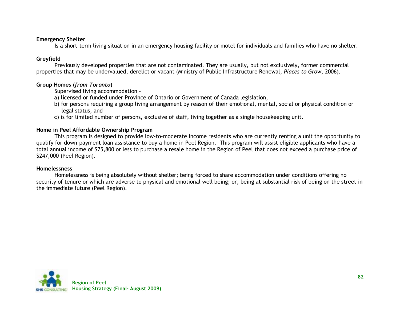## **Emergency Shelter**

Is a short-term living situation in an emergency housing facility or motel for individuals and families who have no shelter.

# **Greyfield**

Previously developed properties that are not contaminated. They are usually, but not exclusively, former commercial properties that may be undervalued, derelict or vacant (Ministry of Public Infrastructure Renewal, *Places to Grow*, 2006).

# **Group Homes (***from Toronto***)**

Supervised living accommodation -

- a) licensed or funded under Province of Ontario or Government of Canada legislation,
- b) for persons requiring a group living arrangement by reason of their emotional, mental, social or physical condition or legal status, and
- c) is for limited number of persons, exclusive of staff, living together as a single housekeeping unit.

# **Home in Peel Affordable Ownership Program**

This program is designed to provide low-to-moderate income residents who are currently renting a unit the opportunity to qualify for down-payment loan assistance to buy a home in Peel Region. This program will assist eligible applicants who have a total annual income of \$75,800 or less to purchase a resale home in the Region of Peel that does not exceed a purchase price of \$247,000 (Peel Region).

# **Homelessness**

Homelessness is being absolutely without shelter; being forced to share accommodation under conditions offering no security of tenure or which are adverse to physical and emotional well being; or, being at substantial risk of being on the street in the immediate future (Peel Region).

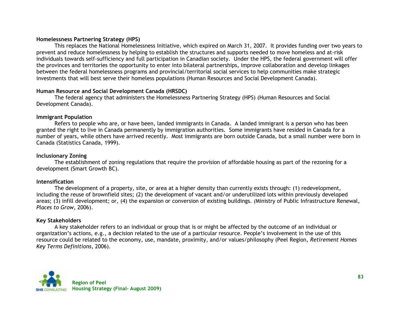# **Homelessness Partnering Strategy (HPS)**

This replaces the National Homelessness Initiative, which expired on March 31, 2007. It provides funding over two years to prevent and reduce homelessness by helping to establish the structures and supports needed to move homeless and at-risk individuals towards self-sufficiency and full participation in Canadian society. Under the HPS, the federal government will offer the provinces and territories the opportunity to enter into bilateral partnerships, improve collaboration and develop linkages between the federal homelessness programs and provincial/territorial social services to help communities make strategic investments that will best serve their homeless populations (Human Resources and Social Development Canada).

# **Human Resource and Social Development Canada (HRSDC)**

The federal agency that administers the Homelessness Partnering Strategy (HPS) (Human Resources and Social Development Canada).

# **Immigrant Population**

Refers to people who are, or have been, landed immigrants in Canada. A landed immigrant is a person who has been granted the right to live in Canada permanently by immigration authorities. Some immigrants have resided in Canada for a number of years, while others have arrived recently. Most immigrants are born outside Canada, but a small number were born in Canada (Statistics Canada, 1999).

## **Inclusionary Zoning**

The establishment of zoning regulations that require the provision of affordable housing as part of the rezoning for a development (Smart Growth BC).

# **Intensification**

The development of a property, site, or area at a higher density than currently exists through: (1) redevelopment, including the reuse of brownfield sites; (2) the development of vacant and/or underutilized lots within previously developed areas; (3) infill development; or, (4) the expansion or conversion of existing buildings. *(*Ministry of Public Infrastructure Renewal, *Places to Grow*, 2006).

# **Key Stakeholders**

A key stakeholder refers to an individual or group that is or might be affected by the outcome of an individual or organization"s actions, e.g., a decision related to the use of a particular resource. People"s involvement in the use of this resource could be related to the economy, use, mandate, proximity, and/or values/philosophy (Peel Region, *Retirement Homes Key Terms Definitions,* 2006).

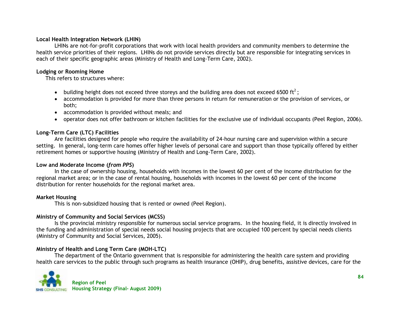# **Local Health Integration Network (LHIN)**

LHINs are not-for-profit corporations that work with local health providers and community members to determine the health service priorities of their regions. LHINs do not provide services directly but are responsible for integrating services in each of their specific geographic areas (Ministry of Health and Long-Term Care, 2002).

## **Lodging or Rooming Home**

This refers to structures where:

- building height does not exceed three storeys and the building area does not exceed 6500 ft<sup>2</sup>;
- accommodation is provided for more than three persons in return for remuneration or the provision of services, or both;
- accommodation is provided without meals; and
- operator does not offer bathroom or kitchen facilities for the exclusive use of individual occupants (Peel Region, 2006).

# **Long-Term Care (LTC) Facilities**

Are facilities designed for people who require the availability of 24-hour nursing care and supervision within a secure setting. In general, long-term care homes offer higher levels of personal care and support than those typically offered by either retirement homes or supportive housing (Ministry of Health and Long-Term Care, 2002).

### **Low and Moderate Income (***from PPS***)**

In the case of ownership housing, households with incomes in the lowest 60 per cent of the income distribution for the regional market area; or in the case of rental housing, households with incomes in the lowest 60 per cent of the income distribution for renter households for the regional market area.

# **Market Housing**

This is non-subsidized housing that is rented or owned (Peel Region).

# **Ministry of Community and Social Services (MCSS)**

Is the provincial ministry responsible for numerous social service programs. In the housing field, it is directly involved in the funding and administration of special needs social housing projects that are occupied 100 percent by special needs clients (Ministry of Community and Social Services, 2005).

# **Ministry of Health and Long Term Care (MOH-LTC)**

The department of the Ontario government that is responsible for administering the health care system and providing health care services to the public through such programs as health insurance (OHIP), drug benefits, assistive devices, care for the

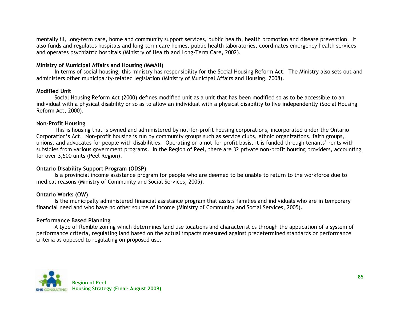mentally ill, long-term care, home and community support services, public health, health promotion and disease prevention. It also funds and regulates hospitals and long-term care homes, public health laboratories, coordinates emergency health services and operates psychiatric hospitals (Ministry of Health and Long-Term Care, 2002).

# **Ministry of Municipal Affairs and Housing (MMAH)**

In terms of social housing, this ministry has responsibility for the Social Housing Reform Act. The Ministry also sets out and administers other municipality-related legislation (Ministry of Municipal Affairs and Housing, 2008).

### **Modified Unit**

Social Housing Reform Act (2000) defines modified unit as a unit that has been modified so as to be accessible to an individual with a physical disability or so as to allow an individual with a physical disability to live independently (Social Housing Reform Act, 2000).

## **Non-Profit Housing**

This is housing that is owned and administered by not-for-profit housing corporations, incorporated under the Ontario Corporation"s Act. Non-profit housing is run by community groups such as service clubs, ethnic organizations, faith groups, unions, and advocates for people with disabilities. Operating on a not-for-profit basis, it is funded through tenants" rents with subsidies from various government programs. In the Region of Peel, there are 32 private non-profit housing providers, accounting for over 3,500 units (Peel Region).

# **Ontario Disability Support Program (ODSP)**

Is a provincial income assistance program for people who are deemed to be unable to return to the workforce due to medical reasons (Ministry of Community and Social Services, 2005).

### **Ontario Works (OW)**

Is the municipally administered financial assistance program that assists families and individuals who are in temporary financial need and who have no other source of income (Ministry of Community and Social Services, 2005).

# **Performance Based Planning**

A type of flexible zoning which determines land use locations and characteristics through the application of a system of performance criteria, regulating land based on the actual impacts measured against predetermined standards or performance criteria as opposed to regulating on proposed use.

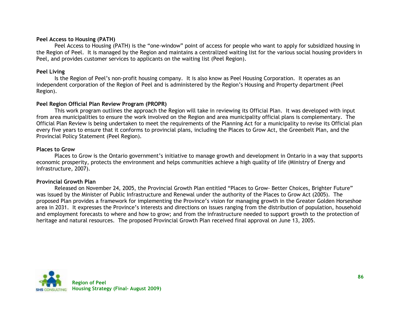## **Peel Access to Housing (PATH)**

Peel Access to Housing (PATH) is the "one-window" point of access for people who want to apply for subsidized housing in the Region of Peel. It is managed by the Region and maintains a centralized waiting list for the various social housing providers in Peel, and provides customer services to applicants on the waiting list (Peel Region).

## **Peel Living**

Is the Region of Peel"s non-profit housing company. It is also know as Peel Housing Corporation. It operates as an independent corporation of the Region of Peel and is administered by the Region"s Housing and Property department (Peel Region).

## **Peel Region Official Plan Review Program (PROPR)**

This work program outlines the approach the Region will take in reviewing its Official Plan. It was developed with input from area municipalities to ensure the work involved on the Region and area municipality official plans is complementary. The Official Plan Review is being undertaken to meet the requirements of the Planning Act for a municipality to revise its Official plan every five years to ensure that it conforms to provincial plans, including the Places to Grow Act, the Greenbelt Plan, and the Provincial Policy Statement (Peel Region).

## **Places to Grow**

Places to Grow is the Ontario government's initiative to manage growth and development in Ontario in a way that supports economic prosperity, protects the environment and helps communities achieve a high quality of life (Ministry of Energy and Infrastructure, 2007).

# **Provincial Growth Plan**

Released on November 24, 2005, the Provincial Growth Plan entitled "Places to Grow- Better Choices, Brighter Future" was issued by the Minister of Public Infrastructure and Renewal under the authority of the Places to Grow Act (2005). The proposed Plan provides a framework for implementing the Province"s vision for managing growth in the Greater Golden Horseshoe area in 2031. It expresses the Province's interests and directions on issues ranging from the distribution of population, household and employment forecasts to where and how to grow; and from the infrastructure needed to support growth to the protection of heritage and natural resources. The proposed Provincial Growth Plan received final approval on June 13, 2005.

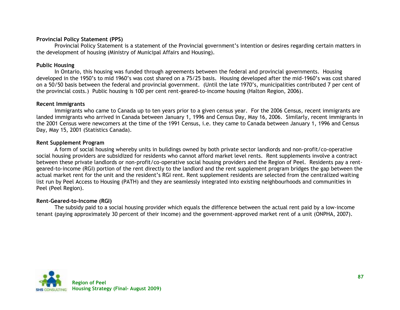# **Provincial Policy Statement (PPS)**

Provincial Policy Statement is a statement of the Provincial government's intention or desires regarding certain matters in the development of housing (Ministry of Municipal Affairs and Housing).

# **Public Housing**

In Ontario, this housing was funded through agreements between the federal and provincial governments. Housing developed in the 1950"s to mid 1960"s was cost shared on a 75/25 basis. Housing developed after the mid-1960"s was cost shared on a 50/50 basis between the federal and provincial government. (Until the late 1970"s, municipalities contributed 7 per cent of the provincial costs.) Public housing is 100 per cent rent-geared-to-income housing (Halton Region, 2006).

## **Recent Immigrants**

Immigrants who came to Canada up to ten years prior to a given census year. For the 2006 Census, recent immigrants are landed immigrants who arrived in Canada between January 1, 1996 and Census Day, May 16, 2006. Similarly, recent immigrants in the 2001 Census were newcomers at the time of the 1991 Census, i.e. they came to Canada between January 1, 1996 and Census Day, May 15, 2001 (Statistics Canada).

## **Rent Supplement Program**

A form of social housing whereby units in buildings owned by both private sector landlords and non-profit/co-operative social housing providers are subsidized for residents who cannot afford market level rents. Rent supplements involve a contract between these private landlords or non-profit/co-operative social housing providers and the Region of Peel. Residents pay a rentgeared-to-income (RGI) portion of the rent directly to the landlord and the rent supplement program bridges the gap between the actual market rent for the unit and the resident's RGI rent. Rent supplement residents are selected from the centralized waiting list run by Peel Access to Housing (PATH) and they are seamlessly integrated into existing neighbourhoods and communities in Peel (Peel Region).

# **Rent-Geared-to-Income (RGI)**

The subsidy paid to a social housing provider which equals the difference between the actual rent paid by a low-income tenant (paying approximately 30 percent of their income) and the government-approved market rent of a unit (ONPHA, 2007).

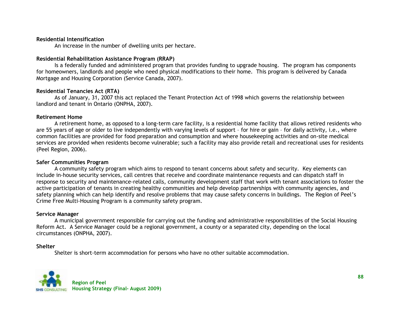#### **Residential Intensification**

An increase in the number of dwelling units per hectare.

## **Residential Rehabilitation Assistance Program (RRAP)**

Is a federally funded and administered program that provides funding to upgrade housing. The program has components for homeowners, landlords and people who need physical modifications to their home. This program is delivered by Canada Mortgage and Housing Corporation (Service Canada, 2007).

## **Residential Tenancies Act (RTA)**

As of January, 31, 2007 this act replaced the Tenant Protection Act of 1998 which governs the relationship between landlord and tenant in Ontario (ONPHA, 2007).

### **Retirement Home**

A retirement home, as opposed to a long-term care facility, is a residential home facility that allows retired residents who are 55 years of age or older to live independently with varying levels of support – for hire or gain – for daily activity, i.e., where common facilities are provided for food preparation and consumption and where housekeeping activities and on-site medical services are provided when residents become vulnerable; such a facility may also provide retail and recreational uses for residents (Peel Region, 2006).

### **Safer Communities Program**

A community safety program which aims to respond to tenant concerns about safety and security. Key elements can include in-house security services, call centres that receive and coordinate maintenance requests and can dispatch staff in response to security and maintenance-related calls, community development staff that work with tenant associations to foster the active participation of tenants in creating healthy communities and help develop partnerships with community agencies, and safety planning which can help identify and resolve problems that may cause safety concerns in buildings. The Region of Peel"s Crime Free Multi-Housing Program is a community safety program.

### **Service Manager**

A municipal government responsible for carrying out the funding and administrative responsibilities of the Social Housing Reform Act. A Service Manager could be a regional government, a county or a separated city, depending on the local circumstances (ONPHA, 2007).

# **Shelter**

Shelter is short-term accommodation for persons who have no other suitable accommodation.

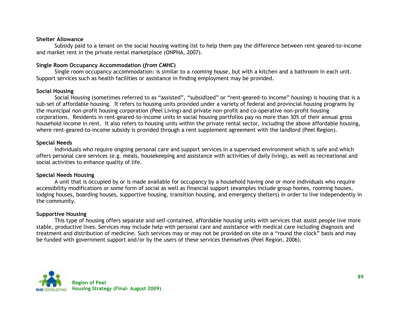#### **Shelter Allowance**

Subsidy paid to a tenant on the social housing waiting list to help them pay the difference between rent-geared-to-income and market rent in the private rental marketplace (ONPHA, 2007).

# **Single Room Occupancy Accommodation (***from CMHC***)**

Single room occupancy accommodation: is similar to a *rooming house*, but with a kitchen and a bathroom in each unit. Support services such as health facilities or assistance in finding employment may be provided.

## **Social Housing**

Social Housing (sometimes referred to as "assisted", "subsidized" or "rent-geared-to income" housing) is housing that is a sub-set of affordable housing. It refers to housing units provided under a variety of federal and provincial housing programs by the municipal non-profit housing corporation (Peel Living) and private non-profit and co-operative non-profit housing corporations. Residents in rent-geared-to-income units in social housing portfolios pay no more than 30% of their annual gross household income in rent. It also refers to housing units within the private rental sector, including the above affordable housing, where rent-geared-to-income subsidy is provided through a rent supplement agreement with the landlord (Peel Region).

## **Special Needs**

Individuals who require ongoing personal care and support services in a supervised environment which is safe and which offers personal care services (e.g. meals, housekeeping and assistance with activities of daily living), as well as recreational and social activities to enhance quality of life.

# **Special Needs Housing**

A unit that is occupied by or is made available for occupancy by a household having one or more individuals who require accessibility modifications or some form of social as well as financial support (examples include group homes, rooming houses, lodging houses, boarding houses, supportive housing, transition housing, and emergency shelters) in order to live independently in the community.

# **Supportive Housing**

This type of housing offers separate and self-contained, affordable housing units with services that assist people live more stable, productive lives. Services may include help with personal care and assistance with medical care including diagnosis and treatment and distribution of medicine. Such services may or may not be provided on site on a "round the clock" basis and may be funded with government support and/or by the users of these services themselves (Peel Region, 2006).

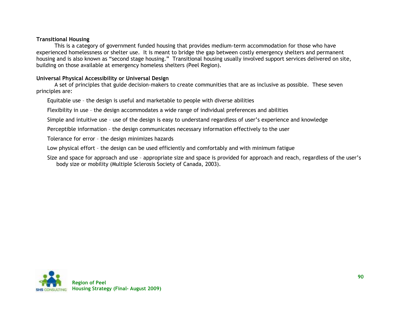### **Transitional Housing**

This is a category of government funded housing that provides medium-term accommodation for those who have experienced homelessness or shelter use. It is meant to bridge the gap between costly emergency shelters and permanent housing and is also known as "second stage housing." Transitional housing usually involved support services delivered on site, building on those available at emergency homeless shelters (Peel Region).

### **Universal Physical Accessibility or Universal Design**

A set of principles that guide decision-makers to create communities that are as inclusive as possible. These seven principles are:

Equitable use – the design is useful and marketable to people with diverse abilities

Flexibility in use – the design accommodates a wide range of individual preferences and abilities

Simple and intuitive use – use of the design is easy to understand regardless of user"s experience and knowledge

Perceptible information – the design communicates necessary information effectively to the user

Tolerance for error – the design minimizes hazards

Low physical effort – the design can be used efficiently and comfortably and with minimum fatigue

Size and space for approach and use – appropriate size and space is provided for approach and reach, regardless of the user"s body size or mobility (Multiple Sclerosis Society of Canada, 2003).

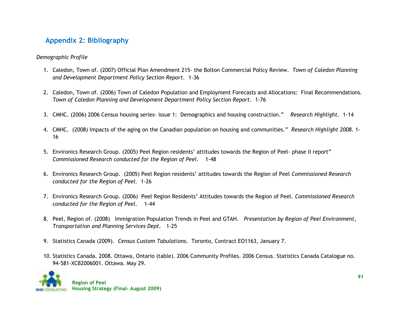# **Appendix 2: Bibliography**

# *Demographic Profile*

- 1. Caledon, Town of. (2007) Official Plan Amendment 215- the Bolton Commercial Policy Review. *Town of Caledon Planning and Development Department Policy Section Report.* 1-36
- 2. Caledon, Town of. (2006) Town of Caledon Population and Employment Forecasts and Allocations: Final Recommendations. *Town of Caledon Planning and Development Department Policy Section Report*. 1-76
- 3. CMHC. (2006) 2006 Census housing series- issue 1: Demographics and housing construction." *Research Highlight.* 1-14
- 4. CMHC. (2008) Impacts of the aging on the Canadian population on housing and communities." *Research Highlight 2008.* 1- 16
- 5. Environics Research Group. (2005) Peel Region residents" attitudes towards the Region of Peel- phase II report" *Commissioned Research conducted for the Region of Peel.* 1-48
- 6. Environics Research Group. (2005) Peel Region residents" attitudes towards the Region of Peel *Commissioned Research conducted for the Region of Peel.* 1-26
- 7. Environics Research Group. (2006) Peel Region Residents" Attitudes towards the Region of Peel. *Commissioned Research conducted for the Region of Peel.* 1-44
- 8. Peel, Region of. (2008) Immigration Population Trends in Peel and GTAH. *Presentation by Region of Peel Environment, Transportation and Planning Services Dept.* 1-25
- 9. Statistics Canada (2009)*. Census Custom Tabulations*. Toronto, Contract EO1163, January 7.
- 10. Statistics Canada. 2008. Ottawa, Ontario (table). 2006 Community Profiles. 2006 Census. Statistics Canada Catalogue no. 94-581-XCB2006001. Ottawa. May 29.

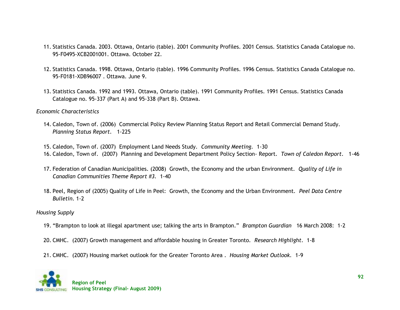- 11. Statistics Canada. 2003. Ottawa, Ontario (table). 2001 Community Profiles. 2001 Census. Statistics Canada Catalogue no. 95-F0495-XCB2001001. Ottawa. October 22.
- 12. Statistics Canada. 1998. Ottawa, Ontario (table). 1996 Community Profiles. 1996 Census. Statistics Canada Catalogue no. 95-F0181-XDB96007 . Ottawa. June 9.
- 13. Statistics Canada. 1992 and 1993. Ottawa, Ontario (table). 1991 Community Profiles. 1991 Census. Statistics Canada Catalogue no. 95-337 (Part A) and 95-338 (Part B). Ottawa.

*Economic Characteristics*

14. Caledon, Town of. (2006) Commercial Policy Review Planning Status Report and Retail Commercial Demand Study. *Planning Status Report.* 1-225

15. Caledon, Town of. (2007) Employment Land Needs Study. *Community Meeting.* 1-30 16. Caledon, Town of. (2007) Planning and Development Department Policy Section- Report. *Town of Caledon Report*. 1-46

- 17. Federation of Canadian Municipalities. (2008) Growth, the Economy and the urban Environment. *Quality of Life in Canadian Communities Theme Report #3.* 1-40
- 18. Peel, Region of (2005) Quality of Life in Peel: Growth, the Economy and the Urban Environment. *Peel Data Centre Bulletin*. 1-2

### *Housing Supply*

- 19. "Brampton to look at illegal apartment use; talking the arts in Brampton." *Brampton Guardian* 16 March 2008: 1-2
- 20. CMHC. (2007) Growth management and affordable housing in Greater Toronto. *Research Highlight*. 1-8
- 21. CMHC. (2007) Housing market outlook for the Greater Toronto Area . *Housing Market Outlook.* 1-9

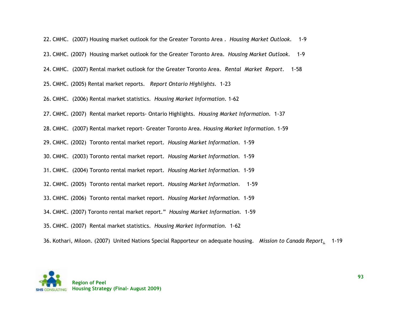| 22. CMHC. (2007) Housing market outlook for the Greater Toronto Area. Housing Market Outlook.<br>$1-9$                   |
|--------------------------------------------------------------------------------------------------------------------------|
| 23. CMHC. (2007) Housing market outlook for the Greater Toronto Area. Housing Market Outlook.<br>$1 - 9$                 |
| 24. CMHC. (2007) Rental market outlook for the Greater Toronto Area. Rental Market Report.<br>$1 - 58$                   |
| 25. CMHC. (2005) Rental market reports. Report Ontario Highlights. 1-23                                                  |
| 26. CMHC. (2006) Rental market statistics. Housing Market Information. 1-62                                              |
| 27. CMHC. (2007) Rental market reports- Ontario Highlights. Housing Market Information. 1-37                             |
| 28. CMHC. (2007) Rental market report- Greater Toronto Area. Housing Market Information. 1-59                            |
| 29. CMHC. (2002) Toronto rental market report. Housing Market Information. 1-59                                          |
| 30. CMHC. (2003) Toronto rental market report. Housing Market Information. 1-59                                          |
| 31. CMHC. (2004) Toronto rental market report. Housing Market Information. 1-59                                          |
| 32. CMHC. (2005) Toronto rental market report. Housing Market Information.<br>$1-59$                                     |
| 33. CMHC. (2006) Toronto rental market report. Housing Market Information. 1-59                                          |
| 34. CMHC. (2007) Toronto rental market report." Housing Market Information. 1-59                                         |
| 35. CMHC. (2007) Rental market statistics. Housing Market Information. 1-62                                              |
| 36. Kothari, Miloon. (2007) United Nations Special Rapporteur on adequate housing. Mission to Canada Report.<br>$1 - 19$ |